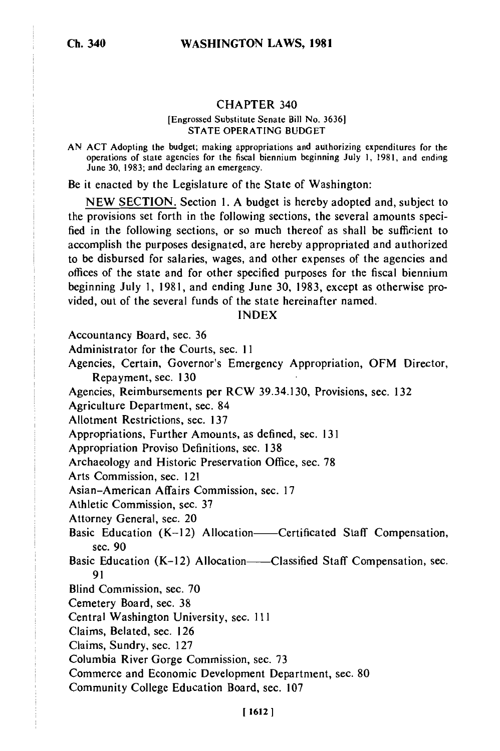#### CHAPTER 340

#### [Engrossed Substitute Senate Bill No. 3636] STATE OPERATING BUDGET

AN ACT Adopting the budget; making appropriations and authorizing expenditures for the operations of state agencies for the fiscal biennium beginning July 1, 1981, and ending June 30, 1983; and declaring an emergency.

Be it enacted by the Legislature of the State of Washington:

NEW SECTION. Section 1. A budget is hereby adopted and, subject to the provisions set forth in the following sections, the several amounts specified in the following sections, or so much thereof as shall be sufficient to accomplish the purposes designated, are hereby appropriated and authorized to be disbursed for salaries, wages, and other expenses of the agencies and offices of the state and for other specified purposes for the fiscal biennium beginning July 1, 1981, and ending June 30, 1983, except as otherwise provided, out of the several funds of the state hereinafter named.

### INDEX

Accountancy Board, sec. 36

Administrator for the Courts, sec. 11

Agencies, Certain, Governor's Emergency Appropriation, OFM Director, Repayment, sec. 130

Agencies, Reimbursements per RCW 39.34.130, Provisions, sec. 132

Agriculture Department, sec. 84

Allotment Restrictions, sec. 137

Appropriations, Further Amounts, as defined, sec. 131

Appropriation Proviso Definitions, sec. 138

Archaeology and Historic Preservation Office, sec. 78

Arts Commission, sec. 121

Asian-American Affairs Commission, sec. 17

Athletic Commission, sec. 37

Attorney General, sec. 20

- Basic Education  $(K-12)$  Allocation——Certificated Staff Compensation, sec. 90
- Basic Education  $(K-12)$  Allocation——Classified Staff Compensation, sec. 91
- Blind Commission, sec. 70

Cemetery Board, sec. 38

Central Washington University, sec. **Ill**

Claims, Belated, sec. 126

Claims, Sundry, sec. 127

Columbia River Gorge Commission, sec. 73

Commerce and Economic Development Department, sec. 80

Community College Education Board, sec. 107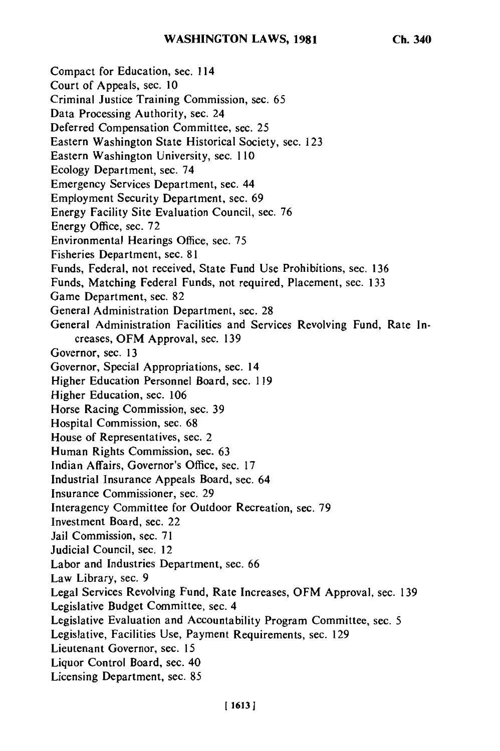Compact for Education, sec. 114 Court of Appeals, sec. **10** Criminal Justice Training Commission, sec. 65 Data Processing Authority, sec. 24 Deferred Compensation Committee, sec. 25 Eastern Washington State Historical Society, sec. 123 Eastern Washington University, sec. 110 Ecology Department, sec. 74 Emergency Services Department, sec. 44 Employment Security Department, sec. 69 Energy Facility Site Evaluation Council, sec. 76 Energy Office, sec. 72 Environmental Hearings Office, sec. 75 Fisheries Department, sec. 81 Funds, Federal, not received, State Fund Use Prohibitions, sec. 136 Funds, Matching Federal Funds, not required, Placement, sec. 133 Game Department, sec. 82 General Administration Department, sec. 28 General Administration Facilities and Services Revolving Fund, Rate Increases, OFM Approval, sec. 139 Governor, sec. 13 Governor, Special Appropriations, sec. 14 Higher Education Personnel Board, sec. 119 Higher Education, sec. 106 Horse Racing Commission, sec. 39 Hospital Commission, sec. 68 House of Representatives, sec. 2 Human Rights Commission, sec. 63 Indian Affairs, Governor's Office, sec. 17 Industrial Insurance Appeals Board, sec. 64 Insurance Commissioner, sec. 29 Interagency Committee for Outdoor Recreation, sec. 79 Investment Board, sec. 22 Jail Commission, sec. 71 Judicial Council, sec. 12 Labor and Industries Department, sec. 66 Law Library, sec. 9 Legal Services Revolving Fund, Rate Increases, OFM Approval, sec. 139 Legislative Budget Committee, sec. 4 Legislative Evaluation and Accountability Program Committee, sec. 5 Legislative, Facilities Use, Payment Requirements, sec. 129 Lieutenant Governor, sec. 15 Liquor Control Board, sec. 40 Licensing Department, sec. 85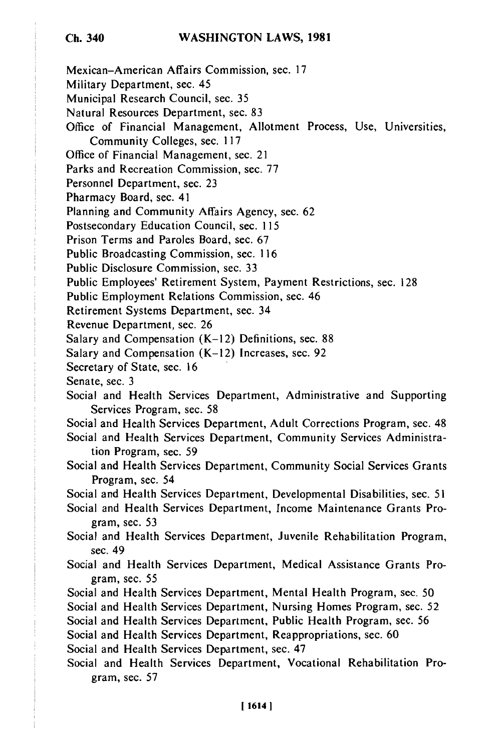#### **WASHINGTON LAWS, 1981**

Mexican-American Affairs Commission, sec. 17

Military Department, sec. 45

Municipal Research Council, sec. 35

Natural Resources Department, sec. 83

Office of Financial Management, Allotment Process, Use, Universities, Community Colleges, sec. 117

Office of Financial Management, sec. 21

Parks and Recreation Commission, sec. 77

Personnel Department, sec. 23

Pharmacy Board, sec. 41

Planning and Community Affairs Agency, sec. 62

Postsecondary Education Council, sec. 115

Prison Terms and Paroles Board, sec. 67

Public Broadcasting Commission, sec. 116

Public Disclosure Commission, sec. 33

Public Employees' Retirement System, Payment Restrictions, sec. 128

Public Employment Relations Commission, sec. 46

Retirement Systems Department, sec. 34

Revenue Department, sec. 26

Salary and Compensation (K-12) Definitions, sec. 88

Salary and Compensation  $(K-12)$  Increases, sec. 92

Secretary of State, sec. 16

Senate, sec. 3

Social and Health Services Department, Administrative and Supporting Services Program, sec. 58

Social and Health Services Department, Adult Corrections Program, sec. 48

Social and Health Services Department, Community Services Administration Program, sec. 59

Social and Health Services Department, Community Social Services Grants Program, sec. 54

Social and Health Services Department, Developmental Disabilities, sec. 51

Social and Health Services Department, Income Maintenance Grants Program, sec. 53

Social and Health Services Department, Juvenile Rehabilitation Program, sec. 49

Social and Health Services Department, Medical Assistance Grants Program, sec. 55

Social and Health Services Department, Mental Health Program, sec. 50

Social and Health Services Department, Nursing Homes Program, sec. 52

Social and Health Services Department, Public Health Program, sec. 56

Social and Health Services Department, Reappropriations, sec. 60

Social and Health Services Department, sec. 47

Social and Health Services Department, Vocational Rehabilitation Program, sec. 57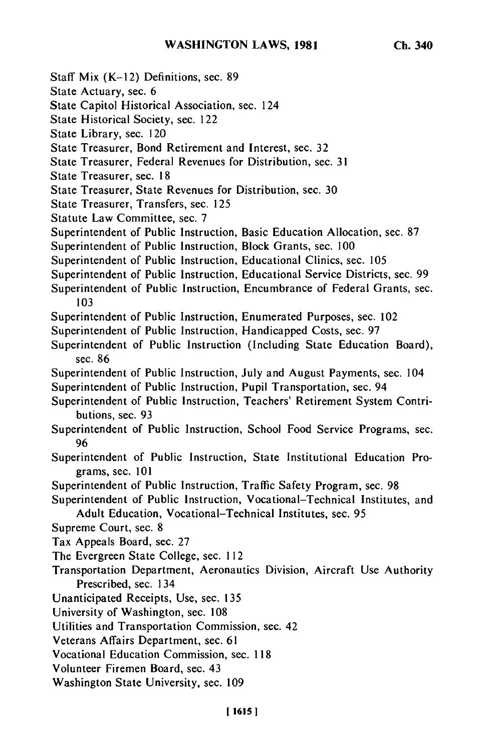- Staff Mix (K-12) Definitions, sec. 89
- State Actuary, sec. 6
- State Capitol Historical Association, sec. 124
- State Historical Society, sec. 122
- State Library, sec. 120
- State Treasurer, Bond Retirement and Interest, sec. 32
- State Treasurer, Federal Revenues for Distribution, sec. 31
- State Treasurer, sec. 18
- State Treasurer, State Revenues for Distribution, sec. 30
- State Treasurer, Transfers, sec. 125
- Statute Law Committee, sec. 7
- Superintendent of Public Instruction, Basic Education Allocation, sec. 87
- Superintendent of Public Instruction, Block Grants, sec. 100
- Superintendent of Public Instruction, Educational Clinics, sec. 105
- Superintendent of Public Instruction, Educational Service Districts, sec. 99
- Superintendent of Public Instruction, Encumbrance of Federal Grants, sec. 103
- Superintendent of Public Instruction, Enumerated Purposes, sec. 102
- Superintendent of Public Instruction, Handicapped Costs, sec. 97
- Superintendent of Public Instruction (Including State Education Board), sec. 86
- Superintendent of Public Instruction, July and August Payments, sec. 104
- Superintendent of Public Instruction, Pupil Transportation, sec. 94
- Superintendent of Public Instruction, Teachers' Retirement System Contributions, sec. 93
- Superintendent of Public Instruction, School Food Service Programs, sec. 96
- Superintendent of Public Instruction, State Institutional Education Programs, sec. 101
- Superintendent of Public Instruction, Traffic Safety Program, sec. 98
- Superintendent of Public Instruction, Vocational-Technical Institutes, and Adult Education, Vocational-Technical Institutes, sec. 95
- Supreme Court, sec. 8
- Tax Appeals Board, sec. 27
- The Evergreen State College, sec. 112
- Transportation Department, Aeronautics Division, Aircraft Use Authority Prescribed, sec. 134
- Unanticipated Receipts, Use, sec. 135
- University of Washington, sec. 108
- Utilities and Transportation Commission, sec. 42
- Veterans Affairs Department, sec. 61
- Vocational Education Commission, sec. 118
- Volunteer Firemen Board, sec. 43
- Washington State University, sec. 109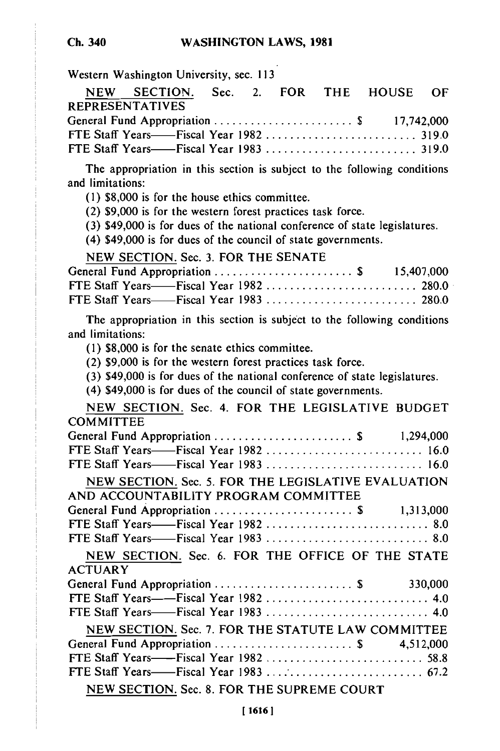Western Washington University, sec. 113

| NEW SECTION. Sec. 2. FOR THE HOUSE OF    |  |  |  |
|------------------------------------------|--|--|--|
| <b>REPRESENTATIVES</b>                   |  |  |  |
| General Fund Appropriation \$ 17,742,000 |  |  |  |
|                                          |  |  |  |
|                                          |  |  |  |

The appropriation in this section is subject to the following conditions and limitations:

(1) \$8,000 is for the house ethics committee.

(2) \$9,000 is for the western forest practices task force.

(3) \$49,000 is for dues of the national conference of state legislatures.

(4) \$49,000 is for dues of the council of state governments.

NEW SECTION. Sec. 3. FOR THE SENATE

The appropriation in this section is subject to the following conditions and limitations:

(1) \$8,000 is for the senate ethics committee.

(2) \$9,000 is for the western forest practices task force.

(3) \$49,000 is for dues of the national conference of state legislatures.

(4) \$49,000 is for dues of the council of state governments.

NEW SECTION. Sec. 4. FOR THE LEGISLATIVE BUDGET **COMMITTEE** 

| FTE Staff Years——Fiscal Year 1982  16.0             |  |
|-----------------------------------------------------|--|
| FTE Staff Years——Fiscal Year 1983  16.0             |  |
| NEW SECTION. Sec. 5. FOR THE LEGISLATIVE EVALUATION |  |
| AND ACCOUNTABILITY PROGRAM COMMITTEE                |  |
| General Fund Appropriation  \$ 1,313,000            |  |
|                                                     |  |
|                                                     |  |
| NEW SECTION. Sec. 6. FOR THE OFFICE OF THE STATE    |  |
| <b>ACTUARY</b>                                      |  |
| General Fund Appropriation \$ 330,000               |  |
|                                                     |  |
|                                                     |  |
| NEW SECTION. Sec. 7. FOR THE STATUTE LAW COMMITTEE  |  |
| General Fund Appropriation \$ 4,512,000             |  |
|                                                     |  |
|                                                     |  |
| NEW SECTION. Sec. 8. FOR THE SUPREME COURT          |  |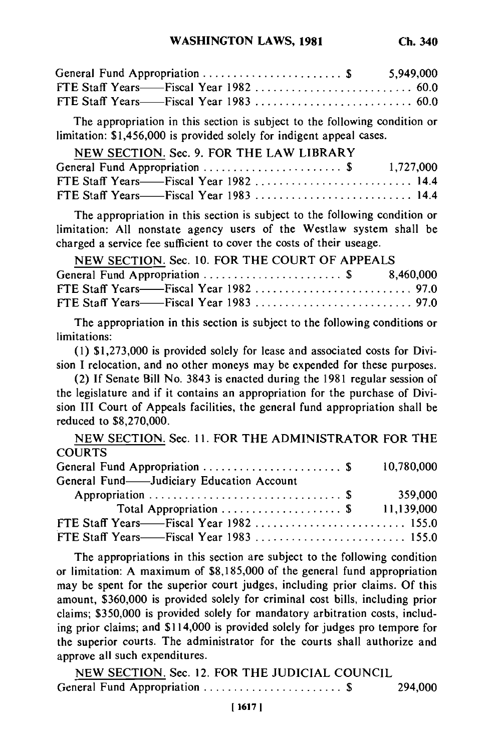| General Fund Appropriation \$ 5,949,000 |  |
|-----------------------------------------|--|
|                                         |  |
|                                         |  |

The appropriation in this section is subject to the following condition or limitation: \$1,456,000 is provided solely for indigent appeal cases.

| NEW SECTION. Sec. 9. FOR THE LAW LIBRARY |  |
|------------------------------------------|--|
| General Fund Appropriation  \$ 1,727,000 |  |
| FTE Staff Years——Fiscal Year 1982  14.4  |  |
| FTE Staff Years——Fiscal Year 1983  14.4  |  |

The appropriation in this section is subject to the following condition or limitation: All nonstate agency users of the Westlaw system shall be charged a service fee sufficient to cover the costs of their useage.

| NEW SECTION. Sec. 10. FOR THE COURT OF APPEALS |  |
|------------------------------------------------|--|
| General Fund Appropriation  \$ 8,460,000       |  |
|                                                |  |
|                                                |  |

The appropriation in this section is subject to the following conditions or limitations:

(1) \$1,273,000 is provided solely for lease and associated costs for Division I relocation, and no other moneys may be expended for these purposes.

(2) If Senate Bill No. 3843 is enacted during the 1981 regular session of the legislature and if it contains an appropriation for the purchase of Division III Court of Appeals facilities, the general fund appropriation shall be reduced to \$8,270,000.

NEW SECTION. Sec. 11. FOR THE ADMINISTRATOR FOR THE COURTS General Fund Appropriation .............................\$ 10,780,000 General Fund-Judiciary Education Account Appropriation ................................ **\$** 359,000 Total Appropriation .................... \$ 11,139,000 FTE Staff Years——Fiscal Year 1982 ............................... 155.0 FTE Staff Years- Fiscal Year 1983 ......................... 155.0

The appropriations in this section are subject to the following condition or limitation: A maximum of \$8,185,000 of the general fund appropriation may be spent for the superior court judges, including prior claims. Of this amount, \$360,000 is provided solely for criminal cost bills, including prior claims; \$350,000 is provided solely for mandatory arbitration costs, including prior claims; and \$114,000 is provided solely for judges pro tempore for the superior courts. The administrator for the courts shall authorize and approve all such expenditures.

NEW SECTION. Sec. 12. FOR THE JUDICIAL COUNCIL General Fund Appropriation ....................... \$ 294,000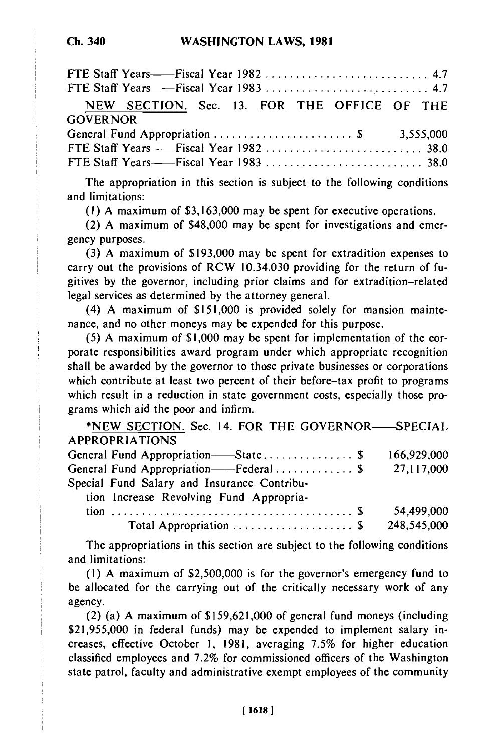| NEW SECTION. Sec. 13. FOR THE OFFICE OF THE |  |
|---------------------------------------------|--|
| <b>GOVERNOR</b>                             |  |
|                                             |  |
|                                             |  |
|                                             |  |

The appropriation in this section is subject to the following conditions and limitations:

(1) A maximum of \$3,163,000 may be spent for executive operations.

(2) A maximum of \$48,000 may be spent for investigations and emergency purposes.

(3) A maximum of \$193,000 may be spent for extradition expenses to carry out the provisions of RCW 10.34.030 providing for the return of fugitives by the governor, including prior claims and for extradition-related legal services as determined by the attorney general.

(4) A maximum of \$151,000 is provided solely for mansion maintenance, and no other moneys may be expended for this purpose.

(5) A maximum of \$1,000 may be spent for implementation of the corporate responsibilities award program under which appropriate recognition shall be awarded by the governor to those private businesses or corporations which contribute at least two percent of their before-tax profit to programs which result in a reduction in state government costs, especially those programs which aid the poor and infirm.

\*NEW SECTION. Sec. 14. FOR THE GOVERNOR-SPECIAL APPROPRIATIONS General Fund Appropriation- State ............... \$ 166,929,000

|                                             | .          |
|---------------------------------------------|------------|
| General Fund Appropriation——Federal \$      | 27,117,000 |
| Special Fund Salary and Insurance Contribu- |            |
| tion Increase Revolving Fund Appropria-     |            |

tion ........................................ \$ 54,499,000 Total Appropriation .................... \$ 248,545,000

The appropriations in this section are subject to the following conditions and limitations:

(i) A maximum of \$2,500,000 is for the governor's emergency fund to be allocated for the carrying out of the critically necessary work of any agency.

(2) (a) A maximum of \$159,621,000 of general fund moneys (including \$21,955,000 in federal funds) may be expended to implement salary increases, effective October 1, 1981, averaging 7.5% for higher education classified employees and 7.2% for commissioned officers of the Washington state patrol, faculty and administrative exempt employees of the community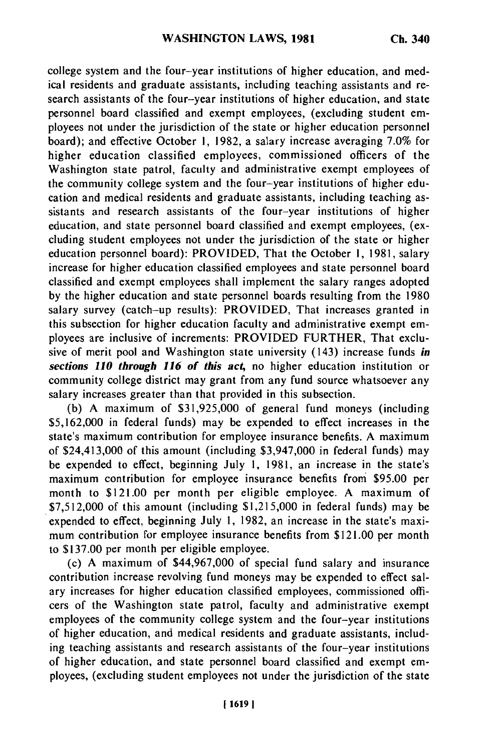college system and the four-year institutions of higher education, and medical residents and graduate assistants, including teaching assistants and research assistants of the four-year institutions of higher education, and state personnel board classified and exempt employees, (excluding student employees not under the jurisdiction of the state or higher education personnel board); and effective October 1, 1982, a salary increase averaging 7.0% for higher education classified employees, commissioned officers of the Washington state patrol, faculty and administrative exempt employees of the community college system and the four-year institutions of higher education and medical residents and graduate assistants, including teaching assistants and research assistants of the four-year institutions of higher education, and state personnel board classified and exempt employees, (excluding student employees not under the jurisdiction of the state or higher education personnel board): PROVIDED, That the October 1, 1981, salary increase for higher education classified employees and state personnel board classified and exempt employees shall implement the salary ranges adopted by the higher education and state personnel boards resulting from the 1980 salary survey (catch-up results): PROVIDED, That increases granted in this subsection for higher education faculty and administrative exempt employees are inclusive of increments: PROVIDED FURTHER, That exclusive of merit pool and Washington state university (143) increase funds *in sections* **110 through 116** *of this act,* no higher education institution or community college district may grant from any fund source whatsoever any salary increases greater than that provided in this subsection.

**(b) A** maximum of **\$31,925,000** of general fund moneys (including **\$5,162,000** in federal funds) may be expended to effect increases in the state's maximum contribution for employee insurance benefits. **A** maximum of \$24,413,000 of this amount (including **\$3,947,000** in federal funds) may be expended to effect, beginning July **1, 1981,** an increase in the state's maximum contribution for employee insurance benefits from **\$95.00** per month to \$121.00 per month per eligible employee. **A** maximum of **\$7,512,000** of this amount (including **\$1,215,000** in federal funds) may be expended to effect, beginning July **1, 1982,** an increase in the state's maximum contribution for employee insurance benefits from \$121.00 per month to **\$137.00** per month per eligible employee.

(c) **A** maximum of \$44,967,000 of special fund salary and insurance contribution increase revolving fund moneys may be expended to effect salary increases for higher education classified employees, commissioned officers of the Washington state patrol, faculty and administrative exempt employees of the community college system and the four-year institutions of higher education, and medical residents and graduate assistants, including teaching assistants and research assistants of the four-year institutions of higher education, and state personnel board classified and exempt employees, (excluding student employees not under the jurisdiction of the state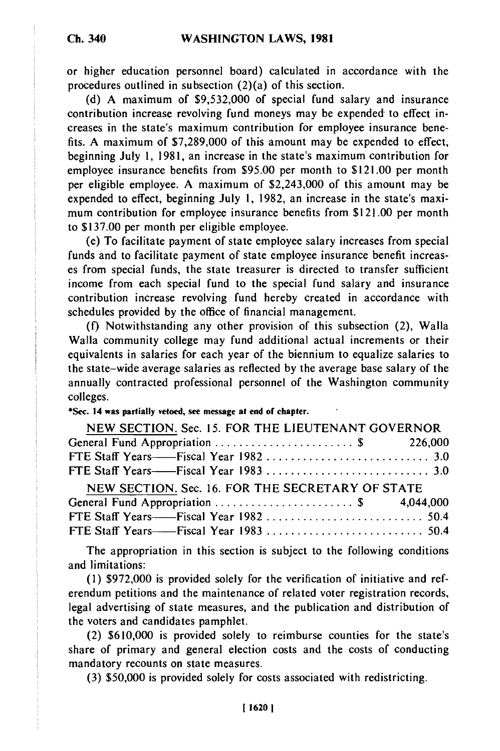or higher education personnel board) calculated in accordance with the procedures outlined in subsection (2)(a) of this section.

(d) A maximum of \$9,532,000 of special fund salary and insurance contribution increase revolving fund moneys may be expended to effect increases in the state's maximum contribution for employee insurance benefits. A maximum of \$7,289,000 of this amount may be expended to effect, beginning July 1, 1981, an increase in the state's maximum contribution for employee insurance benefits from \$95.00 per month to \$121.00 per month per eligible employee. A maximum of \$2,243,000 of this amount may be expended to effect, beginning July 1, 1982, an increase in the state's maximum contribution for employee insurance benefits from \$121.00 per month to \$137.00 per month per eligible employee.

(e) To facilitate payment of state employee salary increases from special funds and to facilitate payment of state employee insurance benefit increases from special funds, the state treasurer is directed to transfer sufficient income from each special fund to the special fund salary and insurance contribution increase revolving fund hereby created in accordance with schedules provided by the office of financial management.

(f) Notwithstanding any other provision of this subsection (2), Walla Walla community college may fund additional actual increments or their equivalents in salaries for each year of the biennium to equalize salaries to the state-wide average salaries as reflected by the average base salary of the annually contracted professional personnel of the Washington community colleges.

### **\*Sec. 14 was partially vetoed, see message at end of chapter.**

| NEW SECTION. Sec. 15. FOR THE LIEUTENANT GOVERNOR |  |
|---------------------------------------------------|--|
|                                                   |  |
|                                                   |  |
|                                                   |  |
| NEW SECTION. Sec. 16. FOR THE SECRETARY OF STATE  |  |
|                                                   |  |
|                                                   |  |
|                                                   |  |

The appropriation in this section is subject to the following conditions and limitations:

**(1)** \$972,000 is provided solely for the verification of initiative and referendum petitions and the maintenance of related voter registration records, legal advertising of state measures, and the publication and distribution of the voters and candidates pamphlet.

(2) \$610,000 is provided solely to reimburse counties for the state's share of primary and general election costs and the costs of conducting mandatory recounts on state measures.

(3) \$50,000 is provided solely for costs associated with redistricting.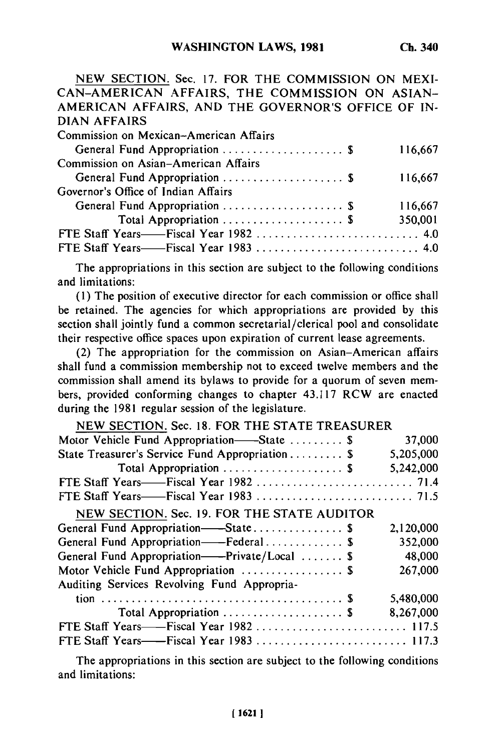NEW SECTION. Sec. 17. FOR THE COMMISSION ON MEXI-CAN-AMERICAN AFFAIRS, THE COMMISSION ON ASIAN-AMERICAN AFFAIRS, AND THE GOVERNOR'S OFFICE OF IN-DIAN AFFAIRS Commission on Mexican-American Affairs General Fund Appropriation .................... \$ 116,667 Commission on Asian-American Affairs General Fund Appropriation ...........................\$ 116,667 Governor's Office of Indian Affairs General Fund Appropriation .................... \$ 116,667 Total Appropriation .................... \$ 350,001

FTE Staff Years——Fiscal Year 1982 ................................ 4.0 FTE Staff Years- Fiscal Year 1983 ........................... 4.0

The appropriations in this section are subject to the following conditions and limitations:

(1) The position of executive director for each commission or office shall be retained. The agencies for which appropriations are provided by this section shall jointly fund a common secretarial/clerical pool and consolidate their respective office spaces upon expiration of current lease agreements.

(2) The appropriation for the commission on Asian-American affairs shall fund a commission membership not to exceed twelve members and the commission shall amend its bylaws to provide for a quorum of seven members, provided conforming changes to chapter 43.117 RCW are enacted during the 1981 regular session of the legislature.

| NEW SECTION. Sec. 18. FOR THE STATE TREASURER   |           |
|-------------------------------------------------|-----------|
| Motor Vehicle Fund Appropriation——State  \$     | 37,000    |
| State Treasurer's Service Fund Appropriation \$ | 5,205,000 |
| Total Appropriation  \$                         | 5,242,000 |
|                                                 |           |
|                                                 |           |
| NEW SECTION. Sec. 19. FOR THE STATE AUDITOR     |           |
| General Fund Appropriation-State \$             | 2,120,000 |
| General Fund Appropriation-Federal \$           | 352,000   |
| General Fund Appropriation--Private/Local  \$   | 48,000    |
| Motor Vehicle Fund Appropriation  \$            | 267,000   |
| Auditing Services Revolving Fund Appropria-     |           |
|                                                 | 5,480,000 |
| Total Appropriation  \$                         | 8,267,000 |
|                                                 |           |
| FTE Staff Years——Fiscal Year 1983  117.3        |           |
|                                                 |           |

The appropriations in this section are subject to the following conditions and limitations: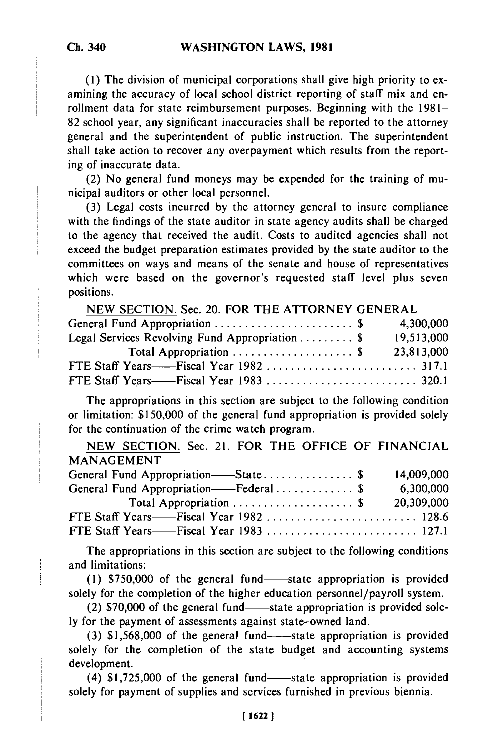**(1)** The division of municipal corporations shall give high priority to examining the accuracy of local school district reporting of staff mix and enrollment data for state reimbursement purposes. Beginning with the 1981- 82 school year, any significant inaccuracies shall be reported to the attorney general and the superintendent of public instruction. The superintendent shall take action to recover any overpayment which results from the reporting of inaccurate data.

(2) No general fund moneys may be expended for the training of municipal auditors or other local personnel.

(3) Legal costs incurred by the attorney general to insure compliance with the findings of the state auditor in state agency audits shall be charged to the agency that received the audit. Costs to audited agencies shall not exceed the budget preparation estimates provided by the state auditor to the committees on ways and means of the senate and house of representatives which were based on the governor's requested staff level plus seven positions.

| NEW SECTION. Sec. 20. FOR THE ATTORNEY GENERAL  |            |
|-------------------------------------------------|------------|
| General Fund Appropriation \$                   | 4,300,000  |
| Legal Services Revolving Fund Appropriation  \$ | 19,513,000 |
|                                                 | 23,813,000 |
|                                                 |            |
|                                                 |            |

The appropriations in this section are subject to the following condition or limitation: \$150,000 of the general fund appropriation is provided solely for the continuation of the crime watch program.

NEW SECTION. Sec. 21. FOR THE OFFICE OF FINANCIAL MANAGEMENT General Fund Appropriation- State ............... \$ 14,009,000 General Fund Appropriation- Federal ............. \$ 6,300,000 Total Appropriation .................... \$ 20,309,000 **FTE** Staff Years- Fiscal Year 1982 ......................... 128.6 **FTE** Staff Years- Fiscal Year 1983 ......................... 127.1

The appropriations in this section are subject to the following conditions and limitations:

(1)  $$750,000$  of the general fund-state appropriation is provided solely for the completion of the higher education personnel/payroll system.

(2)  $$70,000$  of the general fund-state appropriation is provided solely for the payment of assessments against state-owned land.

 $(3)$  \$1,568,000 of the general fund--state appropriation is provided solely for the completion of the state budget and accounting systems development.

 $(4)$  \$1,725,000 of the general fund--state appropriation is provided solely for payment of supplies and services furnished in previous biennia.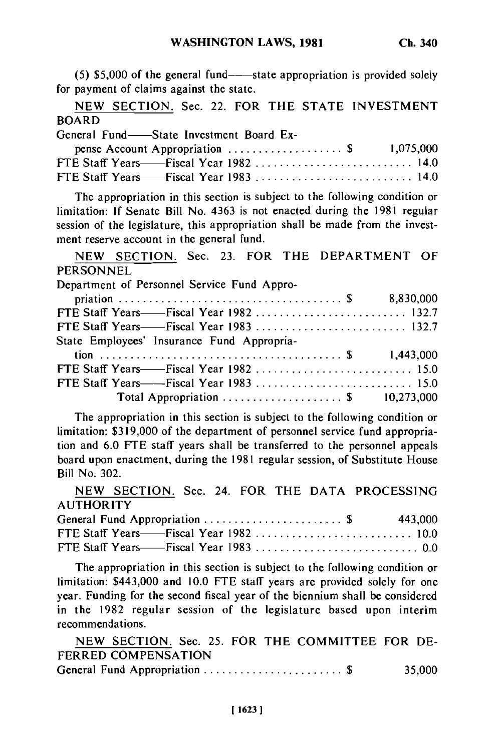$(5)$  \$5,000 of the general fund--state appropriation is provided solely for payment of claims against the state.

NEW SECTION. Sec. 22. FOR THE STATE INVESTMENT BOARD

| ---------- |  |                                         |  |
|------------|--|-----------------------------------------|--|
|            |  | General Fund—State Investment Board Ex- |  |

| pense Account Appropriation $\ldots \ldots \ldots \ldots$ \$ 1,075,000 |  |
|------------------------------------------------------------------------|--|
| FTE Staff Years——Fiscal Year 1982  14.0                                |  |
| FTE Staff Years——Fiscal Year 1983  14.0                                |  |

The appropriation in this section is subject to the following condition or limitation: If Senate Bill No. 4363 is not enacted during the 1981 regular session of the legislature, this appropriation shall be made from the investment reserve account in the general fund.

NEW SECTION. Sec. 23. FOR THE DEPARTMENT OF **PERSONNEL** 

| .                                           |  |  |  |
|---------------------------------------------|--|--|--|
| Department of Personnel Service Fund Appro- |  |  |  |

| Total Appropriation $\ldots \ldots \ldots \ldots \ldots$ \$ 10,273,000 |
|------------------------------------------------------------------------|
|                                                                        |

The appropriation in this section is subject to the following condition or limitation: \$319,000 of the department of personnel service fund appropriation and 6.0 FTE staff years shall be transferred to the personnel appeals board upon enactment, during the 1981 regular session, of Substitute House Bill No. 302.

NEW SECTION. Sec. 24. FOR THE DATA PROCESSING **AUTHORITY** 

| General Fund Appropriation \$ 443,000 |  |
|---------------------------------------|--|
|                                       |  |
|                                       |  |

The appropriation in this section is subject to the following condition or limitation: \$443,000 and 10.0 FTE staff years are provided solely for one year. Funding for the second fiscal year of the biennium shall be considered in the 1982 regular session of the legislature based upon interim recommendations.

NEW SECTION. Sec. 25. FOR THE COMMITTEE FOR DE-FERRED COMPENSATION General Fund Appropriation ....................... \$ 35,000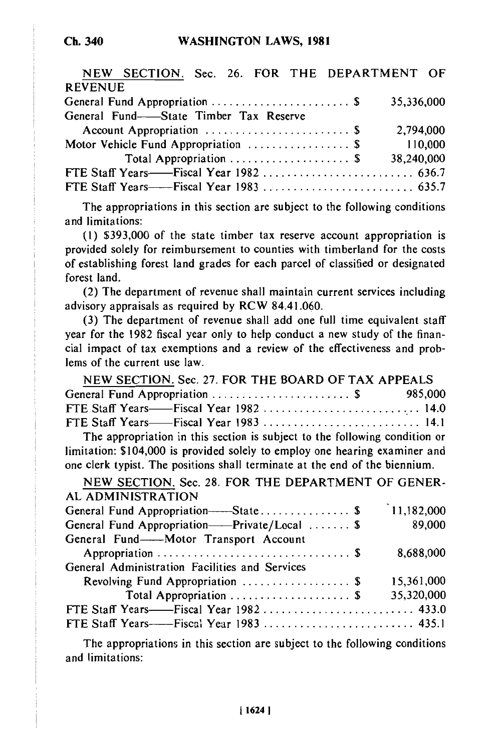| NEW SECTION. Sec. 26. FOR THE DEPARTMENT OF |            |  |
|---------------------------------------------|------------|--|
| <b>REVENUE</b>                              |            |  |
|                                             | 35,336,000 |  |
| General Fund—State Timber Tax Reserve       |            |  |
|                                             | 2,794,000  |  |
| Motor Vehicle Fund Appropriation  \$        | 110,000    |  |
| Total Appropriation  \$                     | 38,240,000 |  |
|                                             |            |  |
|                                             |            |  |

The appropriations in this section are subject to the following conditions and limitations:

(1) \$393,000 of the state timber tax reserve account appropriation is provided solely for reimbursement to counties with timberland for the costs of establishing forest land grades for each parcel of classified or designated forest land.

(2) The department of revenue shall maintain current services including advisory appraisals as required by RCW 84.41.060.

(3) The department of revenue shall add one full time equivalent staff year for the 1982 fiscal year only to help conduct a new study of the financial impact of tax exemptions and a review of the effectiveness and problems of the current use law.

| NEW SECTION. Sec. 27. FOR THE BOARD OF TAX APPEALS                         |  |
|----------------------------------------------------------------------------|--|
| General Fund Appropriation \$985,000                                       |  |
|                                                                            |  |
| FTE Staff Years——Fiscal Year 1983  14.1                                    |  |
| The appropriation in this section is subject to the following condition or |  |

The appropriation in this section is subject to the following condition or limitation: \$104,000 is provided solely to employ one hearing examiner and one clerk typist. The positions shall terminate at the end of the biennium.

| NEW SECTION. Sec. 28. FOR THE DEPARTMENT OF GENER- |                    |
|----------------------------------------------------|--------------------|
| AL ADMINISTRATION                                  |                    |
| General Fund Appropriation-State \$                | $\big)$ 11,182,000 |
| General Fund Appropriation——Private/Local  \$      | 89,000             |
| General Fund-Motor Transport Account               |                    |
|                                                    | 8,688,000          |
| General Administration Facilities and Services     |                    |
| Revolving Fund Appropriation  \$                   | 15,361,000         |
| Total Appropriation  \$                            | 35,320,000         |
|                                                    |                    |
|                                                    |                    |

The appropriations in this section are subject to the following conditions and limitations: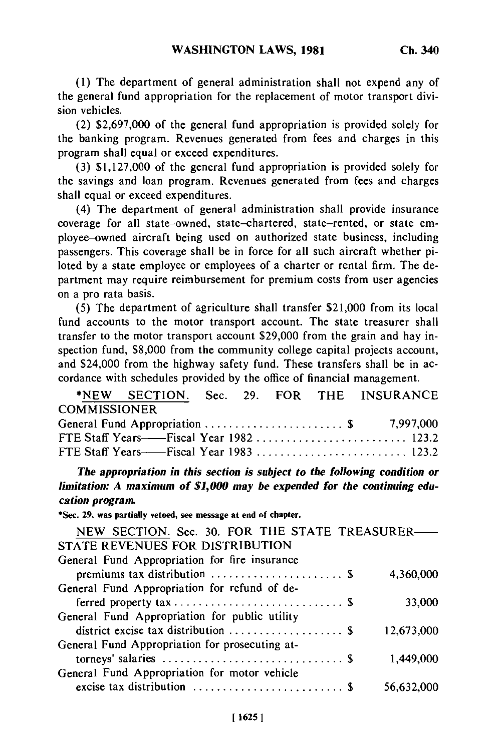**(1) The** department of general administration shall not expend any of the general fund appropriation for the replacement of motor transport division vehicles.

(2) \$2,697,000 of the general fund appropriation is provided solely for the banking program. Revenues generated from fees and charges in this program shall equal or exceed expenditures.

(3) \$1,127,000 of the general fund appropriation is provided solely for the savings and loan program. Revenues generated from fees and charges shall equal or exceed expenditures.

(4) The department of general administration shall provide insurance coverage for all state-owned, state-chartered, state-rented, or state employee-owned aircraft being used on authorized state business, including passengers. This coverage shall be in force for all such aircraft whether piloted by a state employee or employees of a charter or rental firm. The department may require reimbursement for premium costs from user agencies on a pro rata basis.

(5) The department of agriculture shall transfer \$21,000 from its local fund accounts to the motor transport account. The state treasurer shall transfer to the motor transport account \$29,000 from the grain and hay inspection fund, \$8,000 from the community college capital projects account, and \$24,000 from the highway safety fund. These transfers shall be in accordance with schedules provided by the office of financial management. which with sencedures provided by the binet of infancial management.<br>\*NEW SECONOMY S. . 29. FOR SHARP MANA MANA

|                     |  |  | *NEW SECTION. Sec. 29. FOR THE INSURANCE |
|---------------------|--|--|------------------------------------------|
| <b>COMMISSIONER</b> |  |  |                                          |
|                     |  |  | General Fund Appropriation  \$ 7,997,000 |
|                     |  |  |                                          |
|                     |  |  | FTE Staff Years——Fiscal Year 1983  123.2 |

*The appropriation in this section is subject to the following condition or limitation: A maximum of \$1,000 may be expended for the continuing education program.*

**\*Sec. 29. was partially vetoed, see message at end of chapter.**

| NEW SECTION. Sec. 30. FOR THE STATE TREASURER- |            |
|------------------------------------------------|------------|
| STATE REVENUES FOR DISTRIBUTION                |            |
| General Fund Appropriation for fire insurance  |            |
|                                                | 4,360,000  |
| General Fund Appropriation for refund of de-   |            |
|                                                | 33,000     |
| General Fund Appropriation for public utility  |            |
|                                                | 12,673,000 |
| General Fund Appropriation for prosecuting at- |            |
|                                                | 1,449,000  |
| General Fund Appropriation for motor vehicle   |            |
|                                                | 56,632,000 |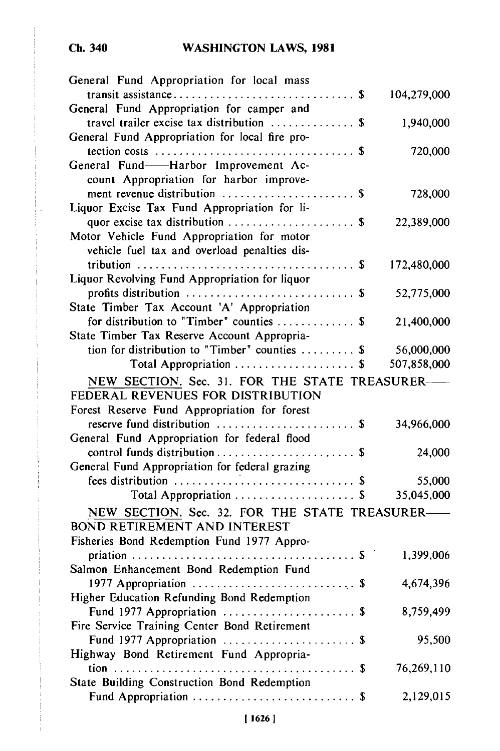| General Fund Appropriation for local mass                                         |             |
|-----------------------------------------------------------------------------------|-------------|
|                                                                                   | 104,279,000 |
| General Fund Appropriation for camper and                                         |             |
| travel trailer excise tax distribution  \$                                        | 1,940,000   |
| General Fund Appropriation for local fire pro-                                    |             |
| tection costs $\dots \dots \dots \dots \dots \dots \dots \dots \dots \dots \dots$ | 720,000     |
| General Fund-Harbor Improvement Ac-                                               |             |
| count Appropriation for harbor improve-                                           |             |
| ment revenue distribution  \$                                                     | 728,000     |
| Liquor Excise Tax Fund Appropriation for li-                                      |             |
|                                                                                   |             |
|                                                                                   | 22,389,000  |
| Motor Vehicle Fund Appropriation for motor.                                       |             |
| vehicle fuel tax and overload penalties dis-                                      |             |
|                                                                                   | 172,480,000 |
| Liquor Revolving Fund Appropriation for liquor                                    |             |
|                                                                                   | 52,775,000  |
| State Timber Tax Account 'A' Appropriation                                        |             |
| for distribution to "Timber" counties  \$                                         | 21,400,000  |
| State Timber Tax Reserve Account Appropria-                                       |             |
| tion for distribution to "Timber" counties  \$                                    | 56,000,000  |
| Total Appropriation  \$                                                           | 507,858,000 |
| NEW SECTION. Sec. 31. FOR THE STATE TREASURER-                                    |             |
| FEDERAL REVENUES FOR DISTRIBUTION                                                 |             |
| Forest Reserve Fund Appropriation for forest                                      |             |
|                                                                                   | 34,966,000  |
| General Fund Appropriation for federal flood                                      |             |
|                                                                                   | 24,000      |
|                                                                                   |             |
| General Fund Appropriation for federal grazing                                    |             |
|                                                                                   | 55,000      |
| Total Appropriation \$                                                            | 35,045,000  |
| NEW SECTION. Sec. 32. FOR THE STATE TREASURER-                                    |             |
| <b>BOND RETIREMENT AND INTEREST</b>                                               |             |
| Fisheries Bond Redemption Fund 1977 Appro-                                        |             |
|                                                                                   | 1,399,006   |
| Salmon Enhancement Bond Redemption Fund                                           |             |
|                                                                                   | 4,674,396   |
| Higher Education Refunding Bond Redemption                                        |             |
| Fund 1977 Appropriation  \$                                                       | 8,759,499   |
| Fire Service Training Center Bond Retirement                                      |             |
| Fund 1977 Appropriation  \$                                                       | 95,500      |
| Highway Bond Retirement Fund Appropria-                                           |             |
|                                                                                   | 76,269,110  |
| State Building Construction Bond Redemption                                       |             |
|                                                                                   | 2,129,015   |
|                                                                                   |             |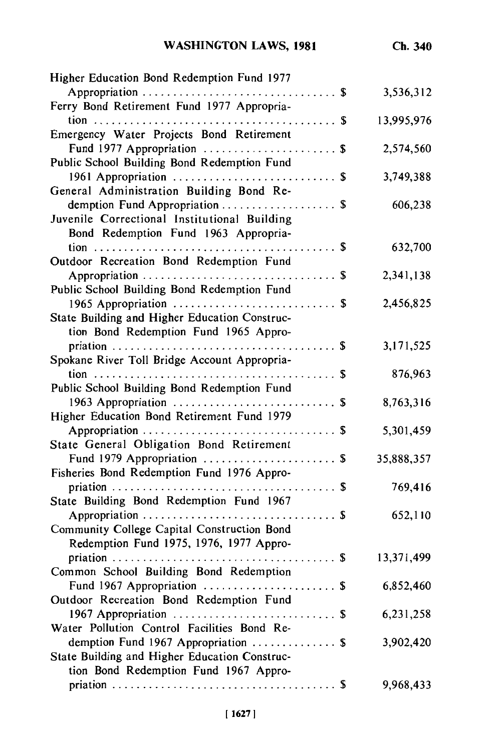| <b>WASHINGTON LAWS, 1981</b>                  | Ch. 340    |
|-----------------------------------------------|------------|
| Higher Education Bond Redemption Fund 1977    |            |
|                                               | 3,536,312  |
| Ferry Bond Retirement Fund 1977 Appropria-    |            |
|                                               | 13,995,976 |
| Emergency Water Projects Bond Retirement      |            |
| Fund 1977 Appropriation  \$                   | 2,574,560  |
| Public School Building Bond Redemption Fund   |            |
| 1961 Appropriation  \$                        | 3,749,388  |
| General Administration Building Bond Re-      |            |
|                                               | 606,238    |
| demption Fund Appropriation  \$               |            |
| Juvenile Correctional Institutional Building  |            |
| Bond Redemption Fund 1963 Appropria-          |            |
|                                               | 632,700    |
| Outdoor Recreation Bond Redemption Fund       |            |
|                                               | 2,341,138  |
| Public School Building Bond Redemption Fund   |            |
|                                               | 2,456,825  |
| State Building and Higher Education Construc- |            |
| tion Bond Redemption Fund 1965 Appro-         |            |
|                                               | 3,171,525  |
| Spokane River Toll Bridge Account Appropria-  |            |
|                                               | 876,963    |
| Public School Building Bond Redemption Fund   |            |
| 1963 Appropriation  \$                        | 8,763,316  |
| Higher Education Bond Retirement Fund 1979    |            |
|                                               | 5,301,459  |
| State General Obligation Bond Retirement      |            |
| Fund 1979 Appropriation  \$                   | 35,888,357 |
| Fisheries Bond Redemption Fund 1976 Appro-    |            |
|                                               | 769,416    |
| State Building Bond Redemption Fund 1967      |            |
|                                               |            |
|                                               | 652,110    |
| Community College Capital Construction Bond   |            |
| Redemption Fund 1975, 1976, 1977 Appro-       |            |
| $\ldots$ \$<br>priation                       | 13,371,499 |
| Common School Building Bond Redemption        |            |
| Fund 1967 Appropriation  \$                   | 6,852,460  |
| Outdoor Recreation Bond Redemption Fund       |            |
|                                               | 6,231,258  |
| Water Pollution Control Facilities Bond Re-   |            |
| demption Fund 1967 Appropriation  \$          | 3,902,420  |
| State Building and Higher Education Construc- |            |
| tion Bond Redemption Fund 1967 Appro-         |            |
|                                               | 9,968,433  |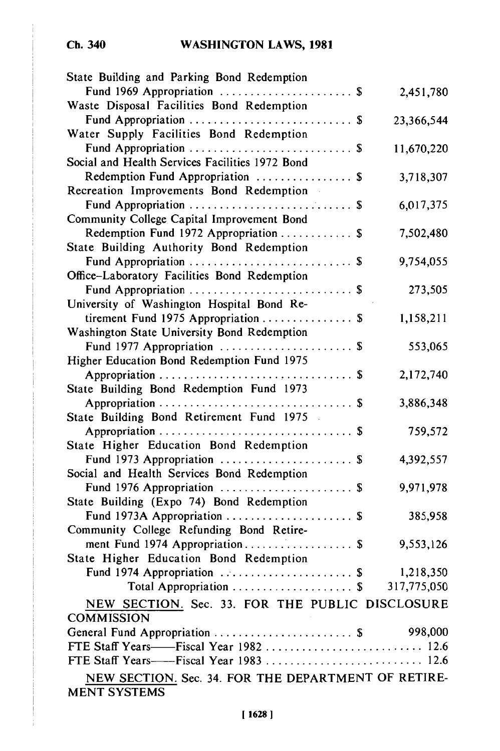## **Ch. 340**

# **WASHINGTON LAWS, 1981**

| State Building and Parking Bond Redemption          |            |
|-----------------------------------------------------|------------|
| Fund 1969 Appropriation  \$                         | 2,451,780  |
| Waste Disposal Facilities Bond Redemption           |            |
| Fund Appropriation  \$                              | 23,366,544 |
| Water Supply Facilities Bond Redemption             |            |
| Fund Appropriation  \$                              | 11,670,220 |
| Social and Health Services Facilities 1972 Bond     |            |
| Redemption Fund Appropriation  \$                   | 3,718,307  |
| Recreation Improvements Bond Redemption             |            |
| Fund Appropriation  \$                              | 6,017,375  |
| Community College Capital Improvement Bond          |            |
| Redemption Fund 1972 Appropriation  \$              | 7,502,480  |
| State Building Authority Bond Redemption            |            |
| Fund Appropriation  \$                              | 9,754,055  |
| Office-Laboratory Facilities Bond Redemption        |            |
| Fund Appropriation  \$                              | 273,505    |
| University of Washington Hospital Bond Re-          |            |
| tirement Fund 1975 Appropriation  \$                | 1,158,211  |
| Washington State University Bond Redemption         |            |
| Fund 1977 Appropriation  \$                         | 553,065    |
| Higher Education Bond Redemption Fund 1975          |            |
|                                                     | 2,172,740  |
| State Building Bond Redemption Fund 1973            |            |
|                                                     | 3,886,348  |
| State Building Bond Retirement Fund 1975            |            |
|                                                     | 759,572    |
| State Higher Education Bond Redemption              |            |
| Fund 1973 Appropriation  \$                         | 4,392,557  |
| Social and Health Services Bond Redemption          |            |
| Fund 1976 Appropriation  \$                         | 9,971,978  |
| State Building (Expo 74) Bond Redemption            |            |
| Fund 1973A Appropriation  \$                        | 385,958    |
| Community College Refunding Bond Retire-            |            |
| ment Fund 1974 Appropriation \$                     | 9,553,126  |
| State Higher Education Bond Redemption              |            |
| Fund 1974 Appropriation  \$                         | 1,218,350  |
| Total Appropriation  \$ 317,775,050                 |            |
| NEW SECTION. Sec. 33. FOR THE PUBLIC DISCLOSURE     |            |
| <b>COMMISSION</b>                                   |            |
| General Fund Appropriation  \$                      | 998,000    |
| FTE Staff Years——Fiscal Year 1982  12.6             |            |
|                                                     |            |
| NEW SECTION. Sec. 34. FOR THE DEPARTMENT OF RETIRE- |            |
| <b>MENT SYSTEMS</b>                                 |            |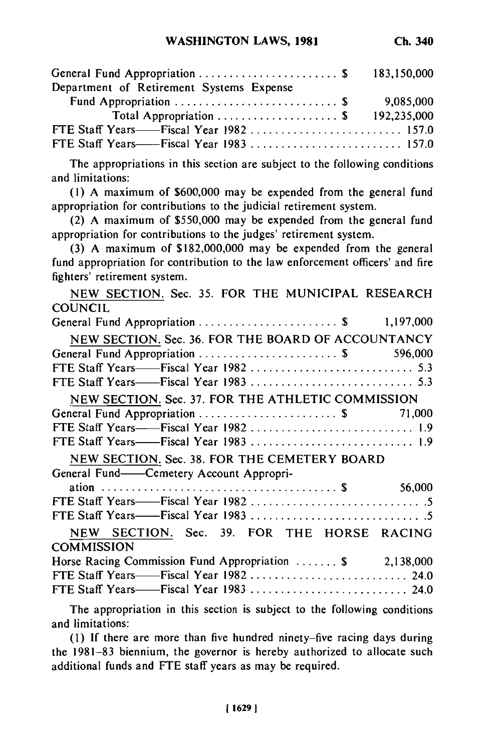| General Fund Appropriation \$ 183,150,000 |           |
|-------------------------------------------|-----------|
| Department of Retirement Systems Expense  |           |
|                                           | 9,085,000 |
| Total Appropriation  \$ 192,235,000       |           |
| FTE Staff Years——Fiscal Year 1982  157.0  |           |
|                                           |           |

The appropriations in this section are subject to the following conditions and limitations:

(1) A maximum of \$600,000 may be expended from the general fund appropriation for contributions to the judicial retirement system.

(2) A maximum of \$550,000 may be expended from the general fund appropriation for contributions to the judges' retirement system.

(3) A maximum of \$182,000,000 may be expended from the general fund appropriation for contribution to the law enforcement officers' and fire fighters' retirement system.

| NEW SECTION. Sec. 35. FOR THE MUNICIPAL RESEARCH         |  |
|----------------------------------------------------------|--|
| <b>COUNCIL</b>                                           |  |
|                                                          |  |
| NEW SECTION. Sec. 36. FOR THE BOARD OF ACCOUNTANCY       |  |
| General Fund Appropriation \$ 596,000                    |  |
|                                                          |  |
|                                                          |  |
| NEW SECTION. Sec. 37. FOR THE ATHLETIC COMMISSION        |  |
| General Fund Appropriation  \$ 71,000                    |  |
|                                                          |  |
|                                                          |  |
| NEW SECTION. Sec. 38. FOR THE CEMETERY BOARD             |  |
| General Fund——Cemetery Account Appropri-                 |  |
|                                                          |  |
|                                                          |  |
|                                                          |  |
| NEW SECTION. Sec. 39. FOR THE HORSE RACING               |  |
| <b>COMMISSION</b>                                        |  |
| Horse Racing Commission Fund Appropriation  \$ 2,138,000 |  |
| FTE Staff Years——Fiscal Year 1982  24.0                  |  |
| FTE Staff Years——Fiscal Year 1983  24.0                  |  |
|                                                          |  |

The appropriation in this section is subject to the following conditions and limitations:

(1) If there are more than five hundred ninety-five racing days during the 1981-83 biennium, the governor is hereby authorized to allocate such additional funds and FTE staff years as may be required.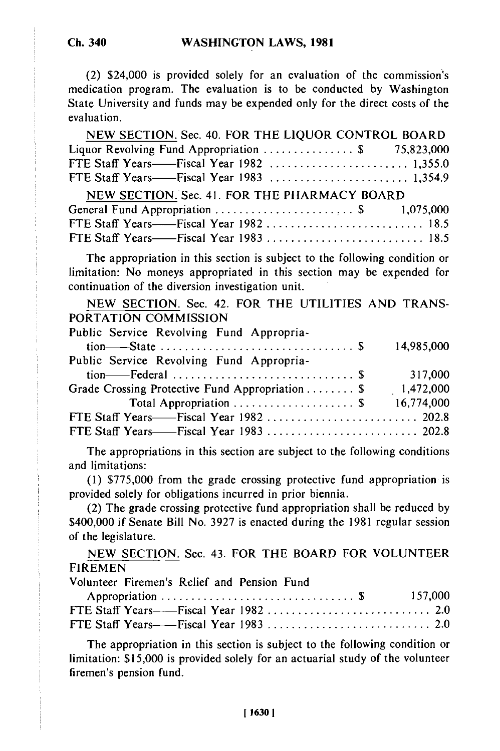(2) \$24,000 is provided solely for an evaluation of the commission's medication program. The evaluation is to be conducted by Washington State University and funds may be expended only for the direct costs of the evaluation.

| NEW SECTION. Sec. 40. FOR THE LIQUOR CONTROL BOARD |  |
|----------------------------------------------------|--|
| Liquor Revolving Fund Appropriation  \$ 75,823,000 |  |
|                                                    |  |
|                                                    |  |
| NEW SECTION. Sec. 41. FOR THE PHARMACY BOARD       |  |
|                                                    |  |
| FTE Staff Years——Fiscal Year 1982  18.5            |  |
|                                                    |  |

The appropriation in this section is subject to the following condition or limitation: No moneys appropriated in this section may be expended for continuation of the diversion investigation unit.

NEW SECTION. Sec. 42. FOR THE UTILITIES AND TRANS-PORTATION COMMISSION Public Service Revolving Fund Appropria-

| Tublic Octivity Revolving Tund reppropria        |            |
|--------------------------------------------------|------------|
|                                                  | 14,985,000 |
| Public Service Revolving Fund Appropria-         |            |
|                                                  | 317,000    |
| Grade Crossing Protective Fund Appropriation  \$ | 1,472,000  |
| Total Appropriation  \$                          | 16,774,000 |
|                                                  |            |
|                                                  |            |

The appropriations in this section are subject to the following conditions and limitations:

(1) \$775,000 from the grade crossing protective fund appropriation is provided solely for obligations incurred in prior biennia.

(2) The grade crossing protective fund appropriation shall be reduced by \$400,000 if Senate Bill No. 3927 is enacted during the 1981 regular session of the legislature.

NEW SECTION. Sec. 43. FOR THE BOARD FOR VOLUNTEER FIREMEN

Volunteer Firemen's Relief and Pension Fund

The appropriation in this section is subject to the following condition or limitation: \$15,000 is provided solely for an actuarial study of the volunteer firemen's pension fund.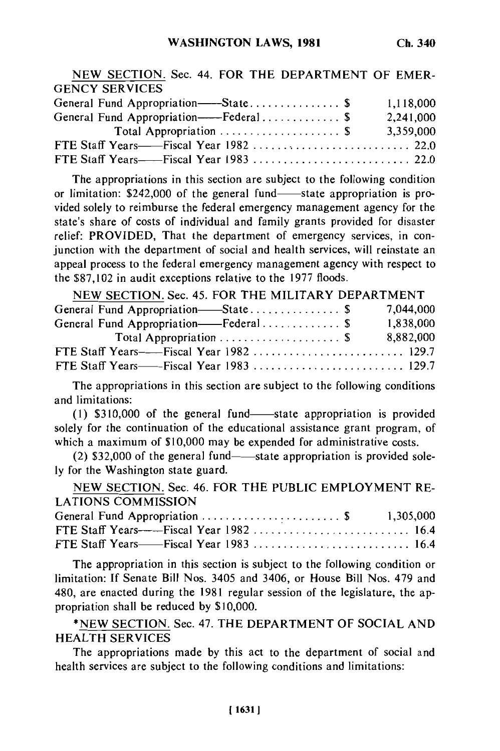| NEW SECTION. Sec. 44. FOR THE DEPARTMENT OF EMER- |           |
|---------------------------------------------------|-----------|
| <b>GENCY SERVICES</b>                             |           |
| General Fund Appropriation——State\$               | 1,118,000 |
| General Fund Appropriation----Federal\$           | 2,241,000 |
| Total Appropriation  \$                           | 3,359,000 |
|                                                   |           |
|                                                   |           |

The appropriations in this section are subject to the following condition or limitation: \$242,000 of the general fund—state appropriation is provided solely to reimburse the federal emergency management agency for the state's share of costs of individual and family grants provided for disaster relief: PROVIDED, That the department of emergency services, in conjunction with the department of social and health services, will reinstate an appeal process to the federal emergency management agency with respect to the \$87,102 in audit exceptions relative to the 1977 floods.

| NEW SECTION. Sec. 45. FOR THE MILITARY DEPARTMENT        |           |
|----------------------------------------------------------|-----------|
| General Fund Appropriation—State \$                      | 7.044.000 |
| General Fund Appropriation——Federal \$                   | 1,838,000 |
| Total Appropriation $\ldots \ldots \ldots \ldots \ldots$ | 8,882,000 |
|                                                          |           |
|                                                          |           |

The appropriations in this section are subject to the following conditions and limitations:

 $(1)$  \$310,000 of the general fund—state appropriation is provided solely for the continuation of the educational assistance grant program, of which a maximum of \$10,000 may be expended for administrative costs.

 $(2)$  \$32,000 of the general fund—state appropriation is provided solely for the Washington state guard.

NEW SECTION. Sec. 46. FOR THE PUBLIC EMPLOYMENT RE-LATIONS COMMISSION

| General Fund Appropriation  \$ 1,305,000 |  |
|------------------------------------------|--|
|                                          |  |
| FTE Staff Years——Fiscal Year 1983  16.4  |  |

The appropriation in this section is subject to the following condition or limitation: If Senate Bill Nos. 3405 and 3406, or House Bill Nos. 479 and 480, are enacted during the 1981 regular session of the legislature, the appropriation shall be reduced by \$10,000.

\*NEW SECTION. Sec. 47. THE DEPARTMENT OF SOCIAL AND HEALTH SERVICES

The appropriations made by this act to the department of social and health services are subject to the following conditions and limitations: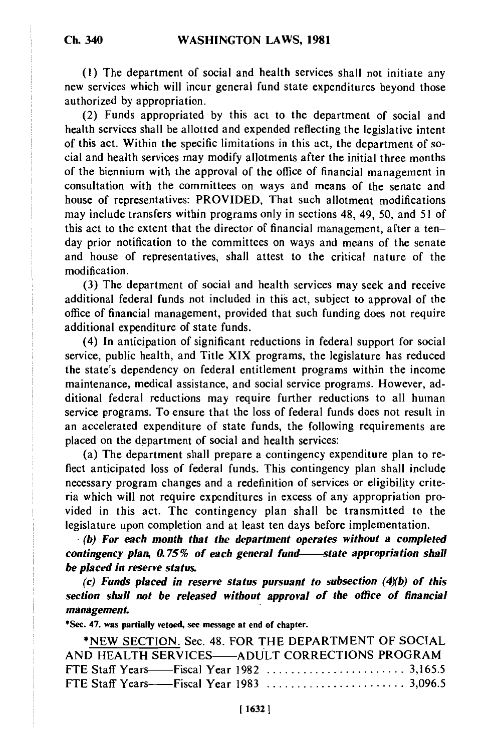**(1)** The department of social and health services shall not initiate any new services which will incur general fund state expenditures beyond those authorized by appropriation.

(2) Funds appropriated by this act to the department of social and health services shall be allotted and expended reflecting the legislative intent of this act. Within the specific limitations in this act, the department of social and health services may modify allotments after the initial three months of the biennium with the approval of the office of financial management in consultation with the committees on ways and means of the senate and house of representatives: PROVIDED, That such allotment modifications may include transfers within programs only in sections 48, 49, 50, and 51 of this act to the extent that the director of financial management, after a tenday prior notification to the committees on ways and means of the senate and house of representatives, shall attest to the critical nature of the modification.

(3) The department of social and health services may seek and receive additional federal funds not included in this act, subject to approval of the office of financial management, provided that such funding does not require additional expenditure of state funds.

(4) In anticipation of significant reductions in federal support for social service, public health, and Title XIX programs, the legislature has reduced the state's dependency on federal entitlement programs within the income maintenance, medical assistance, and social service programs. However, additional federal reductions may require further reductions to all human service programs. To ensure that the loss of federal funds does not result in an accelerated expenditure of state funds, the following requirements are placed on the department of social and health services:

(a) The department shall prepare a contingency expenditure plan to reflect anticipated loss of federal funds. This contingency plan shall include necessary program changes and a redefinition of services or eligibility criteria which will not require expenditures in excess of any appropriation provided in this act. The contingency plan shall be transmitted to the vided in this act. The contingency plan shall be transmitted to **(b)** *For each month that the department operates without a completed*

*(b)* For each month that the department operates without a completed contingency plan, 0.75% of each general fund—state appropriation shall *be placed in reserve status.*

*(c) Funds placed in reserve status pursuant to subsection (4)b) of this section shall not be released without approval of the office of financial management* **\*** *Sec. 47. was partially vertice***.** 

**. 47. Was partially velocu, see message at enu of chapter.**<br> **ACCESS** 

| *NEW SECTION. Sec. 48. FOR THE DEPARTMENT OF SOCIAL |  |
|-----------------------------------------------------|--|
| AND HEALTH SERVICES-ADULT CORRECTIONS PROGRAM       |  |
|                                                     |  |
|                                                     |  |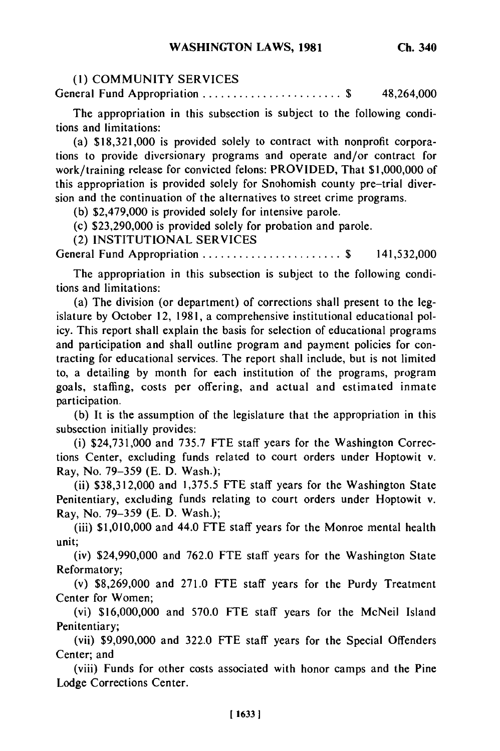### **(1)** COMMUNITY SERVICES

General Fund Appropriation ..............................\$ 48,264,000

The appropriation in this subsection is subject to the following conditions and limitations:

(a) \$18,321,000 is provided solely to contract with nonprofit corporations to provide diversionary programs and operate and/or contract for work/training release for convicted felons: PROVIDED, That \$1,000,000 of this appropriation is provided solely for Snohomish county pre-trial diversion and the continuation of the alternatives to street crime programs.

(b) \$2,479,000 is provided solely for intensive parole.

(c) \$23,290,000 is provided solely for probation and parole.

(2) INSTITUTIONAL SERVICES

General Fund Appropriation .............................\$ 141,532,000

The appropriation in this subsection is subject to the following conditions and limitations:

(a) The division (or department) of corrections shall present to the legislature by October 12, 1981, a comprehensive institutional educational policy. This report shall explain the basis for selection of educational programs and participation and shall outline program and payment policies for contracting for educational services. The report shall include, but is not limited to, a detailing by month for each institution of the programs, program goals, staffing, costs per offering, and actual and estimated inmate participation.

(b) It is the assumption of the legislature that the appropriation in this subsection initially provides:

(i) \$24,731,000 and 735.7 FTE staff years for the Washington Corrections Center, excluding funds related to court orders under Hoptowit v. Ray, No. 79-359 (E. D. Wash.);

(ii) \$38,312,000 and 1,375.5 **FTE** staff years for the Washington State Penitentiary, excluding funds relating to court orders under Hoptowit v. Ray, No. 79-359 (E. D. Wash.);

(iii) \$1,010,000 and 44.0 FTE staff years for the Monroe mental health unit;

(iv) \$24,990,000 and 762.0 FTE staff years for the Washington State Reformatory;

(v) \$8,269,000 and 271.0 **FTE** staff years for the Purdy Treatment Center for Women;

(vi) \$16,000,000 and 570.0 FTE staff years for the McNeil Island Penitentiary;

(vii) \$9,090,000 and 322.0 **FTE** staff years for the Special Offenders Center; and

(viii) Funds for other costs associated with honor camps and the Pine Lodge Corrections Center.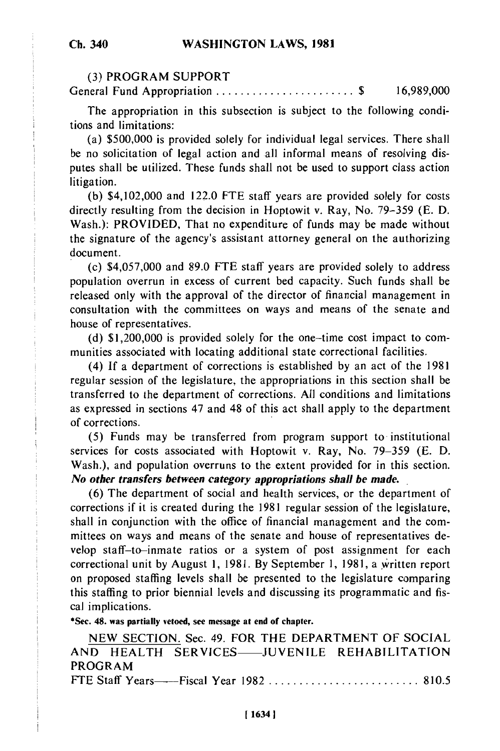### **(3)** PROGRAM SUPPORT

General Fund Appropriation ....................... **\$** 16,989,000

The appropriation in this subsection is subject to the following conditions and limitations:

(a) \$500,000 is provided solely for individual legal services. There shall be no solicitation of legal action and all informal means of resolving disputes shall be utilized. These funds shall not be used to support class action litigation.

(b) \$4,102,000 and 122.0 FTE staff years are provided solely for costs directly resulting from the decision in Hoptowit v. Ray, No. 79-359 **(E.** D. Wash.): PROVIDED, That no expenditure of funds may be made without the signature of the agency's assistant attorney general on the authorizing document.

(c) \$4,057,000 and 89.0 **FTE** staff years are provided solely to address population overrun in excess of current bed capacity. Such funds shall be released only with the approval of the director of financial management in consultation with the committees on ways and means of the senate and house of representatives.

**(d)** \$1,200,000 is provided solely for the one-time cost impact to communities associated with locating additional state correctional facilities.

(4) If a department of corrections is established by an act of the 1981 regular session of the legislature, the appropriations in this section shall be transferred to the department of corrections. All conditions and limitations as expressed in sections 47 and 48 of this act shall apply to the department of corrections.

**(5)** Funds may be transferred from program support to institutional services for costs associated with Hoptowit v. Ray, No. 79-359 (E. D. Wash.), and population overruns to the extent provided for in this section. *No other transfers between category appropriations shall be made.*

**(6)** The department of social and health services, or the department of corrections if it is created during the **1981** regular session of the legislature, shall in conjunction with the office of financial management and the committees on ways and means of the senate and house of representatives develop staff-to-inmate ratios or a system of post assignment for each correctional unit **by** August **1, 1981. By** September **1, 1981,** a written report on proposed staffing levels shall be presented to the legislature comparing this staffing to prior biennial levels and discussing its programmatic and fiscal implications.

**\*Sec. 48. was partially vetoed, see message at end of chapter.**

NEW SECTION. Sec. 49. FOR THE DEPARTMENT OF SOCIAL AND HEALTH SERVICES-JUVENILE REHABILITATION PROGRAM

FTE Staff Years- Fiscal Year 1982 ......................... 810.5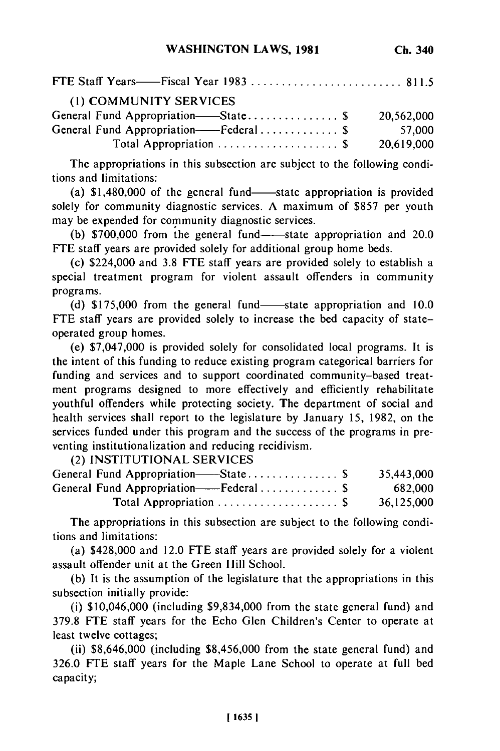| FTE Staff Years——Fiscal Year 1983  811.5 |            |
|------------------------------------------|------------|
| (1) COMMUNITY SERVICES                   |            |
| General Fund Appropriation—State\$       | 20.562.000 |
| General Fund Appropriation——Federal  \$  | 57,000     |
| Total Appropriation  \$                  | 20,619,000 |

The appropriations in this subsection are subject to the following conditions and limitations:

(a)  $$1,480,000$  of the general fund—state appropriation is provided solely for community diagnostic services. A maximum of \$857 per youth may be expended for community diagnostic services.

(b)  $$700,000$  from the general fund-state appropriation and 20.0 FTE staff years are provided solely for additional group home beds.

(c) \$224,000 and 3.8 FTE staff years are provided solely to establish a special treatment program for violent assault offenders in community programs.

(d) \$175,000 from the general fund—state appropriation and 10.0 **FTE** staff years are provided solely to increase the bed capacity of stateoperated group homes.

(e) \$7,047,000 is provided solely for consolidated local programs. It is the intent of this funding to reduce existing program categorical barriers for funding and services and to support coordinated community-based treatment programs designed to more effectively and efficiently rehabilitate youthful offenders while protecting society. The department of social and health services shall report to the legislature by January 15, 1982, on the services funded under this program and the success of the programs in preventing institutionalization and reducing recidivism.

(2) INSTITUTIONAL SERVICES

| 35,443,000 |
|------------|
| 682,000    |
| 36.125.000 |
|            |

The appropriations in this subsection are subject to the following conditions and limitations:

(a) \$428,000 and 12.0 FTE staff years are provided solely for a violent assault offender unit at the Green Hill School.

(b) It is the assumption of the legislature that the appropriations in this subsection initially provide:

(i) \$10,046,000 (including \$9,834,000 from the state general fund) and 379.8 **FTE** staff years for the Echo Glen Children's Center to operate at least twelve cottages;

(ii) \$8,646,000 (including \$8,456,000 from the state general fund) and 326.0 **FTE** staff years for the Maple Lane School to operate at full bed capacity;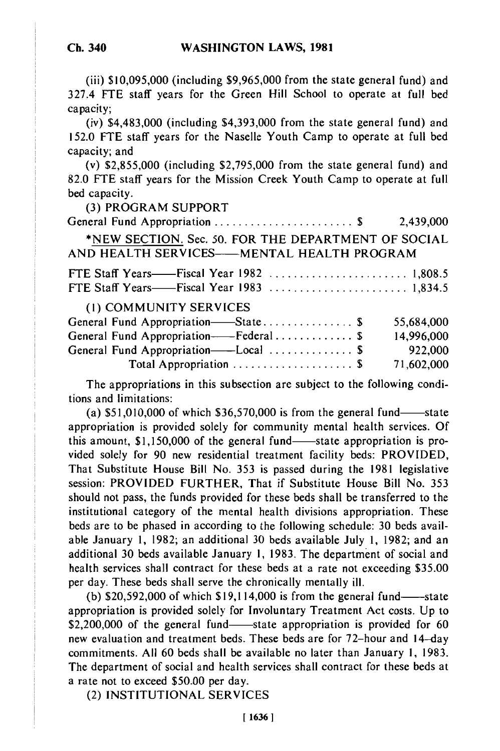(iii) \$10,095,000 (including \$9,965,000 from the state general fund) and 327.4 FTE staff years for the Green Hill School to operate at full bed capacity;

(iv) \$4,483,000 (including \$4,393,000 from the state general fund) and 152.0 FTE staff years for the Naselle Youth Camp to operate at full bed capacity; and

(v) \$2,855,000 (including \$2,795,000 from the state general fund) and 82.0 **FTE** staff years for the Mission Creek Youth Camp to operate at full bed capacity.

(3) PROGRAM SUPPORT

General Fund Appropriation ....................... \$ 2,439,000 \*NEW SECTION. Sec. 50. FOR THE DEPARTMENT OF SOCIAL AND HEALTH SERVICES-MENTAL HEALTH PROGRAM FTE Staff Years——Fiscal Year 1982 ............................ 1,808.5

**FTE Staff Years——Fiscal Year 1983** ............................ 1,834.5 (1) COMMUNITY SERVICES General Fund Appropriation-State 55,684,000

| 14,996,000 |
|------------|
| 922,000    |
| 71,602,000 |
|            |

The appropriations in this subsection are subject to the following conditions and limitations:

(a)  $$51,010,000$  of which  $$36,570,000$  is from the general fund-state appropriation is provided solely for community mental health services. Of this amount,  $$1,150,000$  of the general fund-state appropriation is provided solely for 90 new residential treatment facility beds: PROVIDED, That Substitute House Bill No. 353 is passed during the 1981 legislative session: PROVIDED FURTHER, That if Substitute House Bill No. 353 should not pass, the funds provided for these beds shall be transferred to the institutional category of the mental health divisions appropriation. These beds are to be phased in according to the following schedule: 30 beds available January 1, 1982; an additional 30 beds available July 1, 1982; and an additional 30 beds available January 1, 1983. The department of social and health services shall contract for these beds at a rate not exceeding \$35.00 per day. These beds shall serve the chronically mentally ill.

(b)  $$20,592,000$  of which  $$19,114,000$  is from the general fund----state appropriation is provided solely for Involuntary Treatment Act costs. Up to \$2,200,000 of the general fund—state appropriation is provided for 60 new evaluation and treatment beds. These beds are for 72-hour and 14-day commitments. All 60 beds shall be available no later than January 1, 1983. The department of social and health services shall contract for these beds at a rate not to exceed \$50.00 per day.

(2) INSTITUTIONAL SERVICES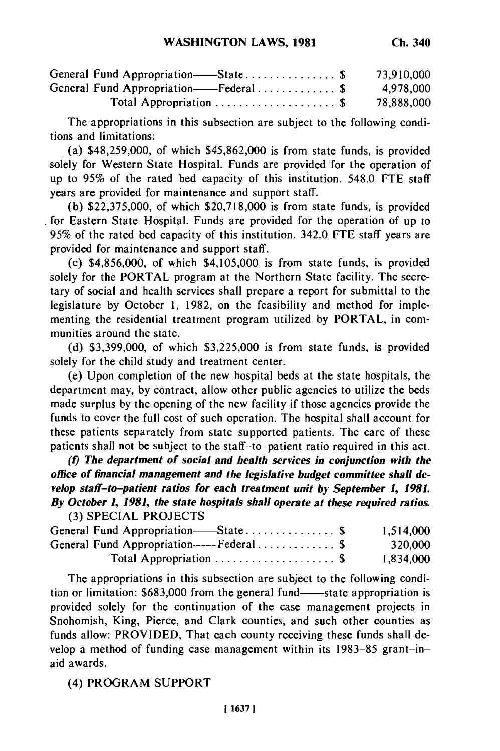| General Fund Appropriation—State \$                      | 73,910,000 |
|----------------------------------------------------------|------------|
| General Fund Appropriation——Federal\$                    | 4,978,000  |
| Total Appropriation $\ldots \ldots \ldots \ldots \ldots$ | 78,888,000 |

The appropriations in this subsection are subject to the following conditions and limitations:

(a) \$48,259,000, of which \$45,862,000 is from state funds, is provided solely for Western State Hospital. Funds are provided for the operation of up to **95%** of the rated bed capacity of this institution. 548.0 FTE staff years are provided for maintenance and support staff.

(b) \$22,375,000, of which \$20,718,000 is from state funds, is provided for Eastern State Hospital. Funds are provided for the operation of up to 95% of the rated bed capacity of this institution. 342.0 FTE staff years are provided for maintenance and support staff.

(c) \$4,856,000, of which \$4,105,000 is from state funds, is provided solely for the PORTAL program at the Northern State facility. The secretary of social and health services shall prepare a report for submittal to the legislature by October 1, 1982, on the feasibility and method for implementing the residential treatment program utilized by PORTAL, in communities around the state.

(d) \$3,399,000, of which \$3,225,000 is from state funds, is provided solely for the child study and treatment center.

(e) Upon completion of the new hospital beds at the state hospitals, the department may, by contract, allow other public agencies to utilize the beds made surplus by the opening of the new facility if those agencies provide the funds to cover the full cost of such operation. The hospital shall account for these patients separately from state-supported patients. The care of these patients shall not be subject to the staff-to-patient ratio required in this act.

*(1) The department of social and health services in conjunction with the office of financial management and the legislative budget committee shall develop staff-to-patient ratios for each treatment unit by September 1, 1981. By October 1, 1981, the state hospitals shall operate at these required ratios.* **(3)** SPECIAL PROJECTS

| General Fund Appropriation—State \$     | 1,514,000 |
|-----------------------------------------|-----------|
| General Fund Appropriation----Federal\$ | 320,000   |
| Total Appropriation  \$                 | 1,834,000 |

The appropriations in this subsection are subject to the following condition or limitation: \$683,000 from the general fund—state appropriation is provided solely for the continuation of the case management projects in Snohomish, King, Pierce, and Clark counties, and such other counties as funds allow: PROVIDED, That each county receiving these funds shall develop a method of funding case management within its 1983-85 grant-inaid awards.

(4) PROGRAM SUPPORT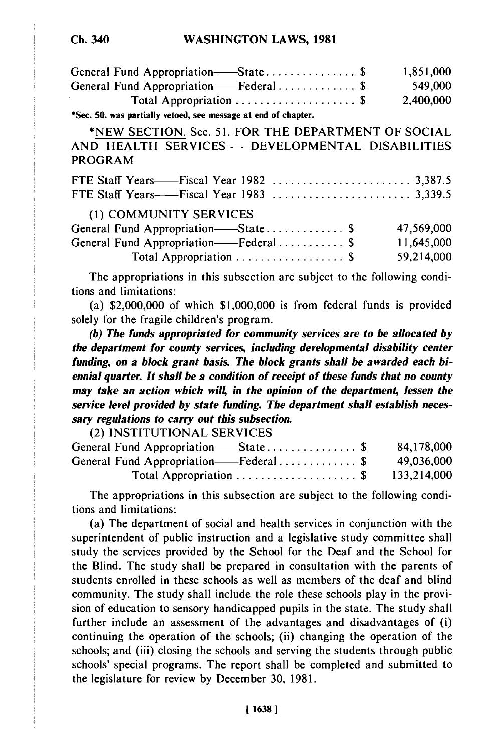| ÷ū. | i40 |
|-----|-----|
|     |     |

| General Fund Appropriation—State\$                                        | 1,851,000  |
|---------------------------------------------------------------------------|------------|
| General Fund Appropriation——Federal\$                                     | 549,000    |
| Total Appropriation  \$                                                   | 2,400,000  |
| *Sec. 50. was partially vetoed, see message at end of chapter.            |            |
| *NEW SECTION. Sec. 51. FOR THE DEPARTMENT OF SOCIAL                       |            |
| AND HEALTH SERVICES---- DEVELOPMENTAL DISABILITIES                        |            |
| PROGRAM                                                                   |            |
|                                                                           |            |
|                                                                           |            |
| (1) COMMUNITY SERVICES                                                    |            |
| General Fund Appropriation—State \$                                       | 47,569,000 |
| General Fund Appropriation——Federal \$                                    | 11,645,000 |
| Total Appropriation  \$                                                   | 59,214,000 |
| The appropriations in this subsection are subject to the following condi- |            |

tions and limitations: (a) \$2,000,000 of which \$1,000,000 is from federal funds is provided solely for the fragile children's program.

*(b) The funds appropriated for community services are to be allocated by the department for county services, including developmental disability center funding, on a block grant basis. The block grants shall be awarded each biennial quarter. It shall be a condition of receipt of these funds that no county may take an action which will, in the opinion of the department, lessen the service level provided by state funding. The department shall establish necessary regulations to carry out this subsection.*

(2) **INSTITUTIONAL SERVICES** General Fund Appropriation- State ............... **\$ 84,178,000** General Fund Appropriation- Federal ............. **\$** 49,036,000 Total Appropriation .................... **\$** 133,214,000

The appropriations in this subsection are subject to the following conditions and limitations:

(a) The department of social and health services in conjunction with the superintendent of public instruction and a legislative study committee shall study the services provided **by** the School for the Deaf and the School for the Blind. The study shall be prepared in consultation with the parents of students enrolled in these schools as well as members of the deaf and blind community. The study shall include the role these schools play in the provision of education to sensory handicapped pupils in the state. The study shall further include an assessment of the advantages and disadvantages of (i) continuing the operation of the schools; (ii) changing the operation of the schools; and (iii) closing the schools and serving the students through public schools' special programs. The report shall be completed and submitted to the legislature for review **by** December **30, 1981.**

**[16381**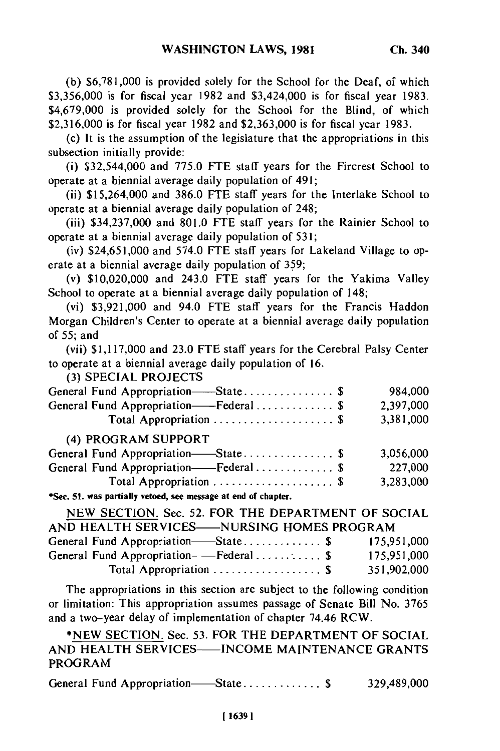**(b)** \$6,781,000 is provided solely for the School for the Deaf, of which \$3,356,000 is for fiscal year 1982 and \$3,424,000 is for fiscal year 1983. \$4,679,000 is provided solely for the School for the Blind, of which \$2,316,000 is for fiscal year 1982 and \$2,363,000 is for fiscal year 1983.

(c) It is the assumption of the legislature that the appropriations in this subsection initially provide:

(i) \$32,544,000 and 775.0 **FTE** staff years for the Fircrest School to operate at a biennial average daily population of 491;

(ii) \$15,264,000 and 386.0 FTE staff years for the Interlake School to operate at a biennial average daily population of 248;

(iii) \$34,237,000 and 801.0 FTE staff years for the Rainier School to operate at a biennial average daily population of 531;

(iv) \$24,651,000 and 574.0 FTE staff years for Lakeland Village to operate at a biennial average daily population of 359;

(v) \$10,020,000 and 243.0 FTE staff years for the Yakima Valley School to operate at a biennial average daily population of 148;

(vi) \$3,921,000 and 94.0 FTE staff years for the Francis Haddon Morgan Children's Center to operate at a biennial average daily population of 55; and

(vii) \$1,117,000 and 23.0 FTE staff years for the Cerebral Palsy Center to operate at a biennial average daily population of 16.

(3) SPECIAL PROJECTS

| $1.31$ of Lemma in $0.32$                                     |           |
|---------------------------------------------------------------|-----------|
| General Fund Appropriation-State \$                           | 984,000   |
| General Fund Appropriation——Federal \$                        | 2,397,000 |
| Total Appropriation  \$                                       | 3,381,000 |
| (4) PROGRAM SUPPORT                                           |           |
| General Fund Appropriation-State\$                            | 3,056,000 |
| General Fund Appropriation-Federal \$                         | 227,000   |
| Total Appropriation  \$                                       | 3,283,000 |
| *Sec. 51, was nortially vetoed, see message at end of chanter |           |

| NEW SECTION. Sec. 52. FOR THE DEPARTMENT OF SOCIAL |                         |  |             |
|----------------------------------------------------|-------------------------|--|-------------|
| AND HEALTH SERVICES-NURSING HOMES PROGRAM          |                         |  |             |
| General Fund Appropriation-State\$ 175,951,000     |                         |  |             |
| General Fund Appropriation——Federal \$             |                         |  | 175,951,000 |
|                                                    | Total Appropriation  \$ |  | 351,902,000 |

The appropriations in this section are subject to the following condition or limitation: This appropriation assumes passage of Senate Bill No. 3765 or initiation. This appropriation assumes passage or Schate Br.<br>and a two-year delay of implementation of chapter 74.46 RCW.  $\alpha$  two-year usial of implementation of chapter 74.40 KCW.

\*NEW SECTION. Sec. 53. FOR THE DEPARTMENT OF SOCIAL<br>AND HEALTH SERVICES----INCOME MAINTENANCE GRANTS PROGRAM

General Fund Appropriation—State ................. \$ 329,489,000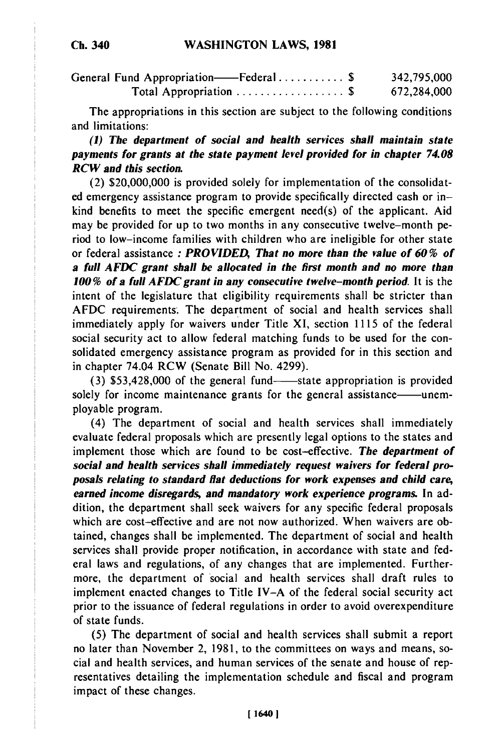| General Fund Appropriation——Federal \$ | 342,795,000 |
|----------------------------------------|-------------|
| Total Appropriation  \$                | 672,284,000 |

The appropriations in this section are subject to the following conditions and limitations:

### *(1) The department of social and health services shall maintain state payments for grants at the state payment level provided for in chapter 74.08 RCW and this section.*

(2) \$20,000,000 is provided solely for implementation of the consolidated emergency assistance program to provide specifically directed cash or inkind benefits to meet the specific emergent need(s) of the applicant. Aid may be provided for up to two months in any consecutive twelve-month period to low-income families with children who are ineligible for other state or federal assistance *: PROVIDED, That no more than the value of 60 % of a full AFDC grant shall be allocated in the first month and no more than 100 % of a full AFDC grant in any consecutive twelve-month period.* **It** is the intent of the legislature that eligibility requirements shall be stricter than AFDC requirements. The department of social and health services shall immediately apply for waivers under Title XI, section 1115 of the federal social security act to allow federal matching funds to be used for the consolidated emergency assistance program as provided for in this section and in chapter 74.04 RCW (Senate Bill No. 4299).

(3) \$53,428,000 of the general fund-state appropriation is provided solely for income maintenance grants for the general assistance—unemployable program.

(4) The department of social and health services shall immediately evaluate federal proposals which are presently legal options to the states and implement those which are found to be cost-effective. *The department of social and health services shall immediately request waivers for federal proposals relating to standard flat deductions for work expenses and child care, earned income disregards, and mandatory work experience programs.* In addition, the department shall seek waivers for any specific federal proposals which are cost-effective and are not now authorized. When waivers are obtained, changes shall be implemented. The department of social and health services shall provide proper notification, in accordance with state and federal laws and regulations, of any changes that are implemented. Furthermore, the department of social and health services shall draft rules to implement enacted changes to Title IV-A of the federal social security act prior to the issuance of federal regulations in order to avoid overexpenditure of state funds.

(5) The department of social and health services shall submit a report no later than November 2, 1981, to the committees on ways and means, social and health services, and human services of the senate and house of representatives detailing the implementation schedule and fiscal and program impact of these changes.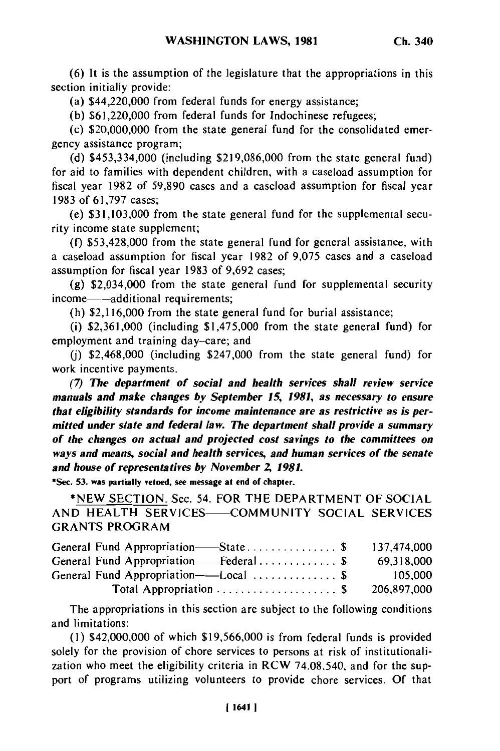**(6)** It is the assumption of the legislature that the appropriations in this section initially provide:

(a) \$44,220,000 from federal funds for energy assistance;

(b) \$61,220,000 from federal funds for Indochinese refugees;

(c) \$20,000,000 from the state general fund for the consolidated emergency assistance program;

(d) \$453,334,000 (including \$219,086,000 from the state general fund) for aid to families with dependent children, with a caseload assumption for fiscal year 1982 of 59,890 cases and a caseload assumption for fiscal year 1983 of 61,797 cases;

(e) \$31,103,000 from the state general fund for the supplemental security income state supplement;

(f) \$53,428,000 from the state general fund for general assistance, with a caseload assumption for fiscal year 1982 of 9,075 cases and a caseload assumption for fiscal year 1983 of 9,692 cases;

(g) \$2,034,000 from the state general fund for supplemental security income—additional requirements;

(h) \$2,116,000 from the state general fund for burial assistance;

(i) \$2,361,000 (including \$1,475,000 from the state general fund) for employment and training day-care; and

**(j)** \$2,468,000 (including \$247,000 from the state general fund) for work incentive payments.

*(7) The department of social and health services shall review service manuals and make changes by September 15, 1981, as necessary to ensure that eligibility standards for income maintenance are as restrictive as is permitted under state and federal law. The department shall provide a summary of the changes on actual and projected cost savings to the committees on ways and means, social and health services, and human services of the senate and house of representatives by November 2, 1981.*

**\*See. 53. was partially vetoed, see message at end of chapter.**

**\*NEW SECTION.** Sec. 54. FOR THE DEPARTMENT OF **SOCIAL AND** HEALTH **SERVICES- COMMUNITY SOCIAL SERVICES** GRANTS PROGRAM

| General Fund Appropriation—State\$                       | 137,474,000 |
|----------------------------------------------------------|-------------|
| General Fund Appropriation——Federal\$                    | 69,318,000  |
| General Fund Appropriation——Local  \$                    | 105,000     |
| Total Appropriation $\ldots \ldots \ldots \ldots \ldots$ | 206,897,000 |

The appropriations in this section are subject to the following conditions and limitations:

**(I)** \$42,000,000 of which **\$19,566,000** is from federal funds is provided solely for the provision of chore services to persons at risk of institutionalization who meet the eligibility criteria in RCW 74.08.540, and for the support of programs utilizing volunteers to provide chore services. **Of** that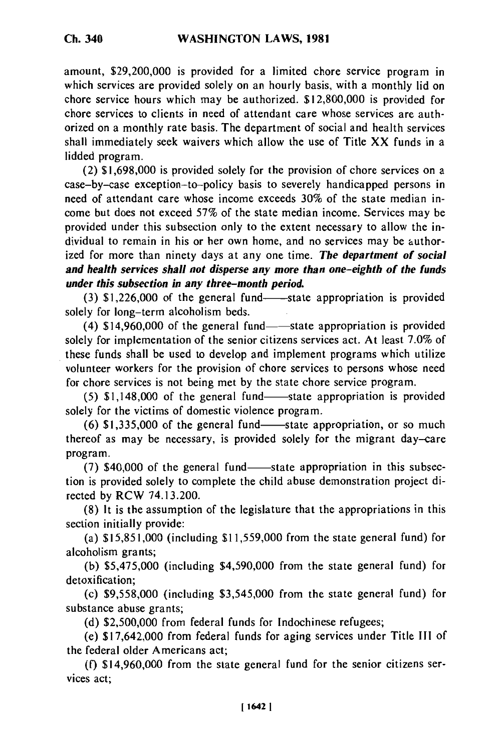amount, \$29,200,000 is provided for a limited chore service program in which services are provided solely on an hourly basis, with a monthly lid on chore service hours which may be authorized. \$12,800,000 is provided for chore services to clients in need of attendant care whose services are authorized on a monthly rate basis. The department of social and health services shall immediately seek waivers which allow the use of Title XX funds in a lidded program.

(2) \$1,698,000 is provided solely for the provision of chore services on a case-by-case exception-to-policy basis to severely handicapped persons in need of attendant care whose income exceeds 30% of the state median income but does not exceed 57% of the state median income. Services may be provided under this subsection only to the extent necessary to allow the individual to remain in his or her own home, and no services may be authorized for more than ninety days at any one time. *The department of social and health services shall not disperse any more than one-eighth of the funds under this subsection in any three-month period.*

 $(3)$  \$1,226,000 of the general fund- $-$ -state appropriation is provided solely for long-term alcoholism beds.

(4) \$14,960,000 of the general fund—state appropriation is provided solely for implementation of the senior citizens services act. At least 7.0% of these funds shall be used to develop and implement programs which utilize volunteer workers for the provision of chore services to persons whose need for chore services is not being met by the state chore service program.

 $(5)$  \$1,148,000 of the general fund-state appropriation is provided solely for the victims of domestic violence program.

 $(6)$  \$1,335,000 of the general fund—state appropriation, or so much thereof as may be necessary, is provided solely for the migrant day-care program.

 $(7)$  \$40,000 of the general fund—state appropriation in this subsection is provided solely to complete the child abuse demonstration project directed by RCW 74.13.200.

(8) It is the assumption of the legislature that the appropriations in this section initially provide:

(a) \$15,851,000 (including \$11,559,000 from the state general fund) for alcoholism grants;

(b) \$5,475,000 (including \$4,590,000 from the state general fund) for detoxification;

(c) \$9,558,000 (including \$3,545,000 from the state general fund) for substance abuse grants;

(d) \$2,500,000 from federal funds for Indochinese refugees;

(e) \$17,642,000 from federal funds for aging services under Title III of the federal older Americans act;

(f) \$14,960,000 from the state general fund for the senior citizens services act;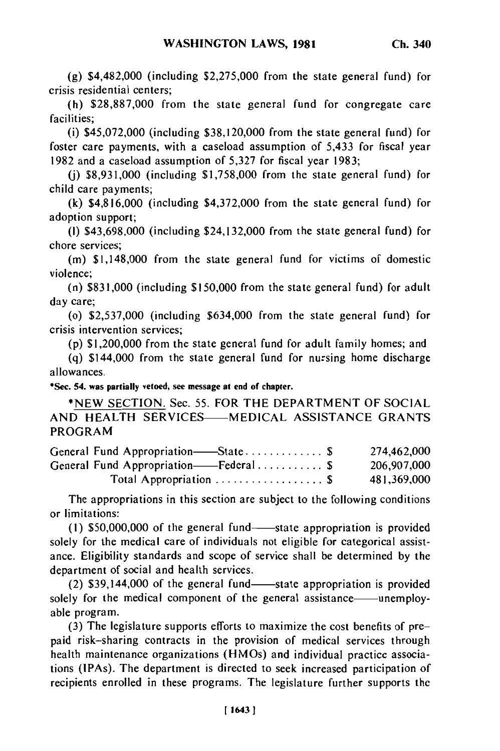**(g)** \$4,482,000 (including \$2,275,000 from the state general fund) for crisis residential centers;

(h) \$28,887,000 from the state general fund for congregate care facilities;

(i) \$45,072,000 (including \$38,120,000 from the state general fund) for foster care payments, with a caseload assumption of 5,433 for fiscal year 1982 and a caseload assumption of 5,327 for fiscal year 1983;

**(j)** \$8,931,000 (including \$1,758,000 from the state general fund) for child care payments;

(k) \$4,816,000 (including \$4,372,000 from the state general fund) for adoption support;

(I) \$43,698,000 (including \$24,132,000 from the state general fund) for chore services;

(m) \$1,148,000 from the state general fund for victims of domestic violence;

(n) \$831,000 (including \$150,000 from the state general fund) for adult day care;

(o) \$2,537,000 (including \$634,000 from the state general fund) for crisis intervention services;

(p) \$1,200,000 from the state general fund for adult family homes; and

(q) \$144,000 from the state general fund for nursing home discharge allowances.

**\*Sec. 54. was partially vetoed, see message at end of chapter.**

**\*NEW** SECTION. Sec. 55. FOR THE DEPARTMENT OF SOCIAL AND HEALTH SERVICES---- MEDICAL ASSISTANCE GRANTS PROGRAM

| General Fund Appropriation——State \$                        | 274,462,000 |
|-------------------------------------------------------------|-------------|
| General Fund Appropriation——Federal\$                       | 206,907,000 |
| Total Appropriation $\ldots \ldots \ldots \ldots \ldots$ \$ | 481,369,000 |

The appropriations in this section are subject to the following conditions or limitations:

 $(1)$  \$50,000,000 of the general fund-state appropriation is provided solely for the medical care of individuals not eligible for categorical assistance. Eligibility standards and scope of service shall be determined by the department of social and health services.

 $(2)$  \$39,144,000 of the general fund-state appropriation is provided solely for the medical component of the general assistance—unemployable program.

(3) The legislature supports efforts to maximize the cost benefits of prepaid risk-sharing contracts in the provision of medical services through health maintenance organizations (HMOs) and individual practice associations (IPAs). The department is directed to seek increased participation of recipients enrolled in these programs. The legislature further supports the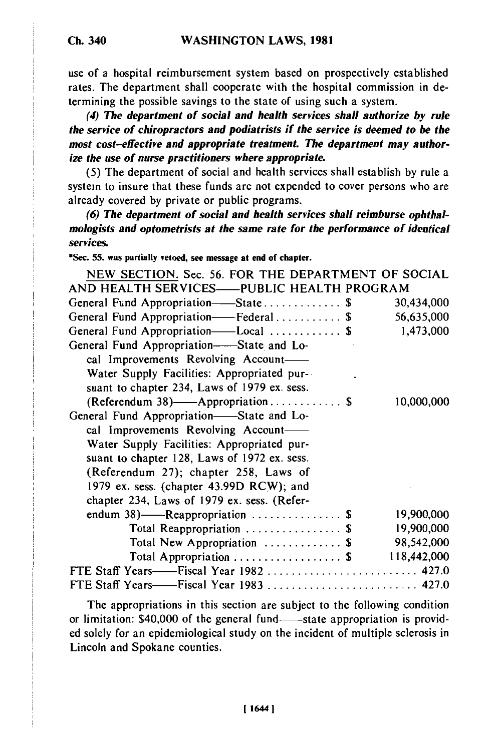use of a hospital reimbursement system based on prospectively established rates. The department shall cooperate with the hospital commission in determining the possible savings to the state of using such a system.

*(4) The department of social and health services shall authorize by rule the service of chiropractors and podiatrists if the service is deemed to be the most cost-effective and appropriate treatment. The department may authorize the use of nurse practitioners where appropriate.*

**(5)** The department of social and health services shall establish by rule a system to insure that these funds are not expended to cover persons who are already covered by private or public programs.

*(6) The department of social and health services shall reimburse ophthalmologists and optometrists at the same rate for the performance of identical services.*

**\*Sec. 55. was partially vetoed, see message at end of chapter.**

| NEW SECTION. Sec. 56. FOR THE DEPARTMENT OF SOCIAL          |             |
|-------------------------------------------------------------|-------------|
| AND HEALTH SERVICES-PUBLIC HEALTH PROGRAM                   |             |
| General Fund Appropriation—State\$                          | 30,434,000  |
| General Fund Appropriation-Federal\$                        | 56,635,000  |
| General Fund Appropriation—Local  \$                        | 1,473,000   |
| General Fund Appropriation—State and Lo-                    |             |
| cal Improvements Revolving Account-                         |             |
| Water Supply Facilities: Appropriated pur-                  |             |
| suant to chapter 234, Laws of 1979 ex. sess.                |             |
| (Referendum 38)——Appropriation $\$\$                        | 10,000,000  |
| General Fund Appropriation-State and Lo-                    |             |
| cal Improvements Revolving Account-                         |             |
| Water Supply Facilities: Appropriated pur-                  |             |
| suant to chapter 128, Laws of 1972 ex. sess.                |             |
| (Referendum 27); chapter 258, Laws of                       |             |
| 1979 ex. sess. (chapter 43.99D RCW); and                    |             |
| chapter 234, Laws of 1979 ex. sess. (Refer-                 |             |
| endum $38$ )——Reappropriation  \$                           | 19,900,000  |
| Total Reappropriation  \$                                   | 19,900,000  |
| Total New Appropriation  \$                                 | 98,542,000  |
| Total Appropriation $\ldots \ldots \ldots \ldots \ldots$ \$ | 118,442,000 |
| FTE Staff Years——Fiscal Year 1982  427.0                    |             |
|                                                             |             |

The appropriations in this section are subject to the following condition or limitation:  $$40,000$  of the general fund- $\overline{\phantom{a}}$ -state appropriation is provided solely for an epidemiological study on the incident of multiple sclerosis in Lincoln and Spokane counties.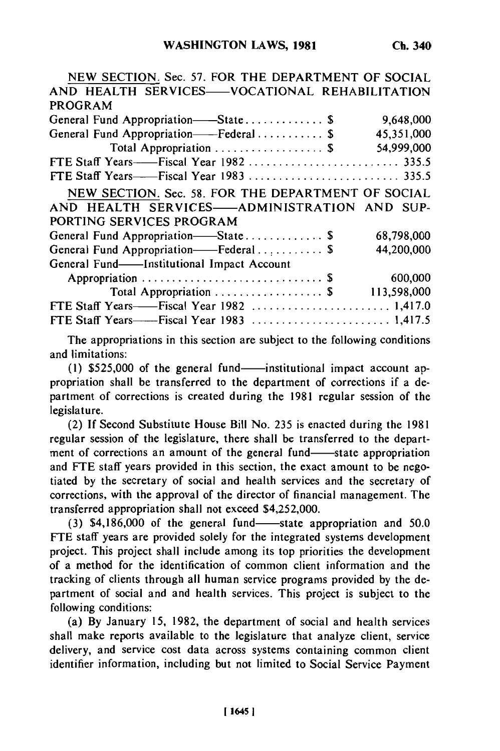| NEW SECTION. Sec. 57. FOR THE DEPARTMENT OF SOCIAL |             |
|----------------------------------------------------|-------------|
| AND HEALTH SERVICES-VOCATIONAL REHABILITATION      |             |
| <b>PROGRAM</b>                                     |             |
| General Fund Appropriation——State \$               | 9,648,000   |
| General Fund Appropriation——Federal  \$            | 45,351,000  |
| Total Appropriation  \$                            | 54,999,000  |
|                                                    |             |
|                                                    |             |
| NEW SECTION. Sec. 58. FOR THE DEPARTMENT OF SOCIAL |             |
| AND HEALTH SERVICES-ADMINISTRATION AND SUP-        |             |
| PORTING SERVICES PROGRAM                           |             |
| General Fund Appropriation-State\$                 | 68,798,000  |
| General Fund Appropriation-Federal\$               | 44,200,000  |
| General Fund-Institutional Impact Account          |             |
|                                                    | 600,000     |
| Total Appropriation  \$                            | 113,598,000 |
|                                                    |             |
|                                                    |             |

The appropriations in this section are subject to the following conditions and limitations:

(1) \$525,000 of the general fund-institutional impact account appropriation shall be transferred to the department of corrections if a department of corrections is created during the 1981 regular session of the legislature.

(2) If Second Substitute House Bill No. 235 is enacted during the 1981  $(2)$  if become bubstrate from the 190. 255 is chacted during the 1901 regular session of the legislature, there shall be transferred to the depart-<br>ment of corrections an amount of the general fund-state appropriation ment of corrections an amount of the general fund—state appropriation<br>and FTE staff years provided in this section, the exact amount to be negotiated by the secretary of social and health services and the secretary of corrections, with the approval of the director of financial management. The transferred appropriation shall not exceed \$4,252,000.

 $(3)$  \$4,186,000 of the general fund-state appropriation and 50.0 FTE staff years are provided solely for the integrated systems development project. This project shall include among its top priorities the development of a method for the identification of common client information and the tracking of clients through all human service programs provided by the department of social and and health services. This project is subject to the following conditions:

(a) By January 15, 1982, the department of social and health services shall make reports available to the legislature that analyze client, service delivery, and service cost data across systems containing common client identifier information, including but not limited to Social Service Payment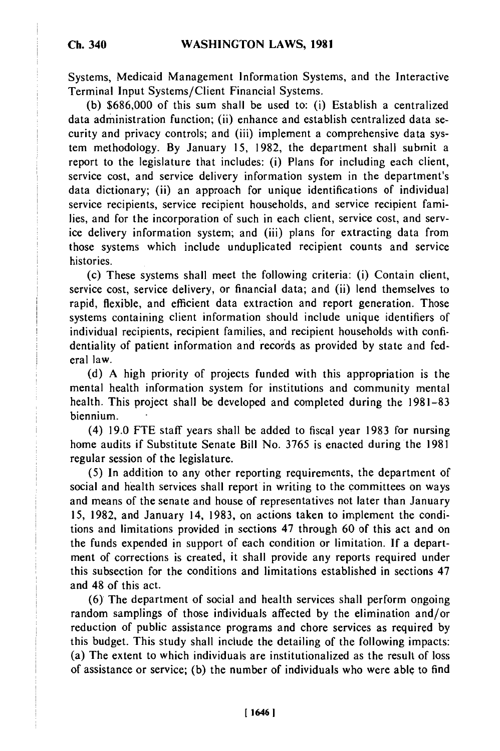Systems, Medicaid Management Information Systems, and the Interactive Terminal Input Systems/Client Financial Systems.

**(b) \$686,000** of this sum shall be used to: (i) Establish a centralized data administration function; (ii) enhance and establish centralized data security and privacy controls; and (iii) implement a comprehensive data system methodology. By January 15, 1982, the department shall submit a report to the legislature that includes: (i) Plans for including each client, service cost, and service delivery information system in the department's data dictionary; (ii) an approach for unique identifications of individual service recipients, service recipient households, and service recipient families, and for the incorporation of such in each client, service cost, and service delivery information system; and (iii) plans for extracting data from those systems which include unduplicated recipient counts and service histories.

(c) These systems shall meet the following criteria: (i) Contain client, service cost, service delivery, or financial data; and (ii) lend themselves to rapid, flexible, and efficient data extraction and report generation. Those systems containing client information should include unique identifiers of individual recipients, recipient families, and recipient households with confidentiality of patient information and records as provided by state and federal law.

(d) A high priority of projects funded with this appropriation is the mental health information system for institutions and community mental health. This project shall be developed and completed during the 1981-83 biennium.

(4) 19.0 FTE staff years shall be added to fiscal year 1983 for nursing home audits if Substitute Senate Bill No. 3765 is enacted during the 1981 regular session of the legislature.

(5) In addition to any other reporting requirements, the department of social and health services shall report in writing to the committees on ways and means of the senate and house of representatives not later than January 15, 1982, and January 14, 1983, on actions taken to implement the conditions and limitations provided in sections 47 through 60 of this act and on the funds expended in support of each condition or limitation. If a department of corrections is created, it shall provide any reports required under this subsection for the conditions and limitations established in sections 47 and 48 of this act.

(6) The department of social and health services shall perform ongoing random samplings of those individuals affected by the elimination and/or reduction of public assistance programs and chore services as required by this budget. This study shall include the detailing of the following impacts: (a) The extent to which individuals are institutionalized as the result of loss of assistance or service; (b) the number of individuals who were able to find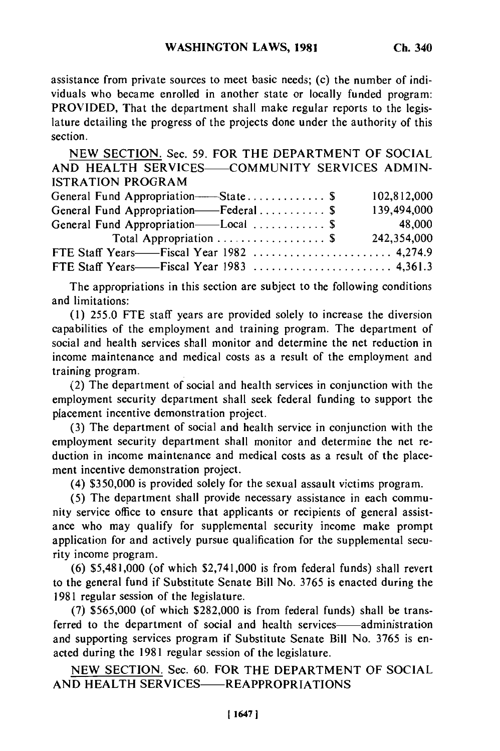assistance from private sources to meet basic needs; (c) the number of individuals who became enrolled in another state or locally funded program: PROVIDED, That the department shall make regular reports to the legislature detailing the progress of the projects done under the authority of this section.

NEW SECTION. Sec. 59. FOR THE DEPARTMENT OF SOCIAL AND HEALTH SERVICES-COMMUNITY SERVICES ADMIN-ISTRATION PROGRAM

| General Fund Appropriation-State \$   | 102,812,000 |
|---------------------------------------|-------------|
| General Fund Appropriation-Federal \$ | 139,494,000 |
| General Fund Appropriation——Local  \$ | 48,000      |
| Total Appropriation  \$               | 242,354,000 |
|                                       |             |
|                                       |             |
|                                       |             |

The appropriations in this section are subject to the following conditions and limitations:

(1) 255.0 FTE staff years are provided solely to increase the diversion capabilities of the employment and training program. The department of social and health services shall monitor and determine the net reduction in income maintenance and medical costs as a result of the employment and training program.

(2) The department of social and health services in conjunction with the employment security department shall seek federal funding to support the placement incentive demonstration project.

(3) The department of social and health service in conjunction with the employment security department shall monitor and determine the net reduction in income maintenance and medical costs as a result of the placement incentive demonstration project.

(4) \$350,000 is provided solely for the sexual assault victims program.

(5) The department shall provide necessary assistance in each community service office to ensure that applicants or recipients of general assistance who may qualify for supplemental security income make prompt application for and actively pursue qualification for the supplemental security income program.

(6) \$5,481,000 (of which \$2,741,000 is from federal funds) shall revert to the general fund if Substitute Senate Bill No. 3765 is enacted during the 1981 regular session of the legislature.

(7) \$565,000 (of which \$282,000 is from federal funds) shall be transferred to the department of social and health services—administration and supporting services program if Substitute Senate Bill No. 3765 is enacted during the 1981 regular session of the legislature.

NEW SECTION. Sec. 60. FOR THE DEPARTMENT OF SOCIAL AND HEALTH SERVICES-REAPPROPRIATIONS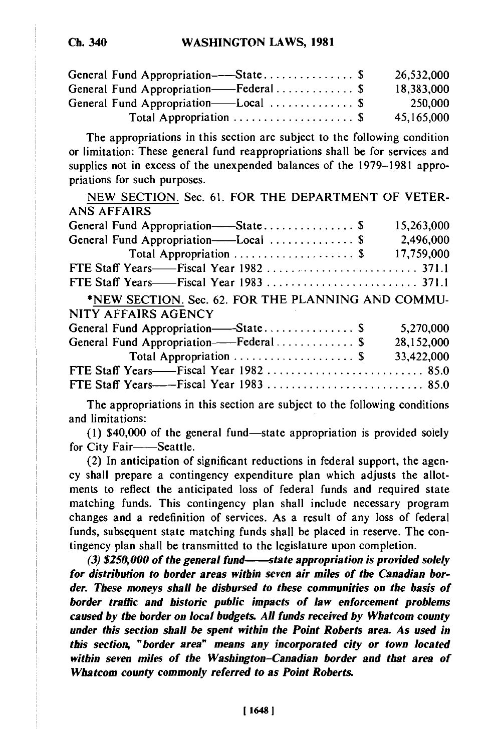| General Fund Appropriation——State \$          | 26,532,000 |
|-----------------------------------------------|------------|
| General Fund Appropriation——Federal \$        | 18,383,000 |
| General Fund Appropriation——Local $\ldots$ \$ | 250,000    |
| Total Appropriation  \$                       | 45,165,000 |

The appropriations in this section are subject to the following condition or limitation: These general fund reappropriations shall be for services and supplies not in excess of the unexpended balances of the 1979-1981 appropriations for such purposes.

The appropriations in this section are subject to the following conditions and limitations:

(1) \$40,000 of the general fund-state appropriation is provided solely for City Fair-Seattle.

(2) In anticipation of significant reductions in federal support, the agency shall prepare a contingency expenditure plan which adjusts the allotments to reflect the anticipated loss of federal funds and required state matching funds. This contingency plan shall include necessary program changes and a redefinition of services. As a result of any loss of federal funds, subsequent state matching funds shall be placed in reserve. The contingency plan shall be transmitted to the legislature upon completion.

*(3) \$250,000 of the general fund- state appropriation is provided solely for distribution to border areas within seven air miles of the Canadian border. These moneys shall be disbursed to these communities on the basis of border traffic and historic public impacts of law enforcement problems caused by the border on local budgets. All funds received by Whatcom county under this section shall be spent within the Point Roberts area. As used in this section, "border area" means any incorporated city or town located within seven miles of the Washington-Canadian border and that area of Whatcom county commonly referred to as Point Roberts.*

**Ch. 340**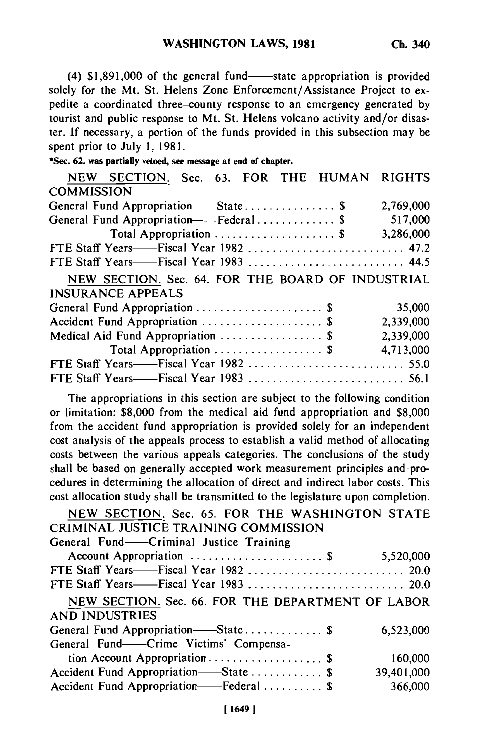$(4)$  \$1,891,000 of the general fund—state appropriation is provided solely for the Mt. St. Helens Zone Enforcement/Assistance Project to expedite a coordinated three-county response to an emergency generated by tourist and public response to Mt. St. Helens volcano activity and/or disaster. If necessary, a portion of the funds provided in this subsection may be spent prior to July 1, 1981.

|  |  |  | *Sec. 62. was partially vetoed, see message at end of chapter. |  |  |  |
|--|--|--|----------------------------------------------------------------|--|--|--|
|  |  |  |                                                                |  |  |  |

|                   | NEW SECTION. Sec. 63. FOR THE HUMAN RIGHTS                                    |  |  |           |
|-------------------|-------------------------------------------------------------------------------|--|--|-----------|
| <b>COMMISSION</b> |                                                                               |  |  |           |
|                   | General Fund Appropriation—State \$                                           |  |  | 2,769,000 |
|                   | General Fund Appropriation----Federal \$                                      |  |  | 517,000   |
|                   | Total Appropriation  \$                                                       |  |  | 3,286,000 |
|                   | FTE Staff Years——Fiscal Year 1982  47.2                                       |  |  |           |
|                   |                                                                               |  |  |           |
|                   | NEW SECTION. Sec. 64. FOR THE BOARD OF INDUSTRIAL<br><b>INSURANCE APPEALS</b> |  |  |           |
|                   | General Fund Appropriation  \$                                                |  |  | 35,000    |
|                   | Accident Fund Appropriation  \$                                               |  |  | 2,339,000 |
|                   | Medical Aid Fund Appropriation  \$                                            |  |  | 2,339,000 |
|                   | Total Appropriation  \$                                                       |  |  | 4,713,000 |
|                   |                                                                               |  |  |           |
|                   |                                                                               |  |  |           |

The appropriations in this section are subject to the following condition or limitation: \$8,000 from the medical aid fund appropriation and \$8,000 from the accident fund appropriation is provided solely for an independent cost analysis of the appeals process to establish a valid method of allocating costs between the various appeals categories. The conclusions of the study shall be based on generally accepted work measurement principles and procedures in determining the allocation of direct and indirect labor costs. This cost allocation study shall be transmitted to the legislature upon completion.

| NEW SECTION. Sec. 65. FOR THE WASHINGTON STATE                             |            |
|----------------------------------------------------------------------------|------------|
| CRIMINAL JUSTICE TRAINING COMMISSION                                       |            |
| General Fund—Criminal Justice Training                                     |            |
| Account Appropriation  \$                                                  | 5,520,000  |
|                                                                            |            |
|                                                                            |            |
| NEW SECTION. Sec. 66. FOR THE DEPARTMENT OF LABOR<br><b>AND INDUSTRIES</b> |            |
| General Fund Appropriation—State \$                                        | 6,523,000  |
| General Fund——Crime Victims' Compensa-                                     |            |
| tion Account Appropriation \$                                              | 160,000    |
| Accident Fund Appropriation-State  \$                                      | 39,401,000 |
| Accident Fund Appropriation——Federal  \$                                   | 366,000    |
|                                                                            |            |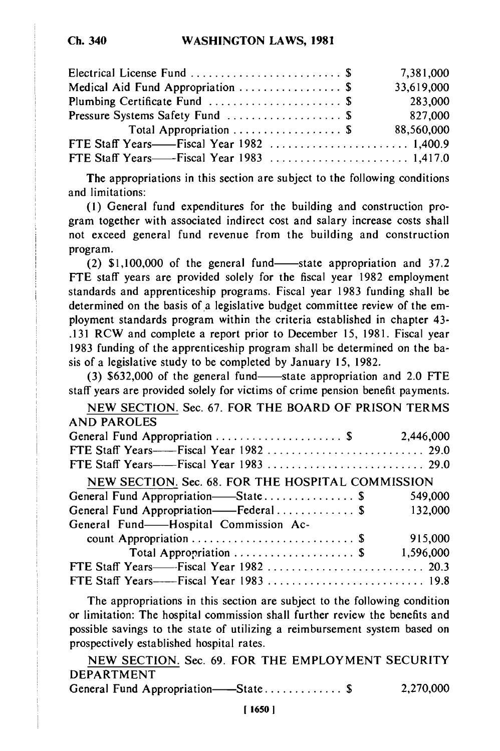| Electrical License Fund  \$       | 7,381,000  |
|-----------------------------------|------------|
| Medical Aid Fund Appropriation \$ | 33,619,000 |
|                                   | 283,000    |
|                                   | 827,000    |
| Total Appropriation  \$           | 88,560,000 |
|                                   |            |
|                                   |            |

The appropriations in this section are subject to the following conditions and limitations:

(1) General fund expenditures for the building and construction program together with associated indirect cost and salary increase costs shall not exceed general fund revenue from the building and construction program.

 $(2)$  \$1,100,000 of the general fund-state appropriation and 37.2 FTE staff years are provided solely for the fiscal year 1982 employment standards and apprenticeship programs. Fiscal year 1983 funding shall be determined on the basis of a legislative budget committee review of the employment standards program within the criteria established in chapter 43- .131 RCW and complete a report prior to December 15, 1981. Fiscal year 1983 funding of the apprenticeship program shall be determined on the basis of a legislative study to be completed by January 15, 1982.

 $(3)$  \$632,000 of the general fund—state appropriation and 2.0 FTE staff years are provided solely for victims of crime pension benefit payments.

NEW SECTION. Sec. 67. FOR THE BOARD OF PRISON TERMS AND PAROLES

| NEW SECTION. Sec. 68. FOR THE HOSPITAL COMMISSION |           |
|---------------------------------------------------|-----------|
| General Fund Appropriation-State \$               | 549,000   |
| General Fund Appropriation——Federal\$             | 132,000   |
| General Fund——Hospital Commission Ac-             |           |
|                                                   | 915,000   |
| Total Appropriation  \$                           | 1,596,000 |
|                                                   |           |
|                                                   |           |

The appropriations in this section are subject to the following condition or limitation: The hospital commission shall further review the benefits and possible savings to the state of utilizing a reimbursement system based on prospectively established hospital rates.

NEW SECTION. Sec. 69. FOR THE EMPLOYMENT SECURITY DEPARTMENT General Fund Appropriation- State ............. \$ 2,270,000

| General Fund Appropriation——State \$ |  | 2,270,000 |
|--------------------------------------|--|-----------|
|--------------------------------------|--|-----------|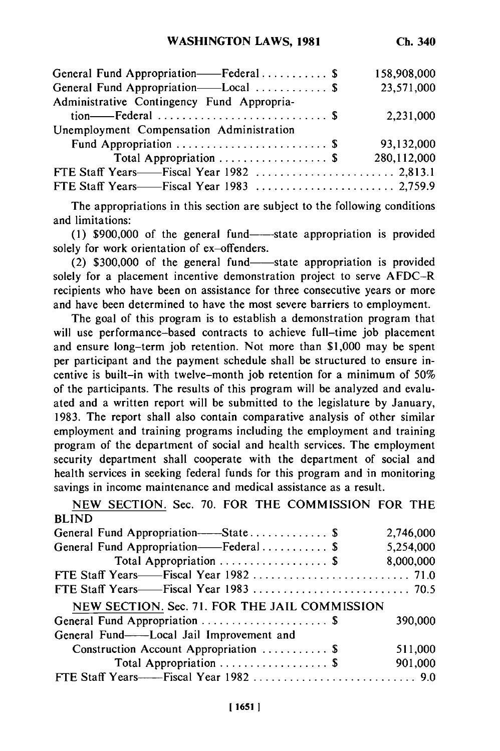| General Fund Appropriation——Federal \$     | 158,908,000 |
|--------------------------------------------|-------------|
| General Fund Appropriation—Local  \$       | 23,571,000  |
| Administrative Contingency Fund Appropria- |             |
|                                            | 2,231,000   |
| Unemployment Compensation Administration   |             |
| Fund Appropriation  \$                     | 93,132,000  |
| Total Appropriation  \$                    | 280,112,000 |
|                                            |             |
|                                            |             |

The appropriations in this section are subject to the following conditions and limitations:

 $(1)$  \$900,000 of the general fund state appropriation is provided solely for work orientation of ex-offenders.

 $(2)$  \$300,000 of the general fund-state appropriation is provided solely for a placement incentive demonstration project to serve AFDC-R recipients who have been on assistance for three consecutive years or more and have been determined to have the most severe barriers to employment.

The goal of this program is to establish a demonstration program that will use performance-based contracts to achieve full-time job placement and ensure long-term job retention. Not more than \$1,000 may be spent per participant and the payment schedule shall be structured to ensure incentive is built-in with twelve-month job retention for a minimum of 50% of the participants. The results of this program will be analyzed and evaluated and a written report will be submitted to the legislature by January, 1983. The report shall also contain comparative analysis of other similar employment and training programs including the employment and training program of the department of social and health services. The employment security department shall cooperate with the department of social and health services in seeking federal funds for this program and in monitoring savings in income maintenance and medical assistance as a result.

BLIND General Fund Appropriation- State ............. \$ 2,746,000 General Fund Appropriation——Federal ............... \$ 5,254,000 Total Appropriation  $\ldots$ .......................\$ 8,000,000 FTE Staff Years- Fiscal Year 1982 .......................... 71.0 FTE Staff Years- Fiscal Year 1983 .......................... 70.5 NEW SECTION. Sec. 71. FOR THE JAIL COMMISSION General Fund Appropriation ..................... \$ 390,000 General Fund-Local Jail Improvement and Construction Account Appropriation ........... \$ 511,000 Total Appropriation ........................\$ 901,000 FTE Staff Years- Fiscal Year 1982 ........................... 9.0

NEW SECTION. Sec. 70. FOR THE COMMISSION FOR THE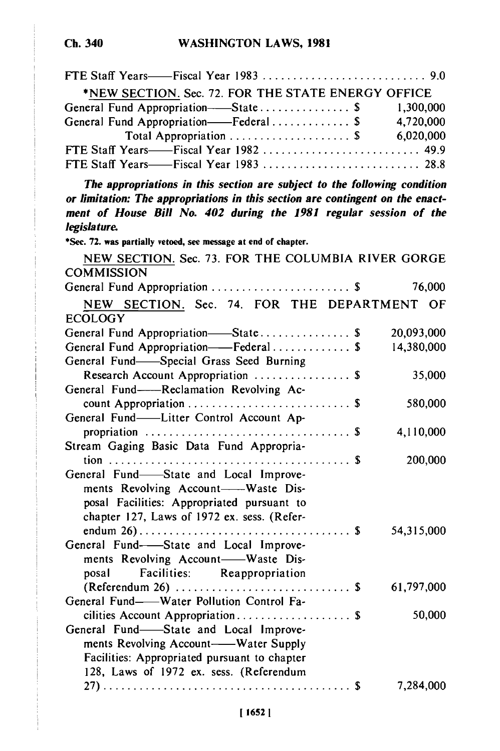| *NEW SECTION. Sec. 72. FOR THE STATE ENERGY OFFICE                             |            |
|--------------------------------------------------------------------------------|------------|
| General Fund Appropriation-State \$ 1,300,000                                  |            |
| General Fund Appropriation-Federal \$ 4,720,000                                |            |
|                                                                                |            |
| FTE Staff Years-Fiscal Year 1982  49.9                                         |            |
| FTE Staff Years——Fiscal Year 1983  28.8                                        |            |
| The appropriations in this section are subject to the following condition      |            |
| or limitation: The appropriations in this section are contingent on the enact- |            |
| ment of House Bill No. 402 during the 1981 regular session of the              |            |
| legislature.                                                                   |            |
| *Sec. 72. was partially vetoed, see message at end of chapter.                 |            |
| NEW SECTION. Sec. 73. FOR THE COLUMBIA RIVER GORGE                             |            |
| <b>COMMISSION</b>                                                              |            |
| General Fund Appropriation  \$                                                 | 76,000     |
| NEW SECTION. Sec. 74. FOR THE DEPARTMENT OF                                    |            |
| <b>ECOLOGY</b>                                                                 |            |
| General Fund Appropriation-State \$                                            | 20,093,000 |
| General Fund Appropriation-Federal \$                                          | 14,380,000 |
| General Fund-Special Grass Seed Burning                                        |            |
| Research Account Appropriation  \$                                             | 35,000     |
| General Fund-Reclamation Revolving Ac-                                         |            |
|                                                                                | 580,000    |
| General Fund-Litter Control Account Ap-                                        |            |
| propriation $\ldots \ldots \ldots \ldots \ldots \ldots \ldots \ldots \ldots$   | 4,110,000  |
| Stream Gaging Basic Data Fund Appropria-                                       |            |
|                                                                                | 200,000    |
| General Fund-State and Local Improve-                                          |            |
| ments Revolving Account-Waste Dis-                                             |            |
| posal Facilities: Appropriated pursuant to                                     |            |
| chapter 127, Laws of 1972 ex. sess. (Refer-                                    |            |
|                                                                                | 54,315,000 |
| General Fund--State and Local Improve-                                         |            |
| ments Revolving Account-Waste Dis-<br>posal Facilities: Reappropriation        |            |
|                                                                                | 61,797,000 |
| General Fund-Water Pollution Control Fa-                                       |            |
| cilities Account Appropriation \$                                              | 50,000     |
| General Fund-State and Local Improve-                                          |            |
| ments Revolving Account-Water Supply                                           |            |
| Facilities: Appropriated pursuant to chapter                                   |            |
| 128, Laws of 1972 ex. sess. (Referendum                                        |            |
|                                                                                | 7,284,000  |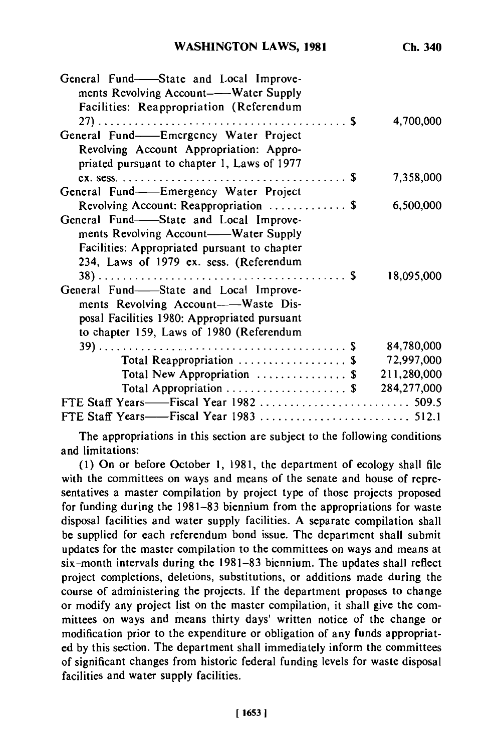**Ch. 340**

| General Fund—State and Local Improve-<br>ments Revolving Account-Water Supply<br>Facilities: Reappropriation (Referendum                                                  | 4,700,000   |
|---------------------------------------------------------------------------------------------------------------------------------------------------------------------------|-------------|
| General Fund--Emergency Water Project                                                                                                                                     |             |
| Revolving Account Appropriation: Appro-<br>priated pursuant to chapter 1, Laws of 1977                                                                                    |             |
|                                                                                                                                                                           | 7,358,000   |
| General Fund-Emergency Water Project                                                                                                                                      |             |
| Revolving Account: Reappropriation  \$                                                                                                                                    | 6,500,000   |
| General Fund-State and Local Improve-<br>ments Revolving Account——Water Supply<br>Facilities: Appropriated pursuant to chapter<br>234, Laws of 1979 ex. sess. (Referendum |             |
| General Fund-State and Local Improve-<br>ments Revolving Account-Waste Dis-<br>posal Facilities 1980: Appropriated pursuant<br>to chapter 159, Laws of 1980 (Referendum   | 18,095,000  |
|                                                                                                                                                                           | 84,780,000  |
| Total Reappropriation  \$                                                                                                                                                 | 72,997,000  |
| Total New Appropriation $\ldots \ldots \ldots \ldots$ \$                                                                                                                  | 211,280,000 |
| Total Appropriation $\ldots \ldots \ldots \ldots \ldots$ \$                                                                                                               | 284,277,000 |
|                                                                                                                                                                           |             |
|                                                                                                                                                                           |             |

The appropriations in this section are subject to the following conditions and limitations:

(1) On or before October 1, 1981, the department of ecology shall file with the committees on ways and means of the senate and house of representatives a master compilation by project type of those projects proposed for funding during the 1981-83 biennium from the appropriations for waste disposal facilities and water supply facilities. A separate compilation shall be supplied for each referendum bond issue. The department shall submit updates for the master compilation to the committees on ways and means at six-month intervals during the 1981-83 biennium. The updates shall reflect project completions, deletions, substitutions, or additions made during the course of administering the projects. If the department proposes to change or modify any project list on the master compilation, it shall give the committees on ways and means thirty days' written notice of the change or modification prior to the expenditure or obligation of any funds appropriated by this section. The department shall immediately inform the committees of significant changes from historic federal funding levels for waste disposal facilities and water supply facilities.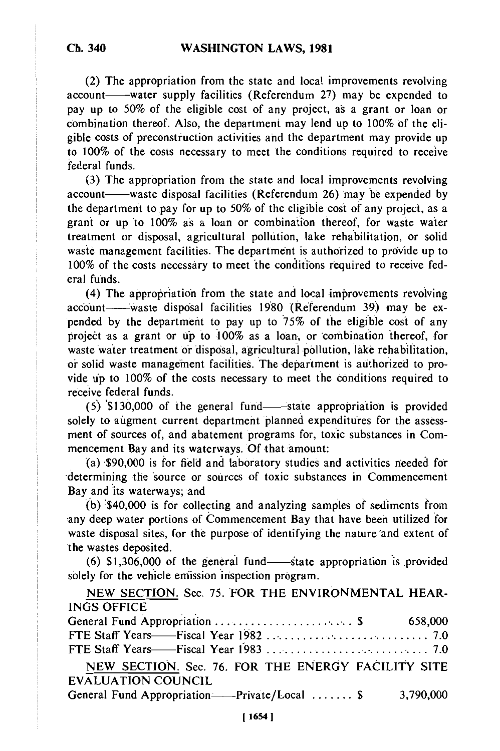**Ch. 340**

(2) The appropriation from the state and local improvements revolving account—water supply facilities (Referendum 27) may be expended to pay up to 50% of the eligible cost of any project, as a grant or loan or combination thereof. Also, the department may lend up to 100% of the eligible costs of preconstruction activities and the department may provide up to 100% of the costs necessary to meet the conditions required to receive federal funds.

(3) The appropriation from the state and local improvements revolving account—waste disposal facilities (Referendum 26) may be expended by the department topay for up to 50% of the eligible cost of any project, as a grant or up to 100% as a loan or combination thereof, for waste water treatment or disposal, agricultural pollution, lake rehabilitation, or solid waste management facilities. The department is authorized to provide up to 100% of the costs necessary to meet 'the conditions required to receive federal funds.

 $(4)$  The appropriation from the state and local improvements revolving account- waste disposal facilities 1980 (Referendum 39) may be expended by the department to pay up to 75% of the eligible cost of any project as a grant or up to 100% as a loan., or combination thereof, for waste water treatment or disposal, agricultural pollution, lake rehabilitation, or solid waste management facilities. The department is authorized to provide up to 100% of the costs necessary to meet the conditions required to receive federal funds.

 $(5)$  \$130,000 of the general fund state appropriation is provided solely to augment current department planned expenditures for the assessment of sources of, and abatement programs for, toxic substances in Commencement Bay and its waterways. Of that amount:

(a) \$90,000 is for field and laboratory studies and activities needed for -determining the 'source or sources of toxic substances in Commencement Bay and its waterways; and

(b) '\$40,000 is for collecting and analyzing samples of sediments from any deep water portions of Commencement Bay that have been utilized for waste disposal sites, for the purpose of identifying the nature 'and extent of 'the wastes deposited.

 $(6)$  \$1,306,000 of the general fund—state appropriation is provided solely for the vehicle emission inspection program.

NEW SECTION. Sec. 75. FOR THE ENVIRONMENTAL HEAR-INGS OFFICE General Fund Appropriation ...................... \$ 658,000 FTE Staff Years- Fiscal Year 1982 .............................. 7.0 FTE Staff Years- Fiscal Year 1983 .......................... 7.0 NEW SECTION. Sec. 76. FOR THE ENERGY FACILITY SITE EVALUATION COUNCIL General Fund Appropriation----Private/Local ....... \$ 3,790,000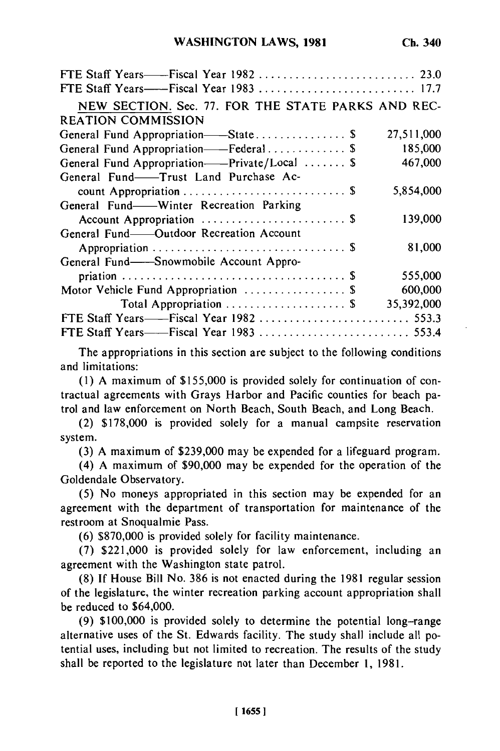| NEW SECTION. Sec. 77. FOR THE STATE PARKS AND REC- |            |
|----------------------------------------------------|------------|
| <b>REATION COMMISSION</b>                          |            |
| General Fund Appropriation——State \$               | 27,511,000 |
| General Fund Appropriation——Federal \$             | 185,000    |
| General Fund Appropriation——Private/Local  \$      | 467,000    |
| General Fund-Trust Land Purchase Ac-               |            |
|                                                    | 5,854,000  |
| General Fund—Winter Recreation Parking             |            |
| Account Appropriation  \$                          | 139,000    |
| General Fund-Outdoor Recreation Account            |            |
|                                                    | 81,000     |
| General Fund——Snowmobile Account Appro-            |            |
|                                                    | 555,000    |
| Motor Vehicle Fund Appropriation  \$               | 600,000    |
| Total Appropriation  \$                            | 35,392,000 |
|                                                    |            |
|                                                    |            |

The appropriations in this section are subject to the following conditions and limitations:

(1) A maximum of \$155,000 is provided solely for continuation of contractual agreements with Grays Harbor and Pacific counties for beach patrol and law enforcement on North Beach, South Beach, and Long Beach.

(2) \$178,000 is provided solely for a manual campsite reservation system.

(3) A maximum of \$239,000 may be expended for a lifeguard program.

(4) A maximum of \$90,000 may be expended for the operation of the Goldendale Observatory.

(5) No moneys appropriated in this section may be expended for an agreement with the department of transportation for maintenance of the restroom at Snoqualmie Pass.

(6) \$870,000 is provided solely for facility maintenance.

(7) \$221,000 is provided solely for law enforcement, including an agreement with the Washington state patrol.

(8) If House Bill No. 386 is not enacted during the 1981 regular session of the legislature, the winter recreation parking account appropriation shall be reduced to \$64,000.

(9) \$100,000 is provided solely to determine the potential long-range alternative uses of the St. Edwards facility. The study shall include all potential uses, including but not limited to recreation. The results of the study shall be reported to the legislature not later than December 1, 1981.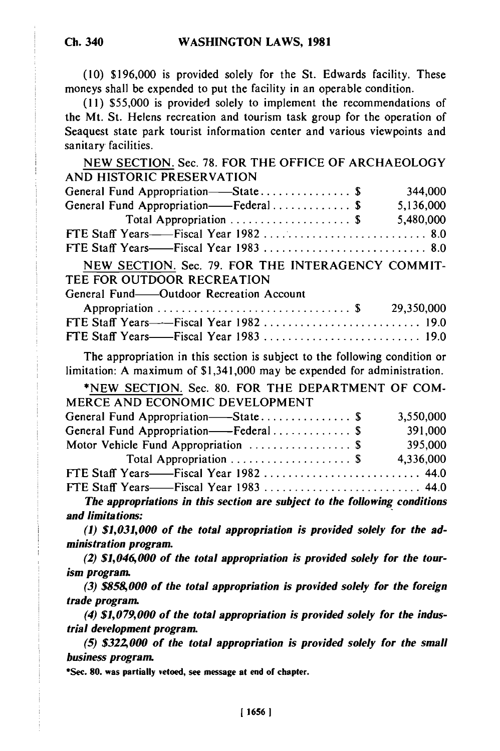**Ch. 340**

**(10)** \$196,000 is provided solely for the St. Edwards facility. These moneys shall be expended to put the facility in an operable condition.

(11) \$55,000 is provided solely to implement the recommendations of the Mt. St. Helens recreation and tourism task group for the operation of Seaquest state park tourist information center and various viewpoints and sanitary facilities.

NEW SECTION. Sec. 78. FOR THE OFFICE OF ARCHAEOLOGY AND HISTORIC PRESERVATION

| General Fund Appropriation—State \$                         | 344,000   |
|-------------------------------------------------------------|-----------|
| General Fund Appropriation——Federal \$                      | 5,136,000 |
| Total Appropriation $\ldots \ldots \ldots \ldots \ldots$ \$ | 5,480,000 |
|                                                             |           |
|                                                             |           |
|                                                             |           |

NEW SECTION. Sec. 79. FOR THE INTERAGENCY COMMIT-TEE FOR OUTDOOR RECREATION

|  | General Fund—Outdoor Recreation Account |  |
|--|-----------------------------------------|--|

| FTE Staff Years——Fiscal Year 1982  19.0 |  |
|-----------------------------------------|--|
|                                         |  |

The appropriation in this section is subject to the following condition or limitation: A maximum of \$1,341,000 may be expended for administration.

| $\cdots$                                                                   |           |
|----------------------------------------------------------------------------|-----------|
| *NEW SECTION. Sec. 80. FOR THE DEPARTMENT OF COM-                          |           |
| MERCE AND ECONOMIC DEVELOPMENT                                             |           |
| General Fund Appropriation——State\$                                        | 3,550,000 |
| General Fund Appropriation——Federal \$                                     | 391,000   |
| Motor Vehicle Fund Appropriation  \$                                       | 395,000   |
| Total Appropriation  \$                                                    | 4,336,000 |
|                                                                            |           |
| FTE Staff Years——Fiscal Year 1983  44.0                                    |           |
| The appropriations in this section are subject to the following conditions |           |
| and limitations:                                                           |           |

*(1) \$1,031,000 of the total appropriation is provided solely for the administration program.*

*(2) \$1,046,000 of the total appropriation is provided solely for the tourism program.*

*(3) \$858,000 of the total appropriation is provided solely for the foreign trade program.*

*(4) \$1,079,000 of the total appropriation is provided solely for the industrial development program.*

*(5) \$32Z 000 of the total appropriation is provided solely for the small business program.*

**\*Sec. 80. was partially vetoed, see message at end of chapter.**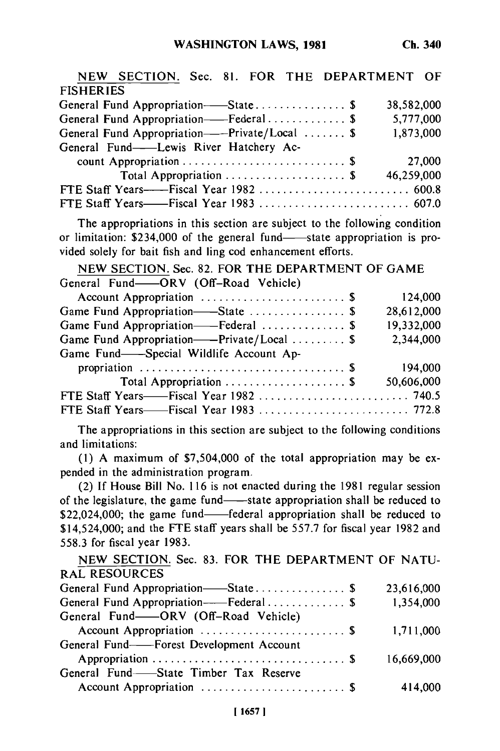**Ch. 340**

| NEW SECTION. Sec. 81. FOR THE DEPARTMENT OF   |            |
|-----------------------------------------------|------------|
| <b>FISHERIES</b>                              |            |
| General Fund Appropriation-State\$            | 38,582,000 |
| General Fund Appropriation-Federal \$         | 5,777,000  |
| General Fund Appropriation——Private/Local  \$ | 1,873,000  |
| General Fund---Lewis River Hatchery Ac-       |            |
|                                               | 27,000     |
| Total Appropriation  \$                       | 46,259,000 |
|                                               |            |
|                                               |            |

The appropriations in this section are subject to the following condition or limitation:  $$234,000$  of the general fund-state appropriation is provided solely for bait fish and ling cod enhancement efforts.

NEW SECTION. Sec. 82. FOR THE DEPARTMENT OF GAME **SECTION: Sec. 62. FOR THE DEP**<br>General Fund-ORV (Off-Road Vehicle)

| 124,000                                                                                                                                            |
|----------------------------------------------------------------------------------------------------------------------------------------------------|
| 28,612,000                                                                                                                                         |
| 19,332,000                                                                                                                                         |
| 2,344,000                                                                                                                                          |
|                                                                                                                                                    |
| 194,000                                                                                                                                            |
| 50,606,000                                                                                                                                         |
|                                                                                                                                                    |
|                                                                                                                                                    |
| Game Fund Appropriation-State  \$<br>Game Fund Appropriation--Federal  \$<br>Game Fund Appropriation--Private/Local  \$<br>Total Appropriation  \$ |

The appropriations in this section are subject to the following conditions and limitations:

(1) A maximum of \$7,504,000 of the total appropriation may be expended in the administration program.

(2) If House Bill No. 116 is not enacted during the 1981 regular session of the legislature, the game fund-state appropriation shall be reduced to \$22,024,000; the game fund—federal appropriation shall be reduced to \$14,524,000; and the **FTE** staff years shall be 557.7 for fiscal year 1982 and 558.3 for fiscal year 1983.

NEW SECTION. Sec. 83. FOR THE DEPARTMENT OF NATU-RAL RESOURCES

| General Fund Appropriation—State\$       | 23,616,000 |
|------------------------------------------|------------|
| General Fund Appropriation——Federal\$    | 1,354,000  |
| General Fund-ORV (Off-Road Vehicle)      |            |
|                                          | 1,711,000  |
| General Fund--Forest Development Account |            |
|                                          | 16,669,000 |
| General Fund-State Timber Tax Reserve    |            |
| Account Appropriation  \$                | 414,000    |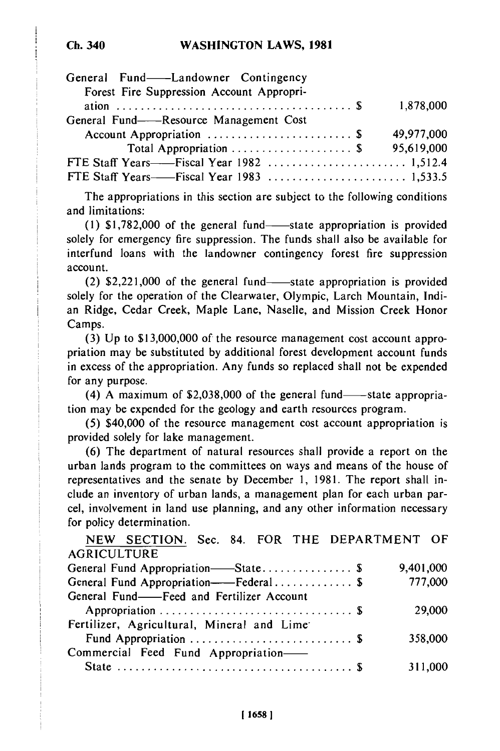| General Fund——Landowner Contingency<br>Forest Fire Suppression Account Appropri- |            |
|----------------------------------------------------------------------------------|------------|
|                                                                                  | 1,878,000  |
| General Fund——Resource Management Cost                                           |            |
| Account Appropriation  \$                                                        | 49,977,000 |
|                                                                                  | 95,619,000 |
|                                                                                  |            |
|                                                                                  |            |

The appropriations in this section are subject to the following conditions and limitations:

(1)  $$1,782,000$  of the general fund-state appropriation is provided solely for emergency fire suppression. The funds shall also be available for interfund loans with the landowner contingency forest fire suppression account.

 $(2)$  \$2,221,000 of the general fund—state appropriation is provided solely for the operation of the Clearwater, Olympic, Larch Mountain, Indian Ridge, Cedar Creek, Maple Lane, Naselle, and Mission Creek Honor Camps.

(3) Up to \$13,000,000 of the resource management cost account appropriation may be substituted by additional forest development account funds in excess of the appropriation. Any funds so replaced shall not be expended for any purpose.

 $(4)$  A maximum of \$2,038,000 of the general fund--state appropriation may be expended for the geology and earth resources program.

(5) \$40,000 of the resource management cost account appropriation is provided solely for lake management.

(6) The department of natural resources shall provide a report on the urban lands program to the committees on ways and means of the house of representatives and the senate by December 1, 1981. The report shall include an inventory of urban lands, a management plan for each urban parcel, involvement in land use planning, and any other information necessary for policy determination.

| NEW SECTION. Sec. 84. FOR THE DEPARTMENT OF |           |
|---------------------------------------------|-----------|
| <b>AGRICULTURE</b>                          |           |
| General Fund Appropriation—State \$         | 9,401,000 |
| General Fund Appropriation——Federal \$      | 777,000   |
| General Fund-Feed and Fertilizer Account    |           |
|                                             | 29,000    |
| Fertilizer, Agricultural, Mineral and Lime  |           |
|                                             | 358,000   |
| Commercial Feed Fund Appropriation-         |           |
|                                             | 311,000   |
|                                             |           |

## **Ch. 340**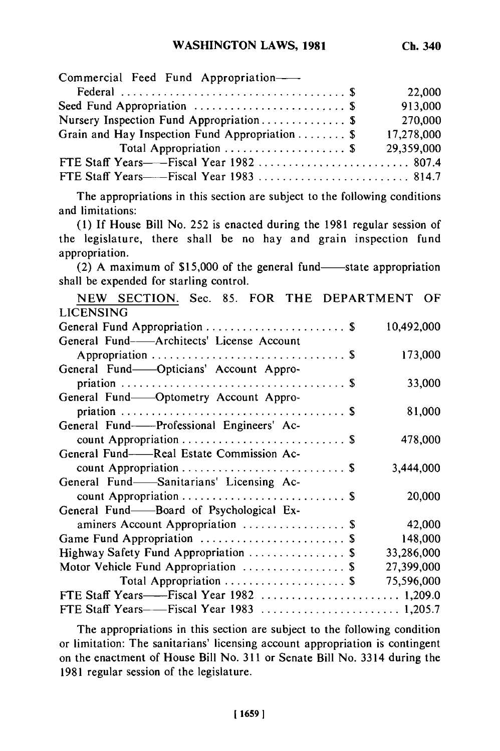| Commercial Feed Fund Appropriation-                                                                          |            |
|--------------------------------------------------------------------------------------------------------------|------------|
|                                                                                                              | 22,000     |
| Seed Fund Appropriation  \$                                                                                  | 913,000    |
| Nursery Inspection Fund Appropriation \$                                                                     | 270,000    |
| Grain and Hay Inspection Fund Appropriation  \$                                                              | 17,278,000 |
| Total Appropriation  \$                                                                                      | 29,359,000 |
| FTE Staff Years——Fiscal Year 1982  807.4                                                                     |            |
| FTE Staff Years——Fiscal Year 1983  814.7                                                                     |            |
| The appropriations in this section are subject to the following conditions<br>and limitations:               |            |
| (1) If House Bill No. 252 is enacted during the 1981 regular session of                                      |            |
| the legislature, there shall be no hay and grain inspection fund                                             |            |
| appropriation.                                                                                               |            |
| (2) A maximum of \$15,000 of the general fund—state appropriation<br>shall be expended for starling control. |            |
| NEW SECTION. Sec. 85. FOR THE DEPARTMENT OF                                                                  |            |
| <b>LICENSING</b>                                                                                             |            |
| General Fund Appropriation  \$                                                                               | 10,492,000 |
| General Fund-Architects' License Account                                                                     |            |
|                                                                                                              | 173,000    |
| General Fund-Opticians' Account Appro-                                                                       |            |
|                                                                                                              | 33,000     |
| General Fund-Optometry Account Appro-                                                                        |            |
| priation<br>. \$                                                                                             | 81,000     |
| General Fund--Professional Engineers' Ac-                                                                    |            |
|                                                                                                              | 478,000    |
| General Fund-Real Estate Commission Ac-                                                                      |            |
| . \$                                                                                                         | 3,444,000  |
| General Fund-Sanitarians' Licensing Ac-                                                                      |            |
|                                                                                                              | 20,000     |
| General Fund-Board of Psychological Ex-                                                                      |            |
| aminers Account Appropriation  \$                                                                            | 42,000     |
| Game Fund Appropriation  \$                                                                                  | 148,000    |
| Highway Safety Fund Appropriation  \$                                                                        | 33,286,000 |
| Motor Vehicle Fund Appropriation  \$                                                                         | 27,399,000 |
| Total Appropriation  \$                                                                                      | 75,596,000 |
|                                                                                                              |            |
|                                                                                                              |            |

The appropriations in this section are subject to the following condition or limitation: The sanitarians' licensing account appropriation is contingent on the enactment of House Bill No. 311 or Senate Bill No. 3314 during the 1981 regular session of the legislature.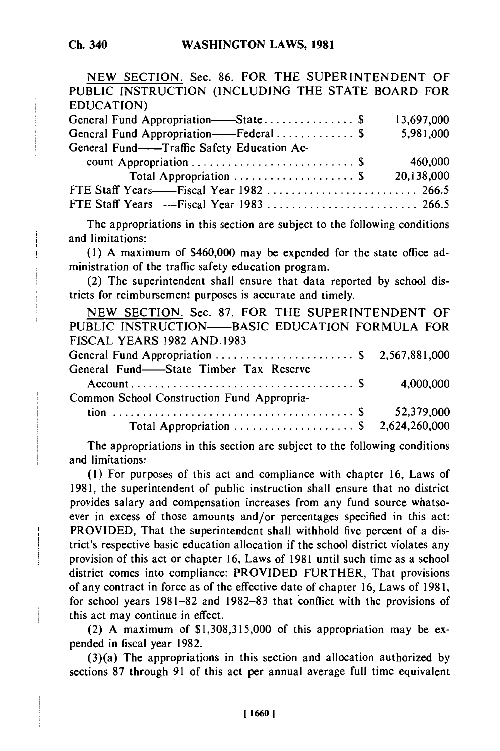| NEW SECTION. Sec. 86. FOR THE SUPERINTENDENT OF   |            |
|---------------------------------------------------|------------|
| PUBLIC INSTRUCTION (INCLUDING THE STATE BOARD FOR |            |
| EDUCATION)                                        |            |
| General Fund Appropriation-State\$                | 13,697,000 |
| General Fund Appropriation——Federal  \$           | 5,981,000  |
| General Fund--Traffic Safety Education Ac-        |            |
|                                                   | 460,000    |
| Total Appropriation \$                            | 20,138,000 |
|                                                   |            |
|                                                   |            |
|                                                   |            |

The appropriations in this section are subject to the following conditions and limitations:

(1) A maximum of \$460,000 may be expended for the state office administration of the traffic safety education program.

(2) The superintendent shall ensure that data reported by school districts for reimbursement purposes is accurate and timely.

| NEW SECTION. Sec. 87. FOR THE SUPERINTENDENT OF |            |
|-------------------------------------------------|------------|
| PUBLIC INSTRUCTION-BASIC EDUCATION FORMULA FOR  |            |
| <b>FISCAL YEARS 1982 AND 1983</b>               |            |
|                                                 |            |
| General Fund-State Timber Tax Reserve           |            |
|                                                 | 4,000,000  |
| Common School Construction Fund Appropria-      |            |
|                                                 | 52,379,000 |
| Total Appropriation  \$ 2,624,260,000           |            |
|                                                 |            |

The appropriations in this section are subject to the following conditions and limitations:

(1) For purposes of this act and compliance with chapter 16, Laws of 1981, the superintendent of public instruction shall ensure that no district provides salary and compensation increases from any fund source whatsoever in excess of those amounts and/or percentages specified in this act: PROVIDED, That the superintendent shall withhold five percent of a district's respective basic education allocation if the school district violates any provision of this act or chapter 16, Laws of 1981 until such time as a school district comes into compliance: PROVIDED FURTHER, That provisions of any contract in force as of the effective date of chapter 16, Laws of 1981, for school years 1981-82 and 1982-83 that conflict with the provisions of this act may continue in effect.

(2) A maximum of \$1,308,315,000 of this appropriation may be expended in fiscal year 1982.

(3)(a) The appropriations in this section and allocation authorized by sections 87 through 91 of this act per annual average full time equivalent

**Ch. 340**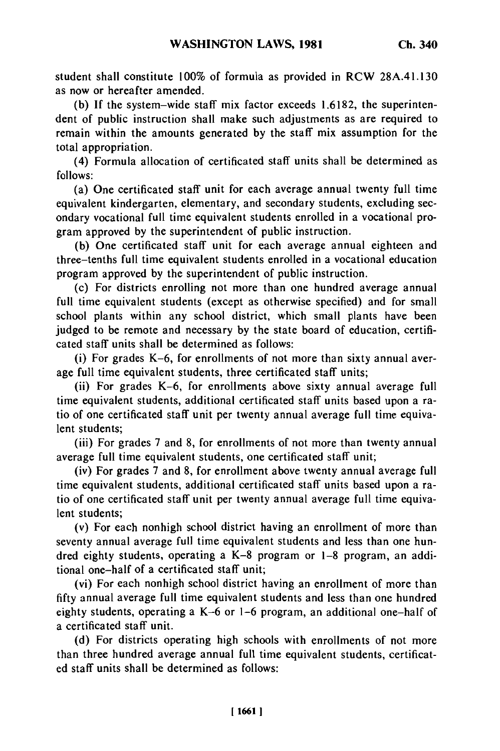student shall constitute **100%** of formula as provided in RCW 28A.41.130 as now or hereafter amended.

(b) If the system-wide staff mix factor exceeds 1.6182, the superintendent of public instruction shall make such adjustments as are required to remain within the amounts generated by the staff mix assumption for the total appropriation.

(4) Formula allocation of certificated staff units shall be determined as follows:

(a) One certificated staff unit for each average annual twenty full time equivalent kindergarten, elementary, and secondary students, excluding secondary vocational full time equivalent students enrolled in a vocational program approved by the superintendent of public instruction.

(b) One certificated staff unit for each average annual eighteen and three-tenths full time equivalent students enrolled in a vocational education program approved by the superintendent of public instruction.

(c) For districts enrolling not more than one hundred average annual full time equivalent students (except as otherwise specified) and for small school plants within any school district, which small plants have been judged to be remote and necessary by the state board of education, certificated staff units shall be determined as follows:

(i) For grades K-6, for enrollments of not more than sixty annual average full time equivalent students, three certificated staff units;

(ii) For grades K-6, for enrollments above sixty annual average full time equivalent students, additional certificated staff units based upon a ratio of one certificated staff unit per twenty annual average full time equivalent students;

(iii) For grades 7 and 8, for enrollments of not more than twenty annual average full time equivalent students, one certificated staff unit;

(iv) For grades 7 and 8, for enrollment above twenty annual average full time equivalent students, additional certificated staff units based upon a ratio of one certificated staff unit per twenty annual average full time equivalent students;

(v) For each nonhigh school district having an enrollment of more than seventy annual average full time equivalent students and less than one hundred eighty students, operating a K-8 program or 1-8 program, an additional one-half of a certificated staff unit;

(vi) For each nonhigh school district having an enrollment of more than fifty annual average full time equivalent students and less than one hundred eighty students, operating a K-6 or 1-6 program, an additional one-half of a certificated staff unit.

(d) For districts operating high schools with enrollments of not more than three hundred average annual full time equivalent students, certificated staff units shall be determined as follows: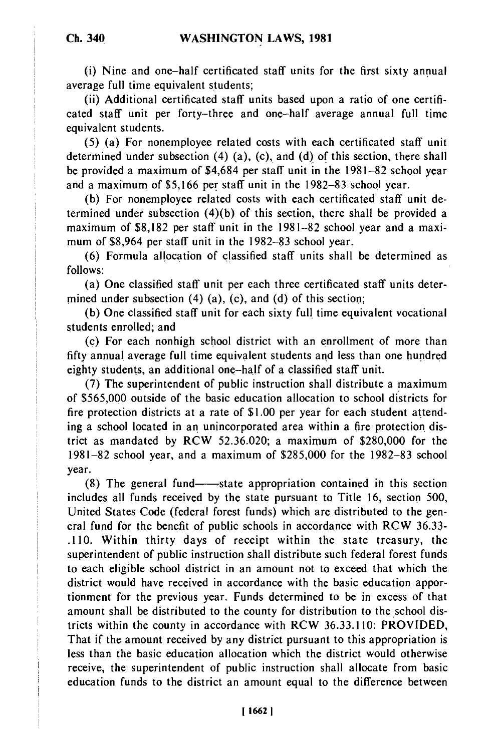(i) Nine and one-half certificated staff units for the first sixty annual average full time equivalent students;

(ii) Additional certificated staff units based upon a ratio of one certificated staff unit per forty-three and one-half average annual full time equivalent students.

(5) (a) For nonemployee related costs with each certificated staff unit determined under subsection (4) (a), (c), and (d) of this section, there shall be provided a maximum of \$4,684 per staff unit in the 1981-82 school year and a maximum of \$5,166 per staff unit in the 1982-83 school year.

(b) For nonemployee related costs with each certificated staff unit determined under subsection  $(4)(b)$  of this section, there shall be provided a maximum of \$8,182 per staff unit in the 1981-82 school year and a maximum of \$8,964 per staff unit in the 1982-83 school year.

(6) Formula allocation of classified staff units shall be determined as follows:

(a) One classified staff unit per each three certificated staff units determined under subsection (4) (a), (c), and (d) of this section;

(b) One classified staff unit for each sixty full time equivalent vocational students enrolled; and

**(c)** For each nonhigh school district with an enrollment of more than fifty annual average full time equivalent students and less than one hundred eighty students, an additional one-half of a classified staff unit.

(7) The superintendent of public instruction shall distribute a maximum of \$565,000 outside of the basic education allocation to school districts for fire protection districts at a rate of \$1.00 per year for each student attending a school located in an unincorporated area within a fire protection district as mandated by RCW 52.36.020; a maximum of \$280,000 for the 1981-82 school year, and a maximum of \$285,000 for the 1982-83 school year.

 $(8)$  The general fund—state appropriation contained in this section includes all funds received by the state pursuant to Title 16, section 500, United States Code (federal forest funds) which are distributed to the general fund for the benefit of public schools in accordance with RCW 36.33- .110. Within thirty days of receipt within the state treasury, the superintendent of public instruction shall distribute such federal forest funds to each eligible school district in an amount not to exceed that which the district would have received in accordance with the basic education apportionment for the previous year. Funds determined to be in excess of that amount shall be distributed to the county for distribution to the school districts within the county in accordance with RCW 36.33.110: PROVIDED, That if the amount received by any district pursuant to this appropriation is less than the basic education allocation which the district would otherwise receive, the superintendent of public instruction shall allocate from basic education funds to the district an amount equal to the difference between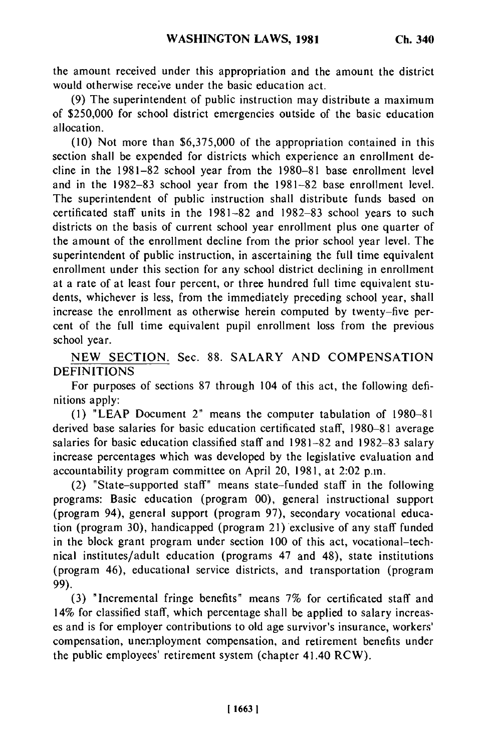the amount received under this appropriation and the amount the district would otherwise receive under the basic education act.

(9) The superintendent of public instruction may distribute a maximum of \$250,000 for school district emergencies outside of the basic education allocation.

(10) Not more than \$6,375,000 of the appropriation contained in this section shall be expended for districts which experience an enrollment decline in the 1981-82 school year from the 1980-81 base enrollment level and in the 1982-83 school year from the 1981-82 base enrollment level. The superintendent of public instruction shall distribute funds based on certificated staff units in the 1981-82 and 1982-83 school years to such districts on the basis of current school year enrollment plus one quarter of the amount of the enrollment decline from the prior school year level. The superintendent of public instruction, in ascertaining the full time equivalent enrollment under this section for any school district declining in enrollment at a rate of at least four percent, or three hundred full time equivalent students, whichever is less, from the immediately preceding school year, shall increase the enrollment as otherwise herein computed by twenty-five percent of the full time equivalent pupil enrollment loss from the previous school year.

NEW SECTION. Sec. 88. SALARY AND COMPENSATION DEFINITIONS

For purposes of sections 87 through 104 of this act, the following definitions apply:

(1) "LEAP Document 2" means the computer tabulation of 1980-81 derived base salaries for basic education certificated staff, 1980-81 average salaries for basic education classified staff and 1981-82 and 1982-83 salary increase percentages which was developed by the legislative evaluation and accountability program committee on April 20, 1981, at 2:02 p.m.

(2) "State-supported staff" means state-funded staff in the following programs: Basic education (program 00), general instructional support (program 94), general support (program 97), secondary vocational education (program 30), handicapped (program 21) exclusive of any staff funded in the block grant program under section 100 of this act, vocational-technical institutes/adult education (programs 47 and 48), state institutions (program 46), educational service districts, and transportation (program 99).

(3) "Incremental fringe benefits" means 7% for certificated staff and 14% for classified staff, which percentage shall be applied to salary increases and is for employer contributions to old age survivor's insurance, workers' compensation, unemployment compensation, and retirement benefits under the public employees' retirement system (chapter 41.40 RCW).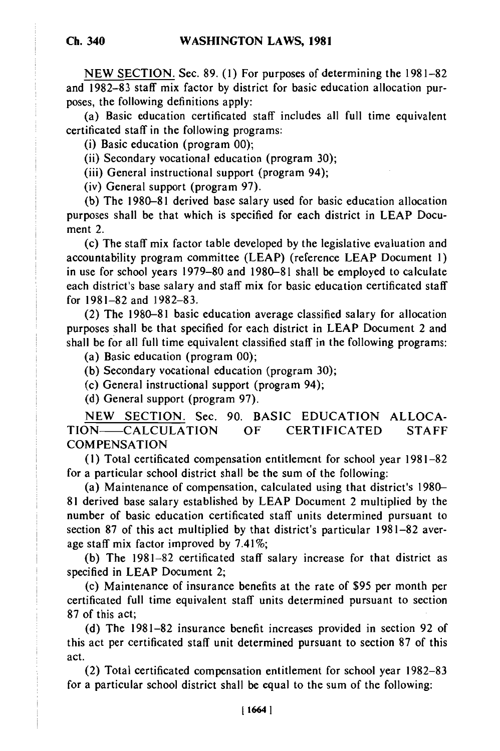**NEW** SECTION. Sec. 89. **(1)** For purposes of determining the 1981-82 and 1982-83 staff mix factor by district for basic education allocation purposes, the following definitions apply:

(a) Basic education certificated staff includes all full time equivalent certificated staff in the following programs:

(i) Basic education (program 00);

(ii) Secondary vocational education (program 30);

(iii) General instructional support (program 94);

(iv) General support (program 97).

(b) The 1980-81 derived base salary used for basic education allocation purposes shall be that which is specified for each district in LEAP Document 2.

(c) The staff mix factor table developed by the legislative evaluation and accountability program committee (LEAP) (reference LEAP Document 1) in use for school years 1979-80 and 1980-81 shall be employed to calculate each district's base salary and staff mix for basic education certificated staff for 1981-82 and 1982-83.

(2) The 1980-81 basic education average classified salary for allocation purposes shall be that specified for each district in LEAP Document 2 and shall be for all full time equivalent classified staff in the following programs:

(a) Basic education (program 00);

(b) Secondary vocational education (program 30);

(c) General instructional support (program 94);

(d) General support (program 97).

NEW SECTION. Sec. 90. BASIC EDUCATION ALLOCA-TION- CALCULATION OF CERTIFICATED STAFF **COMPENSATION** 

(1) Total certificated compensation entitlement for school year 1981-82 for a particular school district shall be the sum of the following:

(a) Maintenance of compensation, calculated using that district's 1980- 81 derived base salary established by LEAP Document 2 multiplied by the number of basic education certificated staff units determined pursuant to section 87 of this act multiplied by that district's particular 1981-82 average staff mix factor improved by 7.41%;

(b) The 1981-82 certificated staff salary increase for that district as specified in LEAP Document 2;

(c) Maintenance of insurance benefits at the rate of \$95 per month per certificated full time equivalent staff units determined pursuant to section 87 of this act;

(d) The 1981-82 insurance benefit increases provided in section 92 of this act per certificated staff unit determined pursuant to section 87 of this act.

(2) Total certificated compensation entitlement for school year 1982-83 for a particular school district shall be equal to the sum of the following: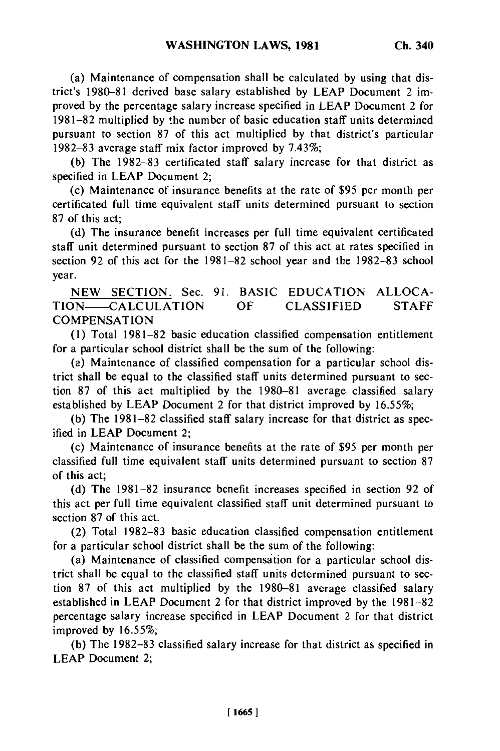(a) Maintenance of compensation shall be calculated by using that district's 1980-81 derived base salary established by LEAP Document 2 improved by the percentage salary increase specified in LEAP Document 2 for 1981-82 multiplied by the number of basic education staff units determined pursuant to section 87 of this act multiplied by that district's particular 1982-83 average staff mix factor improved by 7.43%;

(b) The 1982-83 certificated staff salary increase for that district as specified in LEAP Document 2;

(c) Maintenance of insurance benefits at the rate of \$95 per month per certificated full time equivalent staff units determined pursuant to section 87 of this act;

(d) The insurance benefit increases per full time equivalent certificated staff unit determined pursuant to section 87 of this act at rates specified in section 92 of this act for the 1981-82 school year and the 1982-83 school year.

NEW SECTION. Sec. 91. BASIC EDUCATION ALLOCA-TION- CALCULATION OF CLASSIFIED STAFF **COMPENSATION** 

(1) Total 1981-82 basic education classified compensation entitlement for a particular school district shall be the sum of the following:

(a) Maintenance of classified compensation for a particular school district shall be equal to the classified staff units determined pursuant to section 87 of this act multiplied by the 1980-81 average classified salary established by LEAP Document 2 for that district improved by 16.55%;

(b) The 1981-82 classified staff salary increase for that district as specified in LEAP Document 2;

(c) Maintenance of insurance benefits at the rate of **\$95** per month per classified full time equivalent staff units determined pursuant to section 87 of this act;

(d) The 1981-82 insurance benefit increases specified in section 92 of this act per full time equivalent classified staff unit determined pursuant to section 87 of this act.

(2) Total 1982-83 basic education classified compensation entitlement for a particular school district shall be the sum of the following:

(a) Maintenance of classified compensation for a particular school district shall be equal to the classified staff units determined pursuant to section 87 of this act multiplied by the 1980-81 average classified salary established in LEAP Document 2 for that district improved by the 1981-82 percentage salary increase specified in LEAP Document 2 for that district improved by 16.55%;

(b) The 1982-83 classified salary increase for that district as specified in LEAP Document 2;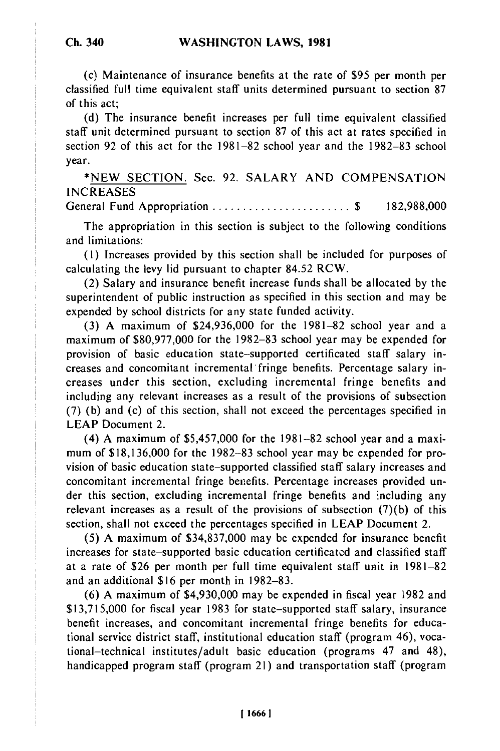(c) Maintenance of insurance benefits at the rate of **\$95** per month per classified full time equivalent staff units determined pursuant to section 87 of this act;

(d) The insurance benefit increases per full time equivalent classified staff unit determined pursuant to section 87 of this act at rates specified in section 92 of this act for the 1981-82 school year and the 1982-83 school year.

\*NEW SECTION. Sec. 92. SALARY AND COMPENSATION **INCREASES** General Fund Appropriation ....................... \$ 182,988,000

The appropriation in this section is subject to the following conditions and limitations:

(1) Increases provided by this section shall be included for purposes of calculating the levy lid pursuant to chapter 84.52 RCW.

(2) Salary and insurance benefit increase funds shall be allocated by the superintendent of public instruction as specified in this section and may be expended by school districts for any state funded activity.

(3) A maximum of \$24,936,000 for the 1981-82 school year and a maximum of \$80,977,000 for the 1982-83 school year may be expended for provision of basic education state-supported certificated staff salary increases and concomitant incremental fringe benefits. Percentage salary increases under this section, excluding incremental fringe benefits and including any relevant increases as a result of the provisions of subsection (7) (b) and (c) of this section, shall not exceed the percentages specified in LEAP Document 2.

(4) A maximum of \$5,457,000 for the 1981-82 school year and a maximum of \$18,136,000 for the 1982-83 school year may be expended for provision of basic education state-supported classified staff salary increases and concomitant incremental fringe benefits. Percentage increases provided under this section, excluding incremental fringe benefits and including any relevant increases as a result of the provisions of subsection (7)(b) of this section, shall not exceed the percentages specified in LEAP Document 2.

(5) A maximum of \$34,837,000 may be expended for insurance benefit increases for state-supported basic education certificatcd and classified staff at a rate of \$26 per month per full time equivalent staff unit in 1981-82 and an additional \$16 per month in 1982-83.

(6) A maximum of \$4,930,000 may be expended in fiscal year 1982 and \$13,715,000 for fiscal year 1983 for state-supported staff salary, insurance benefit increases, and concomitant incremental fringe benefits for educational service district staff, institutional education staff (program 46), vocational-technical institutes/adult basic education (programs 47 and 48), handicapped program staff (program 21) and transportation staff (program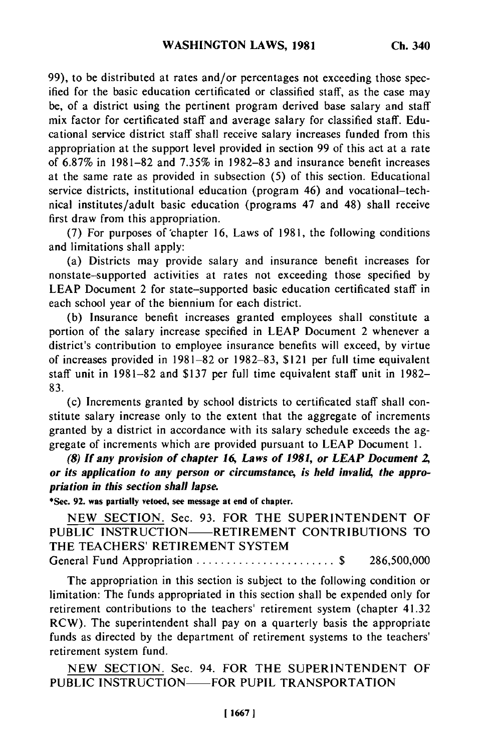99), to be distributed at rates and/or percentages not exceeding those specified for the basic education certificated or classified staff, as the case may be, of a district using the pertinent program derived base salary and staff mix factor for certificated staff and average salary for classified staff. Educational service district staff shall receive salary increases funded from this appropriation at the support level provided in section 99 of this act at a rate of  $6.87\%$  in 1981–82 and  $7.35\%$  in 1982–83 and insurance benefit increases at the same rate as provided in subsection (5) of this section. Educational service districts, institutional education (program 46) and vocational-technical institutes/adult basic education (programs 47 and 48) shall receive first draw from this appropriation.

(7) For purposes of chapter 16, Laws of 1981, the following conditions and limitations shall apply:

(a) Districts may provide salary and insurance benefit increases for nonstate-supported activities at rates not exceeding those specified by LEAP Document 2 for state-supported basic education certificated staff in each school year of the biennium for each district.

(b) Insurance benefit increases granted employees shall constitute a portion of the salary increase specified in LEAP Document 2 whenever a district's contribution to employee insurance benefits will exceed, by virtue of increases provided in 1981-82 or 1982-83, \$121 per full time equivalent staff unit in 1981-82 and \$137 per full time equivalent staff unit in 1982- 83.

(c) Increments granted by school districts to certificated staff shall constitute salary increase only to the extent that the aggregate of increments granted by a district in accordance with its salary schedule exceeds the aggregate of increments which are provided pursuant to LEAP Document 1.

*(8) If any provision of chapter 16, Laws of 1981, or LEAP Document 2,* or its application to any person or circumstance, is held invalid, the appro*priation in this section shall lapse.*

**\*Sec. 92. was partially vetoed, see message at end of chapter.**

**NEW SECTION.** Sec. **93.** FOR THE SUPERINTENDENT OF **PUBLIC** INSTRUCTION-RETIREMENT **CONTRIBUTIONS** TO THE TEACHERS' RETIREMENT SYSTEM General Fund Appropriation ....................... \$ 286,500,000

The appropriation in this section is subject to the following condition or limitation: The funds appropriated in this section shall be expended only for retirement contributions to the teachers' retirement system (chapter 41.32 RCW). The superintendent shall pay on a quarterly basis the appropriate funds as directed by the department of retirement systems to the teachers' retirement system fund.

NEW SECTION. Sec. 94. FOR THE SUPERINTENDENT OF PUBLIC INSTRUCTION—FOR PUPIL TRANSPORTATION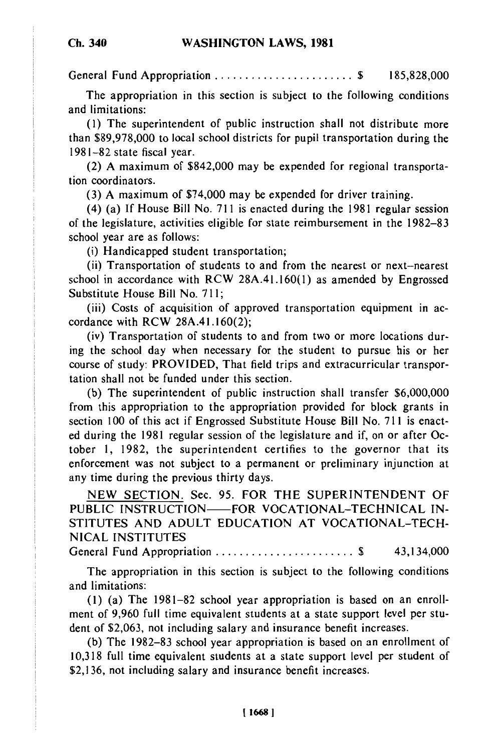General Fund Appropriation ....................... \$ 185,828,000

The appropriation in this section is subject to the following conditions and limitations:

(1) The superintendent of public instruction shall not distribute more than \$89,978,000 to local school districts for pupil transportation during the 1981-82 state fiscal year.

(2) A maximum of \$842,000 may be expended for regional transportation coordinators.

(3) A maximum of \$74,000 may be expended for driver training.

(4) (a) If House Bill No. 711 is enacted during the 1981 regular session of the legislature, activities eligible for state reimbursement in the 1982-83 school year are as follows:

(i) Handicapped student transportation;

(ii) Transportation of students to and from the nearest or next-nearest school in accordance with RCW 28A.41.160(l) as amended by Engrossed Substitute House Bill No. 711;

(iii) Costs of acquisition of approved transportation equipment in accordance with RCW 28A.41.160(2);

(iv) Transportation of students to and from two or more locations during the school day when necessary for the student to pursue his or her course of study: PROVIDED, That field trips and extracurricular transportation shall not be funded under this section.

(b) The superintendent of public instruction shall transfer \$6,000,000 from this appropriation to the appropriation provided for block grants in section 100 of this act if Engrossed Substitute House Bill No. 711 is enacted during the 1981 regular session of the legislature and if, on or after October 1, 1982, the superintendent certifies to the governor that its enforcement was not subject to a permanent or preliminary injunction at any time during the previous thirty days.

NEW SECTION. Sec. 95. FOR THE SUPERINTENDENT OF PUBLIC INSTRUCTION-FOR VOCATIONAL-TECHNICAL IN-STITUTES AND ADULT EDUCATION AT VOCATIONAL-TECH-NICAL INSTITUTES

General Fund Appropriation ....................... \$ 43,134,000

The appropriation in this section is subject to the following conditions and limitations:

(1) (a) The 1981-82 school year appropriation is based on an enroll-(1) (a) THE 1791-02 SCHOOL year appropriation is based on an emon-<br>ment of 9,960 full time equivalent students at a state support level per stu $d_{\text{out}}$  of \$2,063, not including salary and insurance benefit increases. dent of \$2,063, not including salary and insurance benefit increases.<br>(b) The 1982–83 school year appropriation is based on an enrollment of

10,318 full time equivalent students at a state support level per student of \$2,136, not including salary and insurance benefit increases.

**116681**

### **Ch. 340**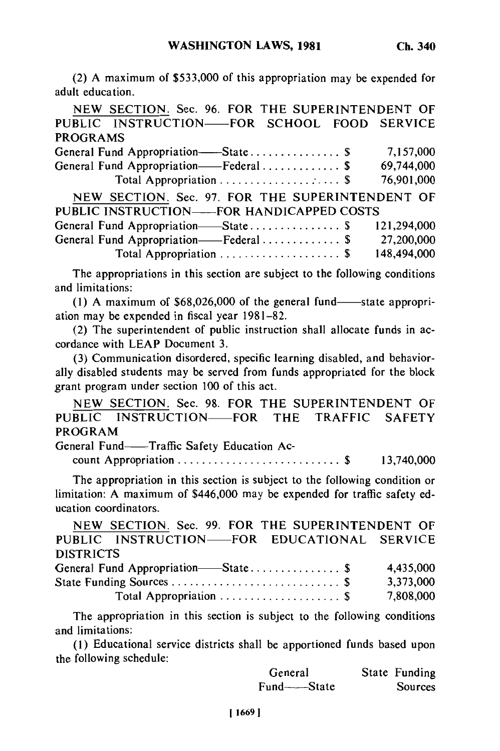**(2) A** maximum of \$533,000 of this appropriation may be expended for adult education.

NEW SECTION. Sec. 96. FOR THE SUPERINTENDENT OF **PUBLIC INSTRUCTION- FOR SCHOOL** FOOD SERVICE PROGRAMS General Fund Appropriation- State ............... **\$** 7,157,000 General Fund Appropriation- Federal ............. **\$** 69,744,000 Total Appropriation .................... \$ 76,901,000 NEW SECTION. Sec. 97. FOR THE SUPERINTENDENT OF PUBLIC INSTRUCTION--FOR HANDICAPPED COSTS General Fund Appropriation- State ............... \$ 121,294,000 General Fund Appropriation- Federal ............. \$ 27,200,000 Total Appropriation .................... \$ 148,494,000

The appropriations in this section are subject to the following conditions and limitations:

(1) A maximum of  $$68,026,000$  of the general fund-state appropriation may be expended in fiscal year 1981-82.

(2) The superintendent of public instruction shall allocate funds in accordance with LEAP Document 3.

(3) Communication disordered, specific learning disabled, and behaviorally disabled students may be served from funds appropriated for the block grant program under section 100 of this act.

NEW SECTION. Sec. 98. FOR THE SUPERINTENDENT OF PUBLIC INSTRUCTION-FOR THE TRAFFIC SAFETY PROGRAM

General Fund--Traffic Safety Education Ac-

count Appropriation ........................... \$ 13,740,000

The appropriation in this section is subject to the following condition or limitation: A maximum of \$446,000 may be expended for traffic safety education coordinators.

| NEW SECTION. Sec. 99. FOR THE SUPERINTENDENT OF |
|-------------------------------------------------|
| PUBLIC INSTRUCTION-FOR EDUCATIONAL SERVICE      |
|                                                 |
| 4,435,000                                       |
| 3,373,000                                       |
| 7,808,000                                       |
|                                                 |

The appropriation in this section is subject to the following conditions and limitations:

(1) Educational service districts shall be apportioned funds based upon the following schedule:

| General     | State Funding |
|-------------|---------------|
| Fund——State | Sources       |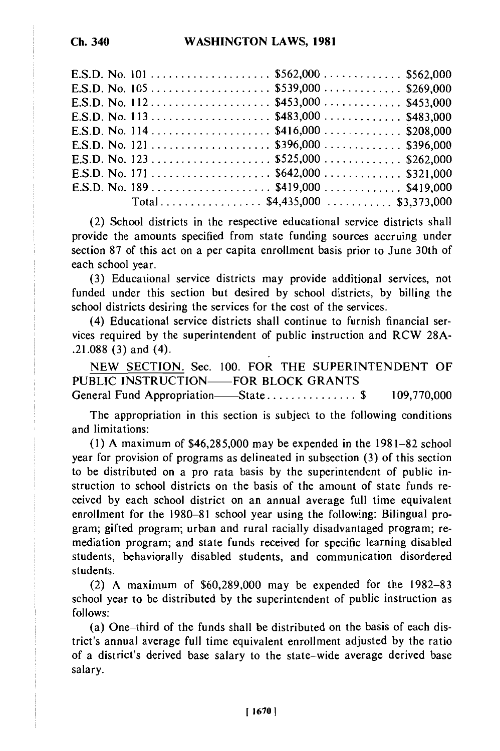| E.S.D. No. 105 \$539,000 \$269,000 |                              |  |
|------------------------------------|------------------------------|--|
|                                    |                              |  |
|                                    |                              |  |
|                                    |                              |  |
|                                    |                              |  |
| E.S.D. No. 123 \$525,000 \$262,000 |                              |  |
|                                    |                              |  |
| E.S.D. No. 189 \$419,000 \$419,000 |                              |  |
|                                    | Total\$4,435,000 \$3,373,000 |  |

(2) School districts in the respective educational service districts shall provide the amounts specified from state funding sources accruing under section 87 of this act on a per capita enrollment basis prior to June 30th of each school year.

(3) Educational service districts may provide additional services, not funded under this section but desired by school districts, by billing the school districts desiring the services for the cost of the services.

(4) Educational service districts shall continue to furnish financial services required by the superintendent of public instruction and RCW 28A- .21.088 (3) and (4).

NEW SECTION. Sec. 100. FOR THE SUPERINTENDENT OF PUBLIC INSTRUCTION—FOR BLOCK GRANTS General Fund Appropriation- State ............... \$ 109,770,000

The appropriation in this section is subject to the following conditions and limitations:

(1) A maximum of \$46,285,000 may be expended in the 1981-82 school year for provision of programs as delineated in subsection (3) of this section to be distributed on a pro rata basis by the superintendent of public instruction to school districts on the basis of the amount of state funds received by each school district on an annual average full time equivalent enrollment for the 1980-81 school year using the following: Bilingual program; gifted program; urban and rural racially disadvantaged program; remediation program; and state funds received for specific learning disabled students, behaviorally disabled students, and communication disordered students.

(2) A maximum of \$60,289,000 may be expended for the 1982-83 school year to be distributed by the superintendent of public instruction as follows:

(a) One-third of the funds shall be distributed on the basis of each district's annual average full time equivalent enrollment adjusted by the ratio of a district's derived base salary to the state-wide average derived base salary.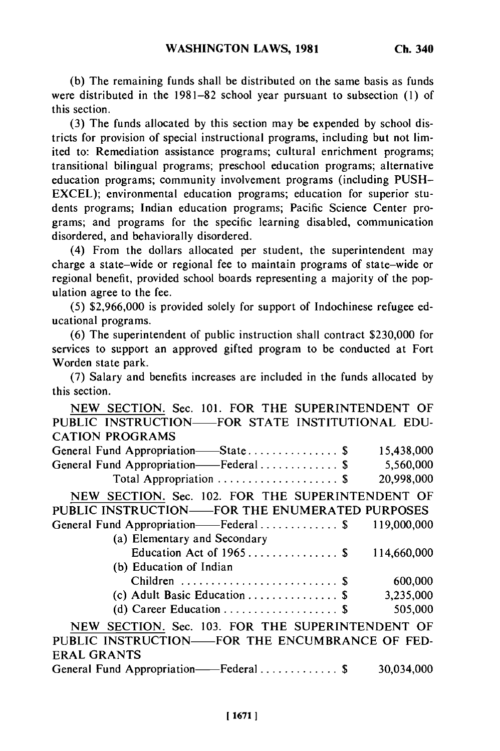**(b) The** remaining funds shall be distributed on the same basis as funds were distributed in the 1981-82 school year pursuant to subsection (1) of this section.

(3) The funds allocated by this section may be expended by school districts for provision of special instructional programs, including but not limited to: Remediation assistance programs; cultural enrichment programs; transitional bilingual programs; preschool education programs; alternative education programs; community involvement programs (including PUSH-EXCEL); environmental education programs; education for superior students programs; Indian education programs; Pacific Science Center programs; and programs for the specific learning disabled, communication disordered, and behaviorally disordered.

(4) From the dollars allocated per student, the superintendent may charge a state-wide or regional fee to maintain programs of state-wide or regional benefit, provided school boards representing a majority of the population agree to the fee.

(5) \$2,966,000 is provided solely for support of Indochinese refugee educational programs.

(6) The superintendent of public instruction shall contract \$230,000 for services to support an approved gifted program to be conducted at Fort Worden state park.

(7) Salary and benefits increases are included in the funds allocated by this section.

| NEW SECTION. Sec. 101. FOR THE SUPERINTENDENT OF |             |            |
|--------------------------------------------------|-------------|------------|
| PUBLIC INSTRUCTION-FOR STATE INSTITUTIONAL EDU-  |             |            |
| <b>CATION PROGRAMS</b>                           |             |            |
| General Fund Appropriation-State\$               |             | 15,438,000 |
| General Fund Appropriation——Federal\$            |             | 5,560,000  |
| Total Appropriation  \$                          | 20,998,000  |            |
| NEW SECTION. Sec. 102. FOR THE SUPERINTENDENT OF |             |            |
| PUBLIC INSTRUCTION——FOR THE ENUMERATED PURPOSES  |             |            |
| General Fund Appropriation——Federal\$            | 119,000,000 |            |
| (a) Elementary and Secondary                     |             |            |
| Education Act of $1965$ \$                       | 114,660,000 |            |
| (b) Education of Indian                          |             |            |
| Children  \$                                     |             | 600,000    |
| (c) Adult Basic Education  \$                    |             | 3,235,000  |
|                                                  |             | 505,000    |
| NEW SECTION. Sec. 103. FOR THE SUPERINTENDENT OF |             |            |
| PUBLIC INSTRUCTION—FOR THE ENCUMBRANCE OF FED-   |             |            |
| <b>ERAL GRANTS</b>                               |             |            |
| General Fund Appropriation——Federal\$            | 30,034,000  |            |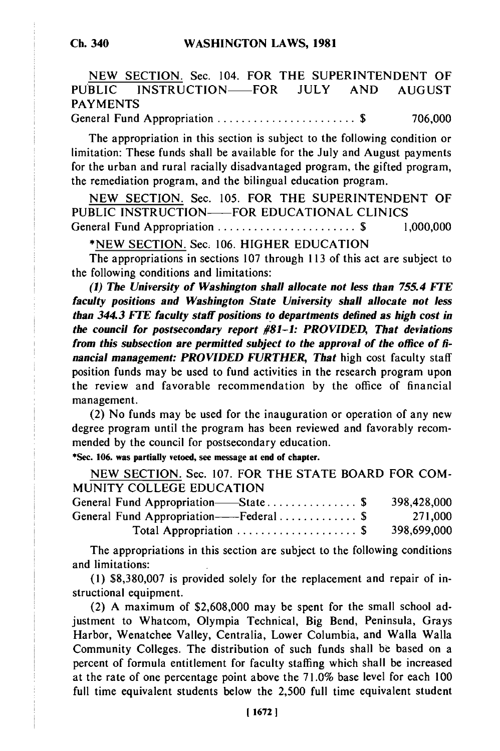NEW SECTION. Sec. 104. FOR THE SUPERINTENDENT OF PUBLIC INSTRUCTION-FOR JULY AND AUGUST PAYMENTS

General Fund Appropriation ....................... \$ 706,000

The appropriation in this section is subject to the following condition or limitation: These funds shall be available for the July and August payments for the urban and rural racially disadvantaged program, the gifted program, the remediation program, and the bilingual education program.

NEW SECTION. Sec. 105. FOR THE SUPERINTENDENT OF PUBLIC INSTRUCTION-FOR EDUCATIONAL CLINICS General Fund Appropriation ..............................\$ 1,000,000

\*NEW SECTION. Sec. 106. HIGHER EDUCATION

The appropriations in sections 107 through 113 of this act are subject to the following conditions and limitations:

*(1) The University of Washington shall allocate not less than 755.4 FIE faculty positions and Washington State University shall allocate not less than 344.3 FEE faculty staff positions to departments defined as high cost in the council for postsecondary report #81-1: PROVIDED, That deviations from this subsection are permitted subject to the approval of the office of financial management: PROVIDED FURTHER, That* high cost faculty staff position funds may be used to fund activities in the research program upon the review and favorable recommendation by the office of financial management.

(2) No funds may be used for the inauguration or operation of any new degree program until the program has been reviewed and favorably recommended by the council for postsecondary education.

\*See. **106. was partially vetoed, see message at end of chapter.**

NEW SECTION. Sec. 107. FOR THE STATE BOARD FOR COM-MUNITY COLLEGE EDUCATION

| 398,428,000                                        |
|----------------------------------------------------|
| General Fund Appropriation——Federal  \$<br>271,000 |
| 398,699,000                                        |
|                                                    |

The appropriations in this section are subject to the following conditions and limitations:

(1) \$8,380,007 is provided solely for the replacement and repair of instructional equipment.

(2) A maximum of \$2,608,000 may be spent for the small school adjustment to Whatcom, Olympia Technical, Big Bend, Peninsula, Grays Harbor, Wenatchee Valley, Centralia, Lower Columbia, and Walla Walla Community Colleges. The distribution of such funds shall be based on a percent of formula entitlement for faculty staffing which shall be increased at the rate of one percentage point above the 71.0% base level for each 100 full time equivalent students below the 2,500 full time equivalent student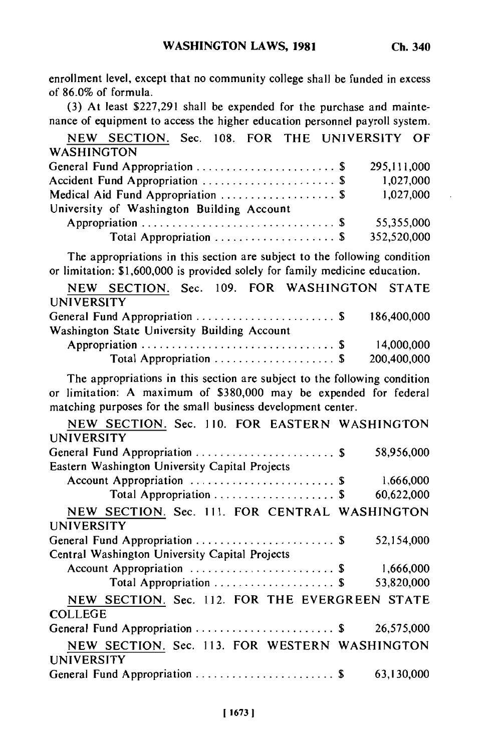enrollment level, except that no community college shall be funded in excess of 86.0% of formula.

(3) At least \$227,291 shall be expended for the purchase and maintenance of equipment to access the higher education personnel payroll system.

NEW SECTION. Sec. 108. FOR THE UNIVERSITY OF WASHINGTON General Fund Appropriation ....................... \$ 295,111,000 Accident Fund Appropriation ............................\$ 1,027,000 Medical Aid Fund Appropriation .........................\$ 1,027,000 University of Washington Building Account Appropriation ................................ \$ 55,355,000 Total Appropriation .................... \$ 352,520,000

The appropriations in this section are subject to the following condition or limitation: \$1,600,000 is provided solely for family medicine education.

|                   |                                              |  | NEW SECTION. Sec. 109. FOR WASHINGTON STATE |             |
|-------------------|----------------------------------------------|--|---------------------------------------------|-------------|
| <b>UNIVERSITY</b> |                                              |  |                                             |             |
|                   |                                              |  | General Fund Appropriation \$ 186,400,000   |             |
|                   | Washington State University Building Account |  |                                             |             |
|                   |                                              |  |                                             | 14,000,000  |
|                   | Total Appropriation  \$                      |  |                                             | 200,400,000 |

The appropriations in this section are subject to the following condition or limitation: A maximum of \$380,000 may be expended for federal matching purposes for the small business development center.

| NEW SECTION. Sec. 110. FOR EASTERN WASHINGTON<br><b>UNIVERSITY</b> |            |
|--------------------------------------------------------------------|------------|
| General Fund Appropriation  \$                                     | 58,956,000 |
| Eastern Washington University Capital Projects                     |            |
| Account Appropriation  \$                                          | 1,666,000  |
| Total Appropriation  \$                                            | 60,622,000 |
| NEW SECTION. Sec. 111. FOR CENTRAL WASHINGTON                      |            |
| UNIVERSITY                                                         |            |
|                                                                    | 52,154,000 |
| Central Washington University Capital Projects                     |            |
|                                                                    | 1,666,000  |
| Total Appropriation  \$                                            | 53,820,000 |
| NEW SECTION. Sec. 112. FOR THE EVERGREEN STATE                     |            |
| <b>COLLEGE</b>                                                     |            |
| General Fund Appropriation  \$                                     | 26,575,000 |
| NEW SECTION. Sec. 113. FOR WESTERN WASHINGTON                      |            |
| <b>UNIVERSITY</b>                                                  |            |
| General Fund Appropriation  \$                                     | 63,130,000 |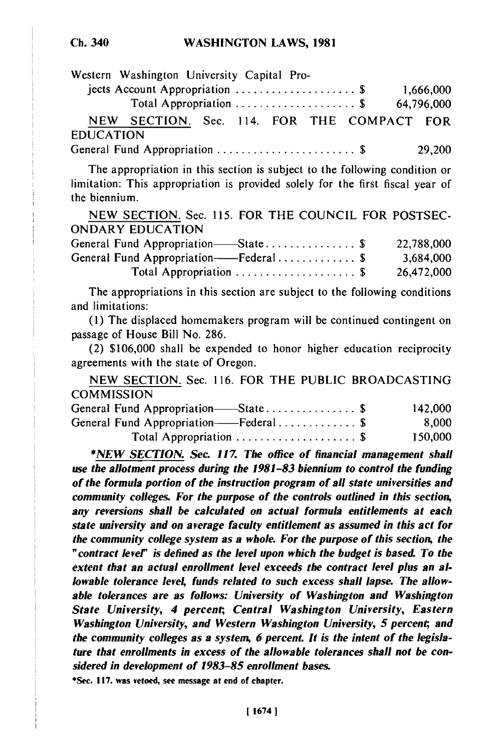# **Ch. 340**

|                  | Western Washington University Capital Pro-                       |  |  |  |           |
|------------------|------------------------------------------------------------------|--|--|--|-----------|
|                  | jects Account Appropriation $\ldots \ldots \ldots \ldots \ldots$ |  |  |  | 1,666,000 |
|                  | Total Appropriation  \$ 64,796,000                               |  |  |  |           |
|                  | NEW SECTION. Sec. 114. FOR THE COMPACT FOR                       |  |  |  |           |
| <b>EDUCATION</b> |                                                                  |  |  |  |           |
|                  |                                                                  |  |  |  | 29,200    |

The appropriation in this section is subject to the following condition or limitation: This appropriation is provided solely for the first fiscal year of the biennium.

NEW SECTION. Sec. 115. FOR THE COUNCIL FOR POSTSEC-ONDARY EDUCATION

| General Fund Appropriation—State\$    | 22,788,000 |
|---------------------------------------|------------|
| General Fund Appropriation——Federal\$ | 3.684,000  |
| Total Appropriation  \$               | 26,472,000 |

The appropriations in this section are subject to the following conditions and limitations:

(1) The displaced homemakers program will be continued contingent on passage of House Bill No. 286.

(2) \$106,000 shall be expended to honor higher education reciprocity agreements with the state of Oregon.

NEW SECTION. Sec. 116. FOR THE PUBLIC BROADCASTING **COMMISSION** 

| 142,000 |
|---------|
| 8.000   |
| 150,000 |
|         |

*\*NEW SECTION. Sec. 117. The office of financial management shall use the allotment process during the 1981-83 biennium to control the funding of the formula portion of the instruction program of all state universities and community colleges. For the purpose of the controls outlined in this section, any reversions shall be calculated on actual formula entitlements at each state university and on average faculty entitlement as assumed in this act for the community college system as a whole. For the purpose of this section, the "contract lever is defined as the level upon which the budget is based. To the extent that an actual enrollment level exceeds the contract level plus an allowable tolerance leve4 funds related to such excess shall lapse. The allowable tolerances are as follows: University of Washington and Washington State University, 4 percent, Central Washington University, Eastern Washington University, and Western Washington University, 5 percent, and the community colleges as a system, 6 percent. It is the intent of the legislature that enrollments in excess of the allowable tolerances shall not be considered in development of 1983-85 enrollment bases.*

\*Sec. **117.** was vetoed, see message at end of **chapter.**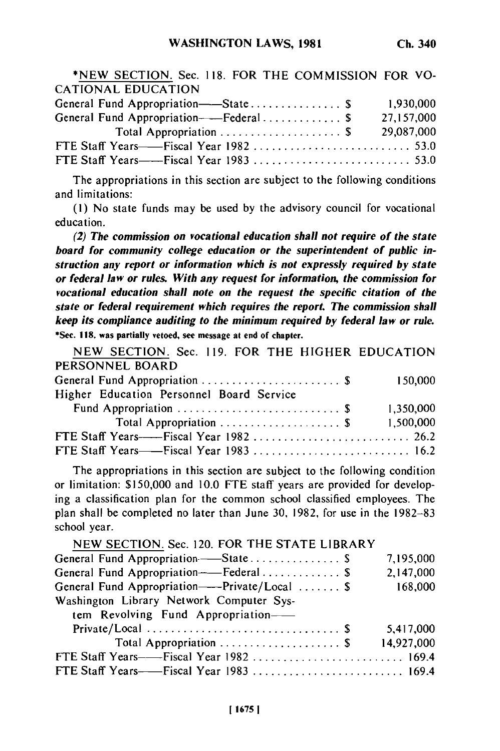| *NEW SECTION. Sec. 118. FOR THE COMMISSION FOR VO-          |            |  |
|-------------------------------------------------------------|------------|--|
| CATIONAL EDUCATION                                          |            |  |
| General Fund Appropriation——State \$                        | 1,930,000  |  |
| General Fund Appropriation----Federal \$                    | 27,157,000 |  |
| Total Appropriation $\ldots \ldots \ldots \ldots \ldots$ \$ | 29,087,000 |  |
|                                                             |            |  |
|                                                             |            |  |

The appropriations in this section are subject to the following conditions and limitations:

(I) No state funds may be used by the advisory council for vocational education.

*(2) The commission on vocational education shall not require of the state* board for community college education or the superintendent of public in*struction any report or information which is not expressly required by state or federal law or rules. With any request for information, the commission for vocational education shall note on the request the specific citation of the state or federal requirement which requires the report. The commission shall keep its compliance auditing to the minimum required by federal law or rule.* **\*Sec. 118. was partially vetoed, see message at end of chapter.**

**NEW** SECTION. Sec. 119. FOR THE HIGHER EDUCATION PERSONNEL BOARD

|                                          | 150,000   |
|------------------------------------------|-----------|
| Higher Education Personnel Board Service |           |
|                                          | 1,350,000 |
|                                          | 1,500,000 |
|                                          |           |
| FTE Staff Years——Fiscal Year 1983  16.2  |           |

The appropriations in this section are subject to the following condition or limitation: \$150,000 and 10.0 **FTE** staff years are provided for developing a classification plan for the common school classified employees. The plan shall be completed no later than June 30, 1982, for use in the 1982-83 school year.

| NEW SECTION. Sec. 120. FOR THE STATE LIBRARY    |            |
|-------------------------------------------------|------------|
| General Fund Appropriation-State \$             | 7,195,000  |
| General Fund Appropriation--Federal \$          | 2,147,000  |
| General Fund Appropriation----Private/Local  \$ | 168,000    |
| Washington Library Network Computer Sys-        |            |
| tem Revolving Fund Appropriation-               |            |
|                                                 | 5,417,000  |
| Total Appropriation  \$                         | 14,927,000 |
| FTE Staff Years-----Fiscal Year 1982  169.4     |            |
| FTE Staff Years-----Fiscal Year 1983  169.4     |            |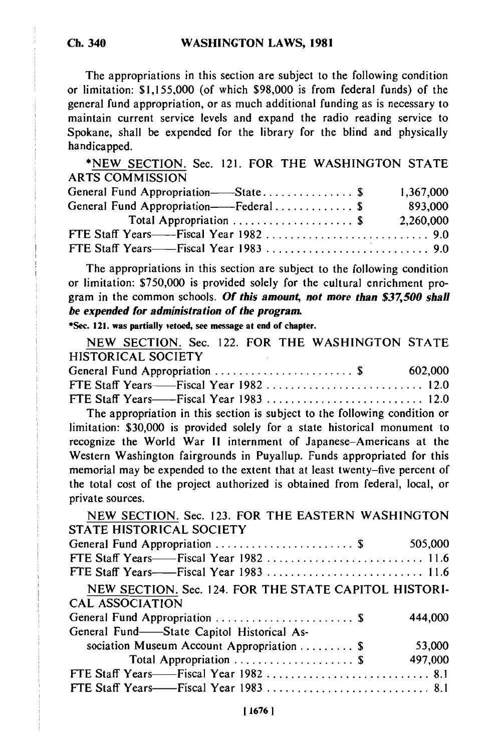The appropriations in this section are subject to the following condition or limitation: \$1,155,000 (of which \$98,000 is from federal funds) of the general fund appropriation, or as much additional funding as is necessary to maintain current service levels and expand the radio reading service to Spokane, shall be expended for the library for the blind and physically handicapped.

\*NEW SECTION. Sec. 121. FOR THE WASHINGTON STATE ARTS COMMISSION

| General Fund Appropriation——State \$                        | 1,367,000 |
|-------------------------------------------------------------|-----------|
| General Fund Appropriation——Federal\$                       | 893,000   |
| Total Appropriation $\ldots \ldots \ldots \ldots \ldots$ \$ | 2,260,000 |
|                                                             |           |
|                                                             |           |

The appropriations in this section are subject to the following condition or limitation: \$750,000 is provided solely for the cultural enrichment program in the common schools. Of this amount, not more than \$37,500 shall *be expended for administration of the program.*

**\*Sec. 121. was partially vetoed, see message at end of chapter.**

**NEW SECTION.** Sec. 122. FOR THE **WASHINGTON STATE** HISTORICAL **SOCIETY** General Fund Appropriation ....................... **\$ 602,000**

| General Fund Appropriation $\ldots \ldots \ldots \ldots \ldots \ldots$ | <b>002,000</b> |
|------------------------------------------------------------------------|----------------|
|                                                                        |                |
| FTE Staff Years——Fiscal Year 1983  12.0                                |                |

The appropriation in this section is subject to the following condition or limitation: **\$30,000** is provided solely for a state historical monument to recognize the World War **II** internment of Japanese-Americans at the Western Washington fairgrounds in Puyallup. Funds appropriated for this memorial may be expended to the extent that at least twenty-five percent of the total cost of the project authorized is obtained from federal, local, or private sources.

**NEW SECTION.** Sec. **123.** FOR THE **EASTERN WASHINGTON STATE** HISTORICAL **SOCIETY** General Fund Appropriation ....................... **\$ 505,000 FTE** Staff Years- Fiscal Year **1982** .......................... **11.6 FTE** Staff Years- Fiscal Year **1983** .......................... **11.6 NEW SECTION.** Sec. 124. FOR THE **STATE CAPITOL** HISTORI-**CAL ASSOCIATION** General Fund Appropriation ....................... **\$** 444,000 General Fund-State Capitol Historical Association Museum Account Appropriation ......... **\$ 53,000** Total Appropriation .................... **\$** 497,000 **FTE** Staff Years- Fiscal Year **1982** ........................... **8.1 FTE** Staff Years- Fiscal Year **1983** ........................... **8.1**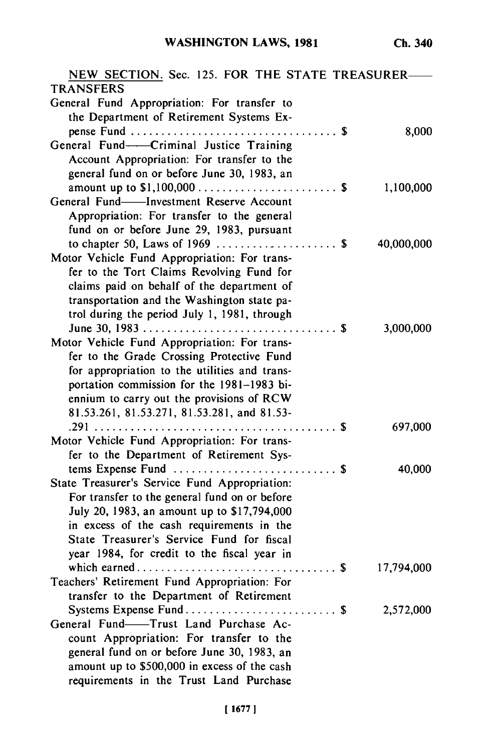| NEW SECTION. Sec. 125. FOR THE STATE TREASURER-<br><b>TRANSFERS</b> |            |
|---------------------------------------------------------------------|------------|
| General Fund Appropriation: For transfer to                         |            |
| the Department of Retirement Systems Ex-                            |            |
|                                                                     | 8,000      |
| General Fund-Criminal Justice Training                              |            |
| Account Appropriation: For transfer to the                          |            |
| general fund on or before June 30, 1983, an                         |            |
|                                                                     | 1,100,000  |
| General Fund-Investment Reserve Account                             |            |
| Appropriation: For transfer to the general                          |            |
| fund on or before June 29, 1983, pursuant                           |            |
|                                                                     |            |
| Motor Vehicle Fund Appropriation: For trans-                        | 40,000,000 |
| fer to the Tort Claims Revolving Fund for                           |            |
|                                                                     |            |
| claims paid on behalf of the department of                          |            |
| transportation and the Washington state pa-                         |            |
| trol during the period July 1, 1981, through                        |            |
|                                                                     | 3,000,000  |
| Motor Vehicle Fund Appropriation: For trans-                        |            |
| fer to the Grade Crossing Protective Fund                           |            |
| for appropriation to the utilities and trans-                       |            |
| portation commission for the 1981-1983 bi-                          |            |
| ennium to carry out the provisions of RCW                           |            |
| 81.53.261, 81.53.271, 81.53.281, and 81.53-                         |            |
|                                                                     | 697,000    |
| Motor Vehicle Fund Appropriation: For trans-                        |            |
| fer to the Department of Retirement Sys-                            |            |
|                                                                     | 40,000     |
| State Treasurer's Service Fund Appropriation:                       |            |
| For transfer to the general fund on or before                       |            |
| July 20, 1983, an amount up to \$17,794,000                         |            |
| in excess of the cash requirements in the                           |            |
| State Treasurer's Service Fund for fiscal                           |            |
| year 1984, for credit to the fiscal year in                         |            |
|                                                                     | 17,794,000 |
| Teachers' Retirement Fund Appropriation: For                        |            |
| transfer to the Department of Retirement                            |            |
|                                                                     | 2,572,000  |
| General Fund-Trust Land Purchase Ac-                                |            |
| count Appropriation: For transfer to the                            |            |
| general fund on or before June 30, 1983, an                         |            |
| amount up to \$500,000 in excess of the cash                        |            |
| requirements in the Trust Land Purchase                             |            |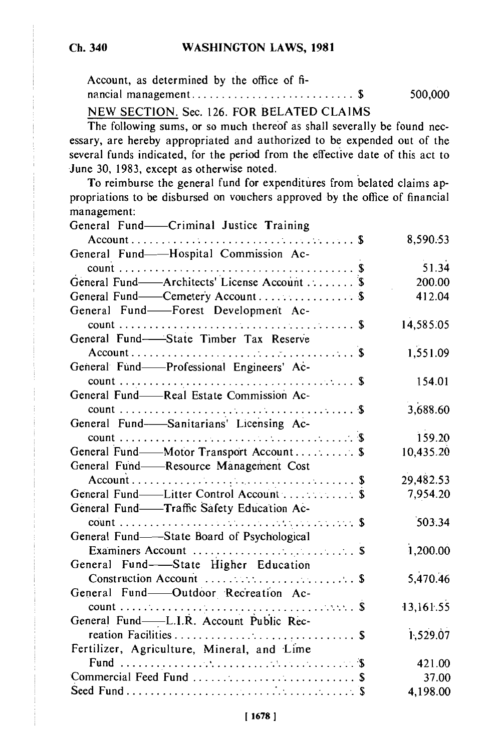| Account, as determined by the office of fi- |         |
|---------------------------------------------|---------|
|                                             | 500,000 |
|                                             |         |

NEW SECTION. Sec. 126. FOR BELATED CLAIMS

The following sums, or so much thereof as shall severally be found necessary, are hereby appropriated and authorized to be expended out of the several funds indicated, for the period from the effective date of this act to June 30, 1983, except as otherwise noted.

To reimburse the general fund for expenditures from belated claims appropriations to be disbursed on vouchers approved by the office of financial management:

| General Fund-Criminal Justice Training       |           |
|----------------------------------------------|-----------|
|                                              | 8,590.53  |
| General Fund-Hospital Commission Ac-         |           |
|                                              | 51.34     |
| General Fund-Architects' License Account  \$ | 200.00    |
| General Fund——Cemetery Account  \$           | 412.04    |
| General Fund-Forest Development Ac-          |           |
|                                              | 14,585.05 |
| General Fund-State Timber Tax Reserve        |           |
|                                              | 1,551.09  |
| General Fund-Professional Engineers' Ac-     |           |
|                                              | 154.01    |
| General Fund-Real Estate Commission Ac-      |           |
|                                              | 3,688.60  |
| General Fund-Sanitarians' Licensing Ac-      |           |
|                                              | 159.20    |
| General Fund——Motor Transport Account \$     | 10,435.20 |
| General Fund-Resource Management Cost        |           |
|                                              | 29,482.53 |
| General Fund—Litter Control Account  \$      | 7,954.20  |
| General Fund-Traffic Safety Education Ac-    |           |
|                                              | 503.34    |
| General Fund—State Board of Psychological    |           |
|                                              | 1,200.00  |
| General Fund-State Higher Education          |           |
|                                              | 5,470.46  |
| General Fund-Outdoor Recreation Ac-          |           |
|                                              | 13,161.55 |
| General Fund-L.I.R. Account Public Rec-      |           |
|                                              | 1,529.07  |
| Fertilizer, Agriculture, Mineral, and Lime   |           |
|                                              | 421.00    |
|                                              | 37.00     |
|                                              | 4,198.00  |
|                                              |           |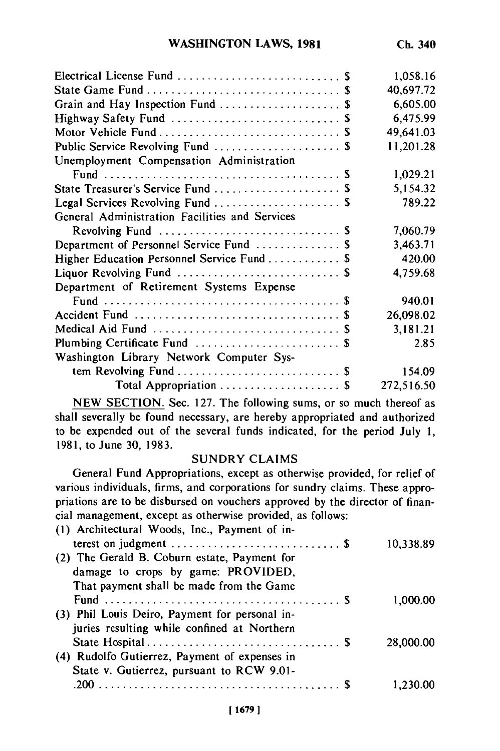|                                                | 1,058.16   |
|------------------------------------------------|------------|
|                                                | 40,697.72  |
| Grain and Hay Inspection Fund  \$              | 6,605.00   |
|                                                | 6,475.99   |
|                                                | 49,641.03  |
| Public Service Revolving Fund  \$              | 11,201.28  |
| Unemployment Compensation Administration       |            |
|                                                | 1,029.21   |
| State Treasurer's Service Fund  \$             | 5,154.32   |
| Legal Services Revolving Fund  \$              | 789.22     |
| General Administration Facilities and Services |            |
|                                                | 7,060.79   |
| Department of Personnel Service Fund  \$       | 3,463.71   |
| Higher Education Personnel Service Fund  \$    | 420.00     |
| Liquor Revolving Fund  \$                      | 4,759.68   |
| Department of Retirement Systems Expense       |            |
|                                                | 940.01     |
|                                                | 26,098.02  |
|                                                | 3,181.21   |
|                                                | 2.85       |
| Washington Library Network Computer Sys-       |            |
| tem Revolving Fund  \$                         | 154.09     |
| Total Appropriation  \$                        | 272,516.50 |

NEW SECTION. Sec. 127. The following sums, or so much thereof as shall severally be found necessary, are hereby appropriated and authorized to be expended out of the several funds indicated, for the period July 1, 1981, to June 30, 1983.

# SUNDRY CLAIMS

General Fund Appropriations, except as otherwise provided, for relief of various individuals, firms, and corporations for sundry claims. These appropriations are to be disbursed on vouchers approved by the director of financial management, except as otherwise provided, as follows:

| (1) Architectural Woods, Inc., Payment of in-                              |           |
|----------------------------------------------------------------------------|-----------|
| terest on judgment $\dots \dots \dots \dots \dots \dots \dots \dots \dots$ | 10,338.89 |
| (2) The Gerald B. Coburn estate, Payment for                               |           |
| damage to crops by game: PROVIDED,                                         |           |
| That payment shall be made from the Game                                   |           |
|                                                                            | 1,000.00  |
| (3) Phil Louis Deiro, Payment for personal in-                             |           |
| juries resulting while confined at Northern                                |           |
|                                                                            | 28,000.00 |
| (4) Rudolfo Gutierrez, Payment of expenses in                              |           |
| State v. Gutierrez, pursuant to RCW 9.01-                                  |           |
|                                                                            | 1.230     |
|                                                                            |           |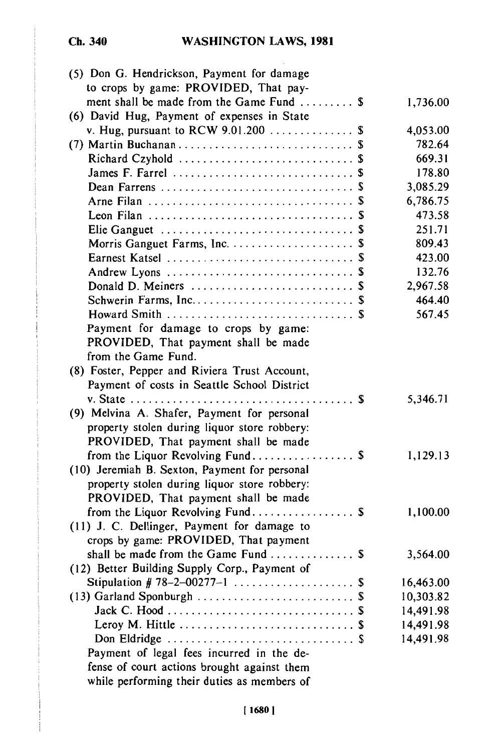**Ch. 340**

| (5) Don G. Hendrickson, Payment for damage                                               |           |
|------------------------------------------------------------------------------------------|-----------|
| to crops by game: PROVIDED, That pay-                                                    |           |
| ment shall be made from the Game Fund  \$<br>(6) David Hug, Payment of expenses in State | 1,736.00  |
|                                                                                          |           |
| v. Hug, pursuant to RCW $9.01.200$ \$                                                    | 4,053.00  |
|                                                                                          | 782.64    |
| Richard Czyhold  \$                                                                      | 669.31    |
|                                                                                          | 178.80    |
|                                                                                          | 3,085.29  |
|                                                                                          | 6,786.75  |
|                                                                                          | 473.58    |
|                                                                                          | 251.71    |
|                                                                                          | 809.43    |
|                                                                                          | 423.00    |
|                                                                                          | 132.76    |
|                                                                                          | 2,967.58  |
|                                                                                          | 464.40    |
|                                                                                          | 567.45    |
| Payment for damage to crops by game:                                                     |           |
| PROVIDED, That payment shall be made                                                     |           |
| from the Game Fund.                                                                      |           |
| (8) Foster, Pepper and Riviera Trust Account,                                            |           |
| Payment of costs in Seattle School District                                              |           |
|                                                                                          | 5,346.71  |
| (9) Melvina A. Shafer, Payment for personal                                              |           |
| property stolen during liquor store robbery:                                             |           |
| PROVIDED, That payment shall be made                                                     |           |
| from the Liquor Revolving Fund \$                                                        | 1,129.13  |
| (10) Jeremiah B. Sexton, Payment for personal                                            |           |
| property stolen during liquor store robbery:                                             |           |
| PROVIDED, That payment shall be made                                                     |           |
| from the Liquor Revolving Fund \$                                                        | 1,100.00  |
| (11) J. C. Dellinger, Payment for damage to                                              |           |
| crops by game: PROVIDED, That payment                                                    |           |
| shall be made from the Game Fund  \$                                                     | 3,564.00  |
| (12) Better Building Supply Corp., Payment of                                            |           |
| Stipulation # 78-2-00277-1<br>\$                                                         | 16,463.00 |
|                                                                                          | 10,303.82 |
|                                                                                          | 14,491.98 |
|                                                                                          | 14,491.98 |
|                                                                                          |           |
|                                                                                          | 14,491.98 |
| Payment of legal fees incurred in the de-                                                |           |
| fense of court actions brought against them                                              |           |
| while performing their duties as members of                                              |           |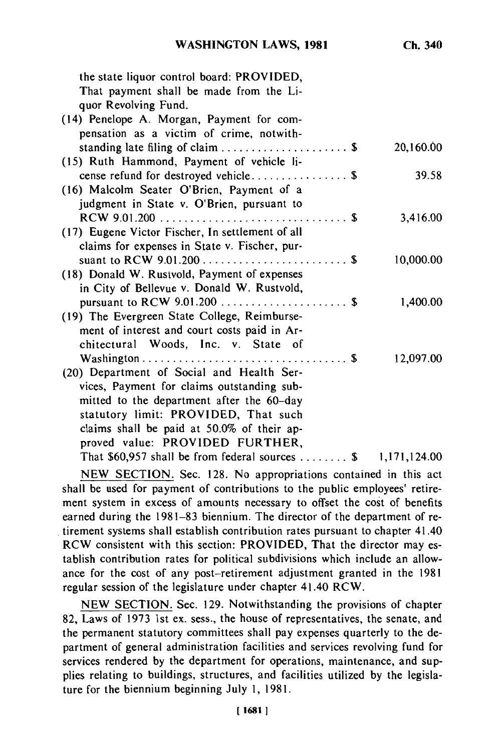| the state liquor control board: PROVIDED,<br>That payment shall be made from the Li- |              |
|--------------------------------------------------------------------------------------|--------------|
| quor Revolving Fund.                                                                 |              |
| (14) Penelope A. Morgan, Payment for com-                                            |              |
| pensation as a victim of crime, notwith-                                             |              |
| standing late filing of claim  \$                                                    | 20,160.00    |
| (15) Ruth Hammond, Payment of vehicle li-                                            |              |
| cense refund for destroyed vehicle \$                                                | 39.58        |
| (16) Malcolm Seater O'Brien, Payment of a                                            |              |
| judgment in State v. O'Brien, pursuant to                                            |              |
|                                                                                      | 3,416.00     |
| (17) Eugene Victor Fischer, In settlement of all                                     |              |
| claims for expenses in State v. Fischer, pur-                                        |              |
|                                                                                      | 10,000.00    |
| (18) Donald W. Rustvold, Payment of expenses                                         |              |
| in City of Bellevue v. Donald W. Rustvold,                                           |              |
|                                                                                      | 1,400.00     |
| (19) The Evergreen State College, Reimburse-                                         |              |
| ment of interest and court costs paid in Ar-                                         |              |
| chitectural Woods, Inc. v. State of                                                  |              |
|                                                                                      | 12,097.00    |
| (20) Department of Social and Health Ser-                                            |              |
| vices, Payment for claims outstanding sub-                                           |              |
| mitted to the department after the 60-day                                            |              |
| statutory limit: PROVIDED, That such                                                 |              |
| claims shall be paid at 50.0% of their ap-                                           |              |
| proved value: PROVIDED FURTHER,                                                      |              |
| That $$60,957$ shall be from federal sources  \$                                     | 1,171,124.00 |

NEW SECTION. Sec. 128. No appropriations contained in this act shall be used for payment of contributions to the public employees' retirement system in excess of amounts necessary to offset the cost of benefits earned during the 1981-83 biennium. The director of the department of retirement systems shall establish contribution rates pursuant to chapter 41.40 RCW consistent with this section: PROVIDED, That the director may establish contribution rates for political subdivisions which include an allowance for the cost of any post-retirement adjustment granted in the 1981 regular session of the legislature under chapter 41.40 RCW.

NEW SECTION. Sec. 129. Notwithstanding the provisions of chapter 82, Laws of 1973 ist ex. sess., the house of representatives, the senate, and the permanent statutory committees shall pay expenses quarterly to the department of general administration facilities and services revolving fund for services rendered by the department for operations, maintenance, and supplies relating to buildings, structures, and facilities utilized by the legislature for the biennium beginning July 1, 1981.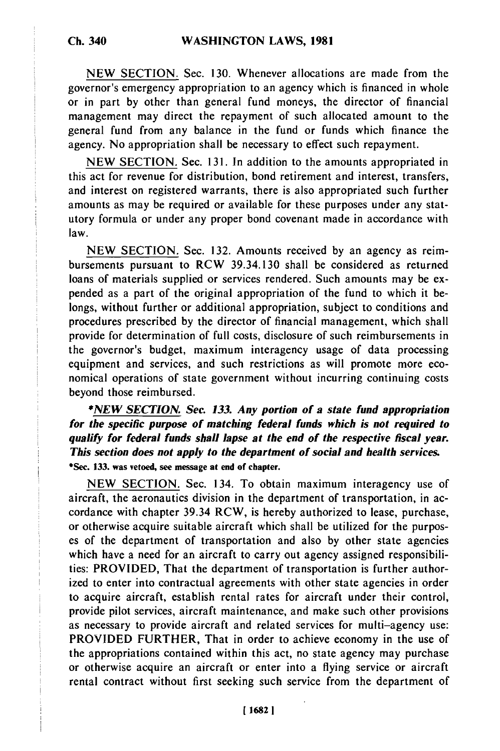**NEW** SECTION. Sec. 130. Whenever allocations are made from the governor's emergency appropriation to an agency which is financed in whole or in part by other than general fund moneys, the director of financial management may direct the repayment of such allocated amount to the general fund from any balance in the fund or funds which finance the agency. No appropriation shall be necessary to effect such repayment.

NEW SECTION. Sec. 131. In addition to the amounts appropriated in this act for revenue for distribution, bond retirement and interest, transfers, and interest on registered warrants, there is also appropriated such further amounts as may be required or available for these purposes under any statutory formula or under any proper bond covenant made in accordance with law.

NEW SECTION. Sec. 132. Amounts received by an agency as reimbursements pursuant to RCW 39.34.130 shall be considered as returned loans of materials supplied or services rendered. Such amounts may be expended as a part of the original appropriation of the fund to which it belongs, without further or additional appropriation, subject to conditions and procedures prescribed by the director of financial management, which shall provide for determination of full costs, disclosure of such reimbursements in the governor's budget, maximum interagency usage of data processing equipment and services, and such restrictions as will promote more economical operations of state government without incurring continuing costs beyond those reimbursed.

*\*NEW SECTION. Sec. 133. Any portion of a state fund appropriation for the specific purpose of matching federal funds which is not required to qualify for federal funds shall lapse at the end of the respective fiscal year. This section does not apply to the department of social and health services.* **\*Sec. 133. was vetoed, see message at end of chapter.**

**NEW SECTION.** Sec. 134. To obtain maximum interagency use of aircraft, the aeronautics division in the department of transportation, in accordance with chapter 39.34 RCW, is hereby authorized to lease, purchase, or otherwise acquire suitable aircraft which shall be utilized for the purposes of the department of transportation and also **by** other state agencies which have a need for an aircraft to carry out agency assigned responsibilities: PROVIDED, That the department of transportation is further authorized to enter into contractual agreements with other state agencies in order to acquire aircraft, establish rental rates for aircraft under their control, provide pilot services, aircraft maintenance, and make such other provisions as necessary to provide aircraft and related services for multi-agency use: PROVIDED FURTHER, That in order to achieve economy in the use of the appropriations contained within this act, no state agency may purchase or otherwise acquire an aircraft or enter into a flying service or aircraft rental contract without first seeking such service from the department of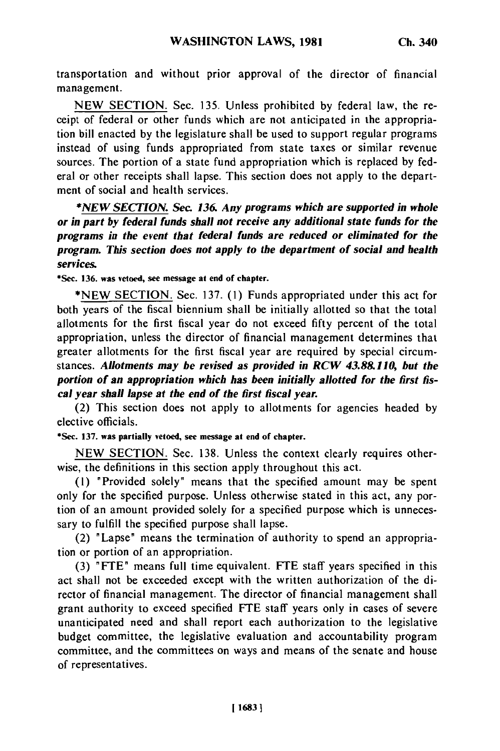transportation and without prior approval of the director of financial management.

NEW SECTION. Sec. 135. Unless prohibited by federal law, the receipt of federal or other funds which are not anticipated in the appropriation bill enacted by the legislature shall be used to support regular programs instead of using funds appropriated from state taxes or similar revenue sources. The portion of a state fund appropriation which is replaced by federal or other receipts shall lapse. This section does not apply to the department of social and health services.

*\*NEW SECTION. Sec 136. Any programs which are supported in whole or in part by federal funds shall not receive any additional state funds for the programs in the event that federal funds are reduced or eliminated for the program. This section does not apply to the department of social and health services.*

**\*Sec. 136. was vetoed, see message at end of chapter.**

\*NEW SECTION. Sec. 137. (1) Funds appropriated under this act for both years of the fiscal biennium shall be initially allotted so that the total allotments for the first fiscal year do not exceed fifty percent of the total appropriation, unless the director of financial management determines that greater allotments for the first fiscal year are required by special circumstances. *Allotments may be revised as provided in RCW 43.88.110, but the portion of an appropriation which has been initially allotted for the first fiscal year shall lapse at the end of the first fiscal year.*

(2) This section does not apply to allotments for agencies headed by elective officials.

**\*Sec. 137. was partially vetoed, see message at end of chapter.**

NEW SECTION. Sec. 138. Unless the context clearly requires otherwise, the definitions in this section apply throughout this act.

(1) "Provided solely" means that the specified amount may be spent only for the specified purpose. Unless otherwise stated in this act, any portion of an amount provided solely for a specified purpose which is unnecessary to fulfill the specified purpose shall lapse.

(2) "Lapse" means the termination of authority to spend an appropriation or portion of an appropriation.

**(3)** "FTE" means full time equivalent. **FTE** staff years specified in this act shall not be exceeded except with the written authorization of the director of financial management. The director of financial management shall grant authority to exceed specified FTE staff years only in cases of severe unanticipated need and shall report each authorization to the legislative budget committee, the legislative evaluation and accountability program committee, and the committees on ways and means of the senate and house of representatives.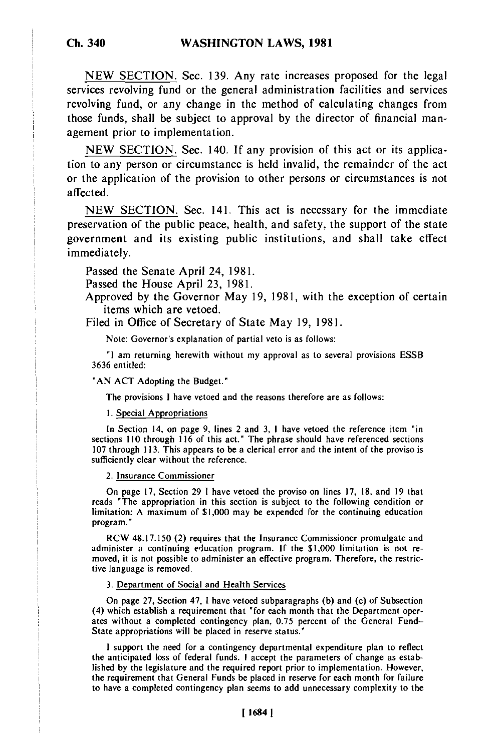**NEW SECTION.** Sec. 139. Any rate increases proposed for the legal services revolving fund or the general administration facilities and services revolving fund, or any change in the method of calculating changes from those funds, shall be subject to approval by the director of financial management prior to implementation.

NEW SECTION. Sec. 140. If any provision of this act or its application to any person or circumstance is held invalid, the remainder of the act or the application of the provision to other persons or circumstances is not affected.

NEW SECTION. Sec. 141. This act is necessary for the immediate preservation of the public peace, health, and safety, the support of the state government and its existing public institutions, and shall take effect immediately.

Passed the Senate April 24, 1981.

Passed the House April 23, 1981.

Approved by the Governor May 19, 1981, with the exception of certain items which are vetoed.

Filed in Office of Secretary of State May 19, 1981.

Note: Governor's explanation of partial veto is as follows:

**"I** am returning herewith without my approval as to several provisions ESSB 3636 entitled:

**'AN ACT** Adopting the Budget."

The provisions I have vetoed and the reasons therefore are as follows:

**1.** Special Appropriations

In Section 14, on page 9, lines 2 and 3, I have vetoed the reference item "in sections 110 through 116 of this act." The phrase should have referenced sections 107 through 113. This appears to be a clerical error and the intent of the proviso is sufficiently clear without the reference.

2. Insurance Commissioner

On page 17, Section 29 1 have vetoed the proviso on lines 17, 18, and 19 that reads "The appropriation in this section is subject to the following condition or limitation: A maximum of \$1,000 may be expended for the continuing education program."

RCW 48.17.150 (2) requires that the Insurance Commissioner promulgate and administer a continuing education program. **If** the \$1,000 limitation is not removed, it is not possible to administer an effective program. Therefore, the restrictive language is removed.

3. Department of Social and Health Services

On page 27, Section 47, I have vetoed subparagraphs (b) and (c) of Subsection (4) which establish a requirement that "for each month that the Department operates without a completed contingency plan, 0.75 percent of the General Fund-State appropriations will be placed in reserve status."

**I** support the need for a contingency departmental expenditure plan to reflect the anticipated loss of federal funds. I accept the parameters of change as establie anticipated loss of rederal funds. I accept the parameters of change as established from the manner of the the requirement that General Funds be placed in reserve for each month for failure the requirement that General runds be placed in reserve for each month for failure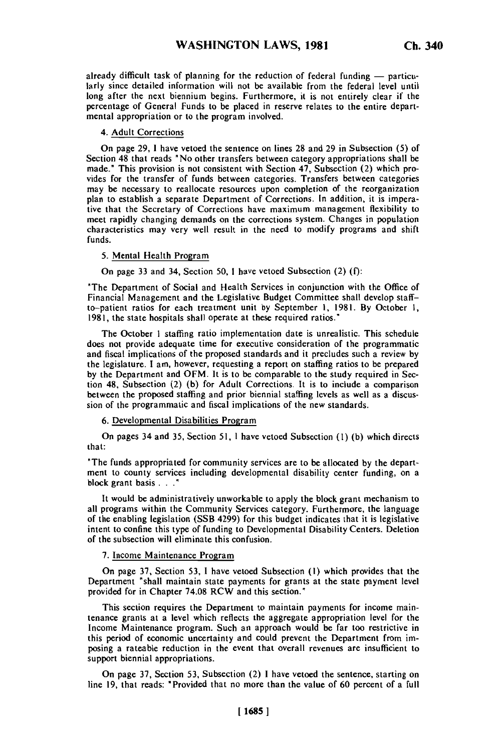already difficult task of planning for the reduction of federal funding - particularly since detailed information will not be available from the federal level until larly since detailed information will not be available from the federal level until long after the next biennium begins. Furthermore, it is not entirely clear if the percentage of General Funds to be placed in reserve relates to the entire departmental appropriation or to the program involved.

## 4. Adult Corrections

On page 29, 1 have vetoed the sentence on lines 28 and 29 in Subsection (5) of Section 48 that reads "No other transfers between category appropriations shall be made." This provision is not consistent with Section 47, Subsection (2) which promade. This provision is not consistent with Section 47, Subsection (2) which pro-<br>wides for the transfer of funds between categories. Transfers between actoralist vides for the transfer of funds between categories. Transfers between categories may be necessary to reallocate resources upon completion of the reorganization may be necessary to reanocate resources upon completion of the reorganization plan to establish a separate Department of Corrections. In addition, it is impera-<br>tive that the Secretary of Corrections have maximum management flexibility to me that the secretary of Corrections have maximum management nextbinly to meet rapidly changing demands on the corrections system. Changes in population characteristics may very well result in the need to modify programs and shift<br>funds

### 5. Mental Health Program

On page 33 and 34, Section 50, 1 have vetoed Subsection (2) (f):

'The Department of Social and Health Services in conjunction with the Office of Fine Department of Social and realth Services in conjunction with the Office of to-patient ratios for each treatment unit by September 1, 1981. By October 1, to-patient ratios for each treatment unit by September 1, 1981. By October 1, 1981, the state hospitals shall operate at these required ratios."

The October 1 staffing ratio implementation date is unrealistic. This schedule I he October i stamme ratio implementation date is unrealistic. I his schedule and fiscal implications of the proposed standards and it proposed the programmatic and fiscal implications of the proposed standards and it precludes such a review by the legislature. I am, however, requesting a report on staffing ratios to be prepared by the Department and OFM. It is to be comparable to the study required in Section  $48$ , Subsection  $(2)$  (b) for Adult Corrections. It is to include a comparison between the proposed staffing and prior biennial staffing levels as well as a discussion of the programmatic and fiscal implications of the new standards.

6. Developmental Disabilities Program

On pages 34 and 35, Section 51, I have vetoed Subsection **(1)** (b) which directs that:

"The funds appropriated for community services are to be allocated by the depart-Inc funds appropriated for community services are to be allocated by the department to county services including developmental disability center funding, on a block grant basis . . .<sup>\*</sup>

It would be administratively unworkable to apply the block grant mechanism to all programs within the Community Services category. Furthermore, the language all programs within the Community Services category. Furthermore, the language of the enabling legislation (SSB 4299) for this budget indicates that it is legislative intent to confine this type of funding to Developmental Disability Centers. Deletion of the subsection will eliminate this confusion.

7. Income Maintenance Program

On page 37, Section 53, 1 have vetoed Subsection **(1)** which provides that the On page 37, Section 33, I have velocu subsection (1) which provides that the<br>Department "shall maintain state payments for grants at the state payment level Department "shall maintain state payments for grants at the state payment level provided for in Chapter 74.08 RCW and this section."

This section requires the Department to maintain payments for income main-I his section requires the Department to maintain payments for income maintenance grants at a level which reflects the aggregate appropriation level for the Income Maintenance program. Such an approach would be far too restrictive in this period of economic uncertainty and could prevent the Department from imposing a rateable reduction in the event that overall revenues are insufficient to support biennial appropriations.

 $\alpha$  page 37, Section 53, Subsection (3) 1 have vetoed the sentence, starting on sentence, starting on sentence, starting on  $\alpha$ Un page 37, Section 33, Subsection (2) I have verded the sentence, starting on<br>line 10, that are do "Percided that no more than the value of 60 percent of a full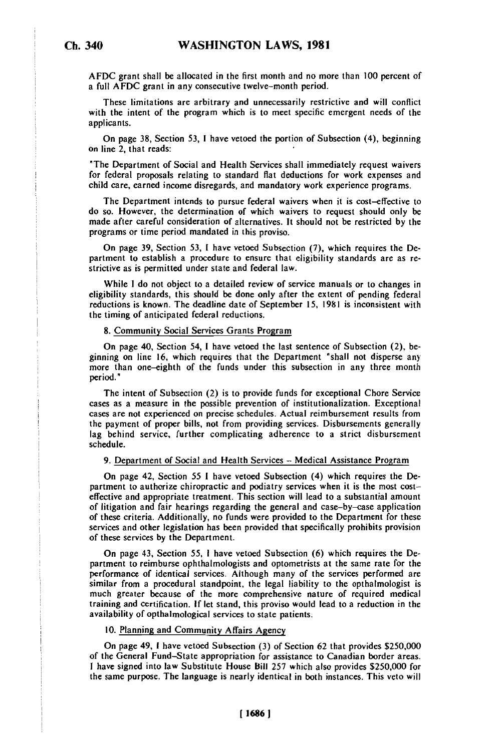AFDC grant shall be allocated in the first month and no more than **100** percent of a full AFDC grant in any consecutive twelve-month period.

These limitations are arbitrary and unnecessarily restrictive and will conflict with the intent of the program which is to meet specific emergent needs of the applicants.

On page **38,** Section **53,** I have vetoed the portion of Subsection (4), beginning on line 2, that reads:

"The Department of Social and Health Services shall immediately request waivers for federal proposals relating to standard flat deductions for work expenses and child care, earned income disregards, and mandatory work experience programs.

The Department intends to pursue federal waivers when it is cost-effective to do so. However, the determination of which waivers to request should only be made after careful consideration of alternatives. It should not be restricted by the programs or time period mandated in this proviso.

On page 39, Section 53, **1** have vetoed Subsection (7), which requires the Department to establish a procedure to ensure that eligibility standards are as restrictive as is permitted under state and federal law.

While I do not object to a detailed review of service manuals or to changes in eligibility standards, this should be done only after the extent of pending federal reductions is known. The deadline date of September 15, 1981 is inconsistent with the timing of anticipated federal reductions.

### 8. Community Social Services Grants Program

On page 40, Section 54, **1** have vetoed the last sentence of Subsection (2), beginning on line 16, which requires that the Department "shall not disperse any more than one-eighth of the funds under this subsection in any three month period.

The intent of Subsection (2) is to provide funds for exceptional Chore Service cases as a measure in the possible prevention of institutionalization. Exceptional cases as a measure in the possible prevention of institutionalization. Exceptional cases are not experienced on precise schedules. Actual reinfoursement results from the payment of proper bills, not from providing services. Disbursements generally lag behind service, further complicating adherence to a strict disbursement schedule.

## 9. Department of Social and Health Services - Medical Assistance Program

On page 42, Section 55 I have vetoed Subsection (4) which requires the De-partment to authorize chiropractic and podiatry services when it is the most costpartment to authorize chiropractic and podiatry services when it is the most costeffective and appropriate treatment. This section will lead to a substantial amount of litigation and fair hearings regarding the general and case-by-case application<br>of these criteria. Additionally, no funds were provided to the Department for these services and other legislation has been provided that specifically prohibits provision of these services **by** the Department.

On page 43, Section 55, I have vetoed Subsection (6) which requires the De-On page 45, Section 55, I have velocid Subsection (o) which requires the Be-<br>partment to reimburse ophthalmologists and optometrists at the same rate for the performance of identical services. Although many of the services performed are similar from a procedural standpoint, the legal liability to the opthalmologist is  $m_{\text{max}}$  if  $m_{\text{max}}$  because of the more comprehensive nature of required medical much greater occause of the more comprenensive nature of required medical<br>this production is the stand, this provision would lead to a reduction in the training and certification. If let stand, this proviso would lead to a reduction in the availability of opthalmological services to state patients.

# 10. Planning and Community Affairs Agency

 $\overline{O}$ On page 49, I have velocu Subsection (3) of Section 62 that provides \$250,000 of the General Fund-State appropriation for assistance to Canadian border areas. I have signed into law Substitute House Bill 257 which also provides \$250,000 for the same purpose. The language is nearly identical in both instances. This veto will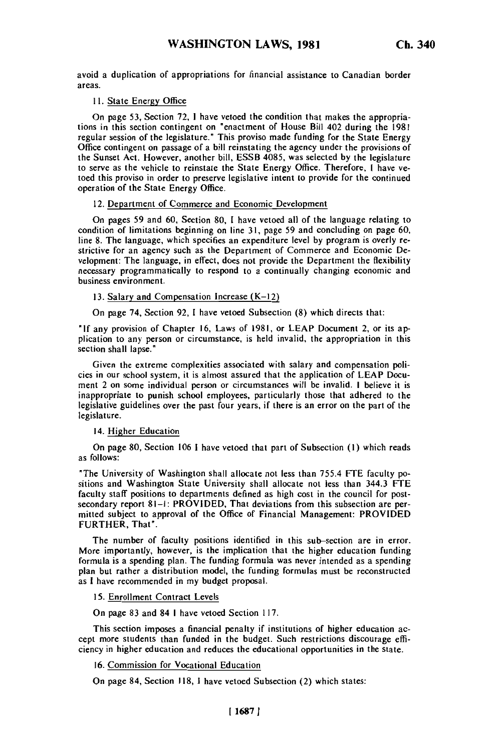avoid a duplication of appropriations for financial assistance to Canadian border areas.

## **11.** State Energy Office

On page **53,** Section 72, **1** have vetoed the condition that makes the appropriations in this section contingent on "enactment of House Bill 402 during the 1981 regular session of the legislature." This proviso made funding for the State Energy Office contingent on passage of a bill reinstating the agency under the provisions of Unice contingent on passage of a bill reinstating the agency under the provisions of<br>the Sunset Act. However, another bill, ESSB 4085, was selected by the legislature the sunset Act. However, another bill, ESSD 4005, was selected by the legislature to serve as the venicle to reinstate the State Energy Office. I herefore, I have vetoed this proviso in order to preserve legislative intent to provide for the continued operation of the State Energy Office.

### 12. Department of Commerce and Economic Development

On pages **59** and **60,** Section **80, 1** have vetoed all of the language relating to condition of limitations beginning on line **31,** page **59** and concluding on page **60,** line **8.** The language, which specifies an expenditure level **by** program is overly restrictive for an agency such as the Department of Commerce and Economic Destrictive for an agency such as the Department of Commerce and Economic Development: The language, in effect, does not provide the Department the flexibility necessary programmatically to respond to a continually changing economic and business environment.

#### 13. Salary and Compensation Increase (K-12)

On page 74, Section **92,** 1 have vetoed Subsection **(8)** which directs that:

**"If** any provision of Chapter **16,** Laws of **1981,** or **LEAP** Document 2, or its application to any person or circumstance, is held invalid, the appropriation in this section shall lapse."

Given the extreme complexities associated with salary and compensation policies in our school system, it is almost assured that the application of LEAP Docucies in our school system, it is almost assured that the application of LEAP Document 2 on some individual person or circumstances will be invalid. I believe it is inent z on some individual person or circumstances will be invalid. I believe it is nappropriate to punish school employees, particularly those that adhered to the<br>logislative guidelines over the past four years, if there is an error on the part of the legislative guidelines over the past four years, if there is an error on the part of the legislature.

# 14. Higher Education

On page 80, Section 106 1 have vetoed that part of Subsection **(1)** which reads as follows:

"The University of Washington shall allocate not less than 755.4 FTE faculty positions and Washington State University shall allocate not less than 344.3 FTE faculty staff positions to departments defined as high cost in the council for postsecondary report **81-1:** PROVIDED, That deviations from this subsection are permitted subject to approval of the Office of Financial Management: PROVIDED FURTHER, That".

The number of faculty positions identified in this sub-section are in error. More importantly, however, is the implication that the higher education funding formula is a spending plan. The funding formula was never intended as a spending plant but rather a distribution model, the funding formula was never intended as a spending<br>Non-but rather a distribution model, the funding formulas must be reconstructed as **I** have recommended in my budget proposal.

#### 15. Enrollment Contract Levels

On page 83 and 84 I have vetoed Section 117.

This section imposes a financial penalty if institutions of higher education acrus section imposes a tinancial penalty it institutions of higher equipment ac-<br>cept more students than funded in the budget. Such restrictions discourage efficept more students than funded in the budget. Such restrictions discourage efficiency in higher education and reduces the educational opportunities in the state.

# 16. Commission for Vocational Education

On page 84, Section 118, 1 have vetoed Subsection (2) which states: